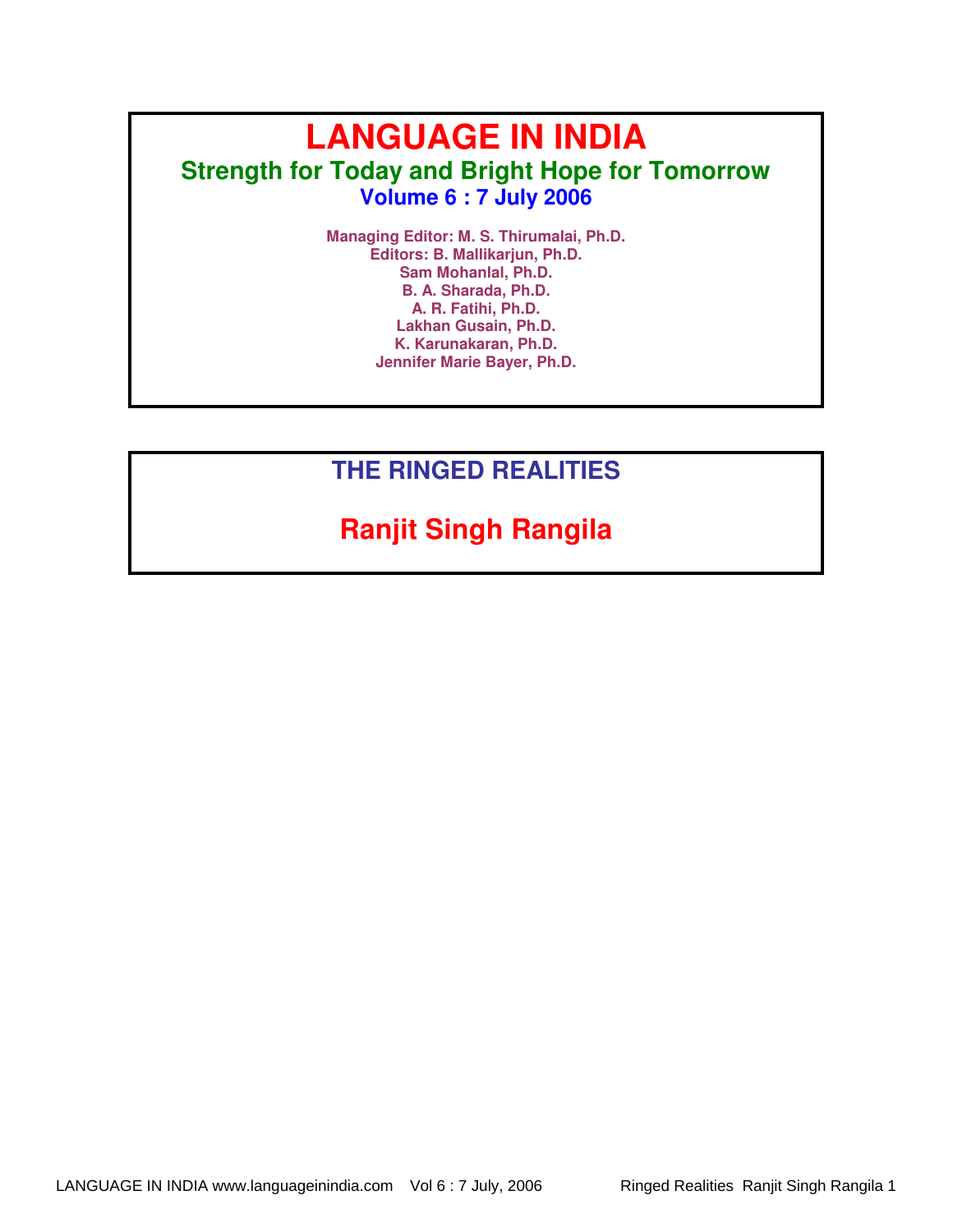# **LANGUAGE IN INDIA Strength for Today and Bright Hope for Tomorrow Volume 6 : 7 July 2006**

**Managing Editor: M. S. Thirumalai, Ph.D. Editors: B. Mallikarjun, Ph.D. Sam Mohanlal, Ph.D. B. A. Sharada, Ph.D. A. R. Fatihi, Ph.D. Lakhan Gusain, Ph.D. K. Karunakaran, Ph.D. Jennifer Marie Bayer, Ph.D.** 

## **THE RINGED REALITIES**

# **Ranjit Singh Rangila**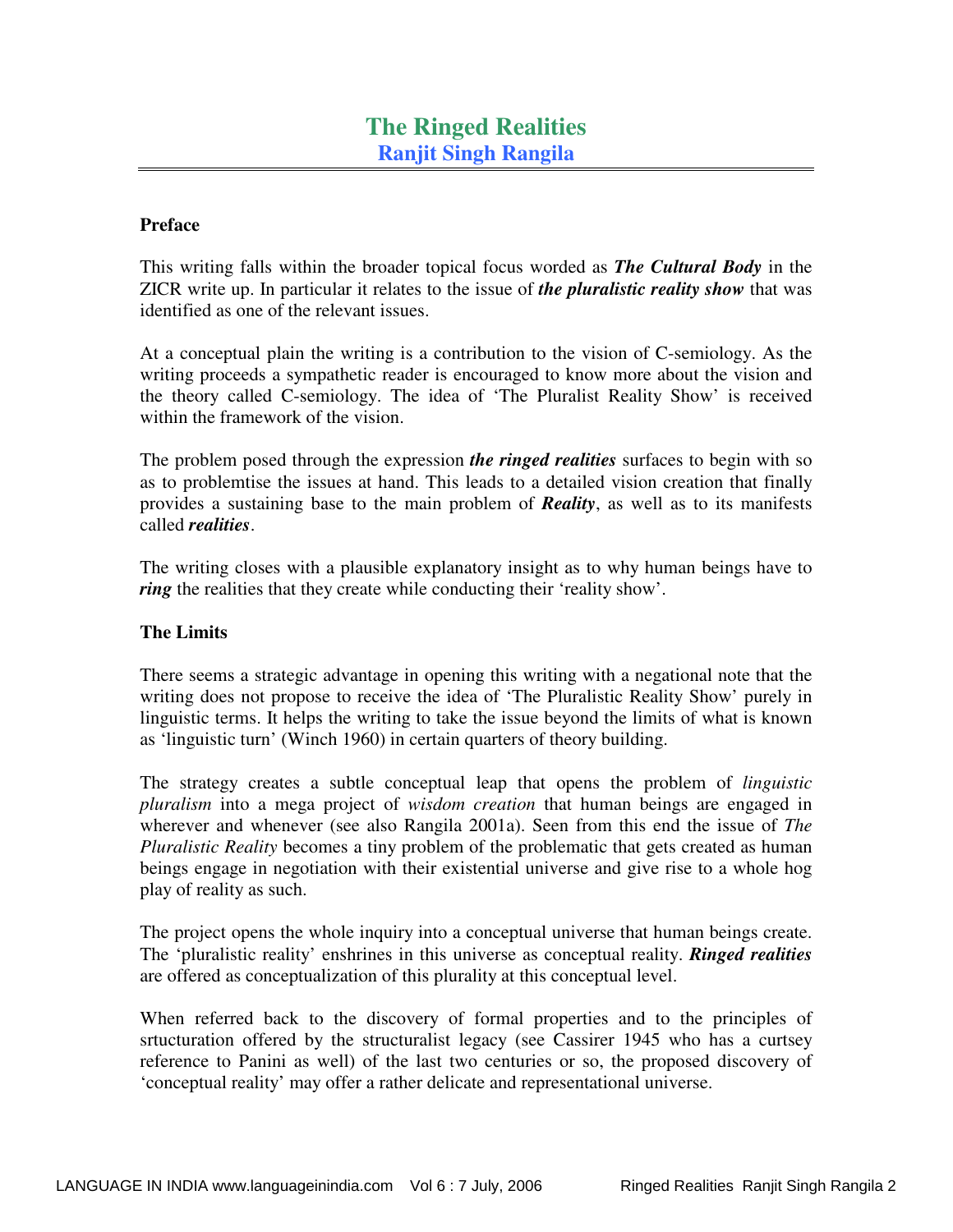## **Preface**

This writing falls within the broader topical focus worded as *The Cultural Body* in the ZICR write up. In particular it relates to the issue of *the pluralistic reality show* that was identified as one of the relevant issues.

At a conceptual plain the writing is a contribution to the vision of C-semiology. As the writing proceeds a sympathetic reader is encouraged to know more about the vision and the theory called C-semiology. The idea of 'The Pluralist Reality Show' is received within the framework of the vision.

The problem posed through the expression *the ringed realities* surfaces to begin with so as to problemtise the issues at hand. This leads to a detailed vision creation that finally provides a sustaining base to the main problem of *Reality*, as well as to its manifests called *realities*.

The writing closes with a plausible explanatory insight as to why human beings have to *ring* the realities that they create while conducting their 'reality show'.

## **The Limits**

There seems a strategic advantage in opening this writing with a negational note that the writing does not propose to receive the idea of 'The Pluralistic Reality Show' purely in linguistic terms. It helps the writing to take the issue beyond the limits of what is known as 'linguistic turn' (Winch 1960) in certain quarters of theory building.

The strategy creates a subtle conceptual leap that opens the problem of *linguistic pluralism* into a mega project of *wisdom creation* that human beings are engaged in wherever and whenever (see also Rangila 2001a). Seen from this end the issue of *The Pluralistic Reality* becomes a tiny problem of the problematic that gets created as human beings engage in negotiation with their existential universe and give rise to a whole hog play of reality as such.

The project opens the whole inquiry into a conceptual universe that human beings create. The 'pluralistic reality' enshrines in this universe as conceptual reality. *Ringed realities* are offered as conceptualization of this plurality at this conceptual level.

When referred back to the discovery of formal properties and to the principles of srtucturation offered by the structuralist legacy (see Cassirer 1945 who has a curtsey reference to Panini as well) of the last two centuries or so, the proposed discovery of 'conceptual reality' may offer a rather delicate and representational universe.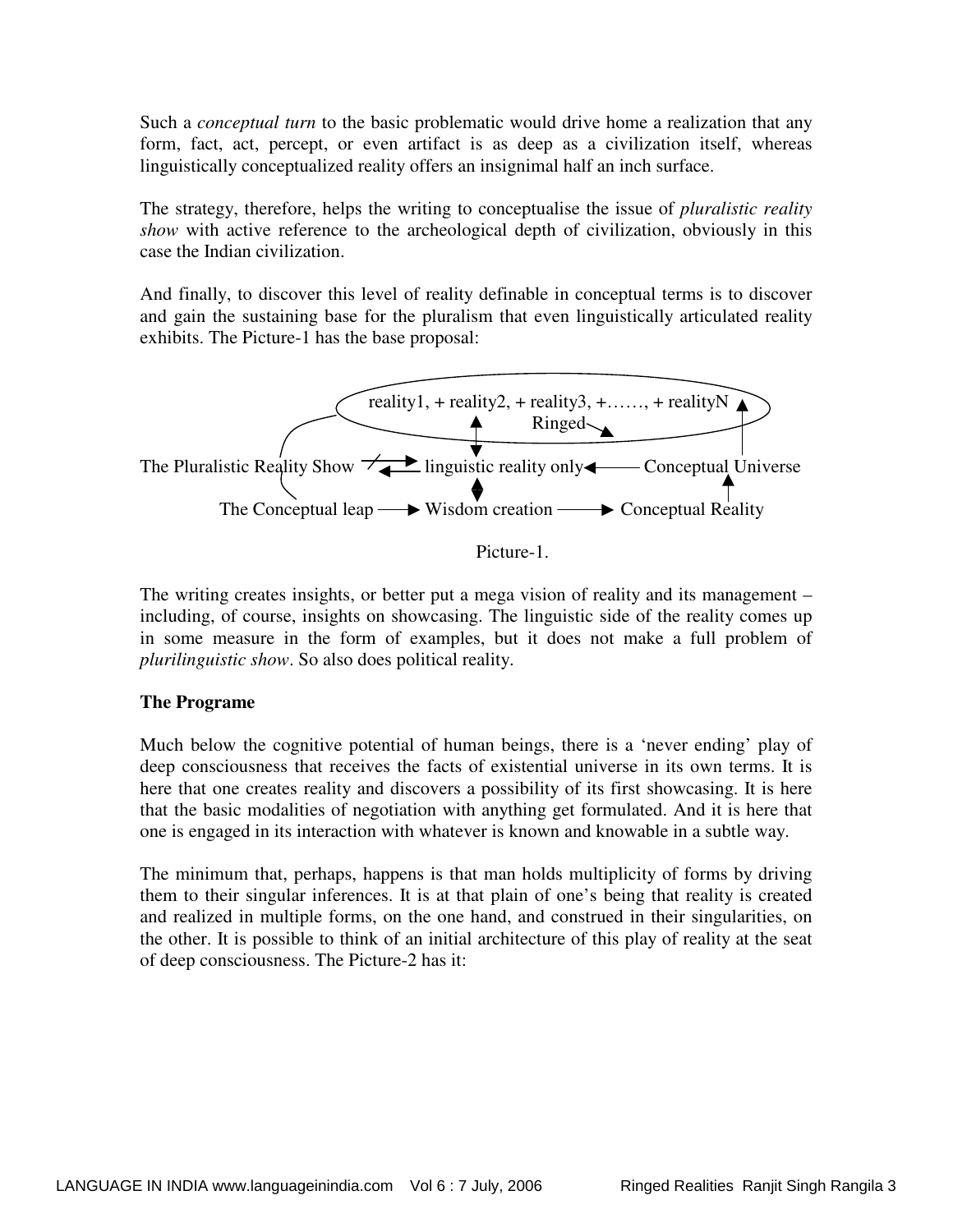Such a *conceptual turn* to the basic problematic would drive home a realization that any form, fact, act, percept, or even artifact is as deep as a civilization itself, whereas linguistically conceptualized reality offers an insignimal half an inch surface.

The strategy, therefore, helps the writing to conceptualise the issue of *pluralistic reality show* with active reference to the archeological depth of civilization, obviously in this case the Indian civilization.

And finally, to discover this level of reality definable in conceptual terms is to discover and gain the sustaining base for the pluralism that even linguistically articulated reality exhibits. The Picture-1 has the base proposal:



Picture-1.

The writing creates insights, or better put a mega vision of reality and its management – including, of course, insights on showcasing. The linguistic side of the reality comes up in some measure in the form of examples, but it does not make a full problem of *plurilinguistic show*. So also does political reality.

## **The Programe**

Much below the cognitive potential of human beings, there is a 'never ending' play of deep consciousness that receives the facts of existential universe in its own terms. It is here that one creates reality and discovers a possibility of its first showcasing. It is here that the basic modalities of negotiation with anything get formulated. And it is here that one is engaged in its interaction with whatever is known and knowable in a subtle way.

The minimum that, perhaps, happens is that man holds multiplicity of forms by driving them to their singular inferences. It is at that plain of one's being that reality is created and realized in multiple forms, on the one hand, and construed in their singularities, on the other. It is possible to think of an initial architecture of this play of reality at the seat of deep consciousness. The Picture-2 has it: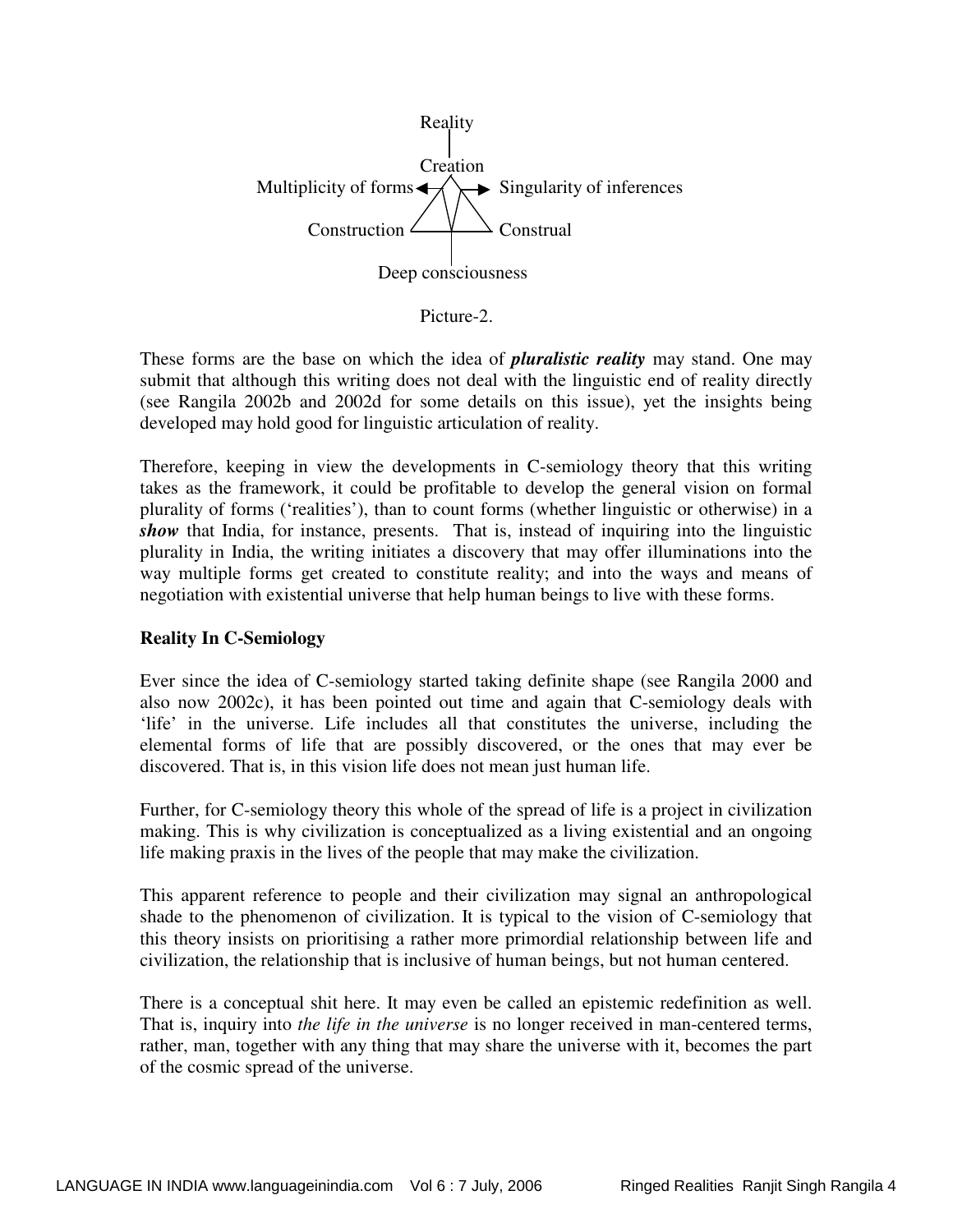

Picture-2.

These forms are the base on which the idea of *pluralistic reality* may stand. One may submit that although this writing does not deal with the linguistic end of reality directly (see Rangila 2002b and 2002d for some details on this issue), yet the insights being developed may hold good for linguistic articulation of reality.

Therefore, keeping in view the developments in C-semiology theory that this writing takes as the framework, it could be profitable to develop the general vision on formal plurality of forms ('realities'), than to count forms (whether linguistic or otherwise) in a *show* that India, for instance, presents. That is, instead of inquiring into the linguistic plurality in India, the writing initiates a discovery that may offer illuminations into the way multiple forms get created to constitute reality; and into the ways and means of negotiation with existential universe that help human beings to live with these forms.

## **Reality In C-Semiology**

Ever since the idea of C-semiology started taking definite shape (see Rangila 2000 and also now 2002c), it has been pointed out time and again that C-semiology deals with 'life' in the universe. Life includes all that constitutes the universe, including the elemental forms of life that are possibly discovered, or the ones that may ever be discovered. That is, in this vision life does not mean just human life.

Further, for C-semiology theory this whole of the spread of life is a project in civilization making. This is why civilization is conceptualized as a living existential and an ongoing life making praxis in the lives of the people that may make the civilization.

This apparent reference to people and their civilization may signal an anthropological shade to the phenomenon of civilization. It is typical to the vision of C-semiology that this theory insists on prioritising a rather more primordial relationship between life and civilization, the relationship that is inclusive of human beings, but not human centered.

There is a conceptual shit here. It may even be called an epistemic redefinition as well. That is, inquiry into *the life in the universe* is no longer received in man-centered terms, rather, man, together with any thing that may share the universe with it, becomes the part of the cosmic spread of the universe.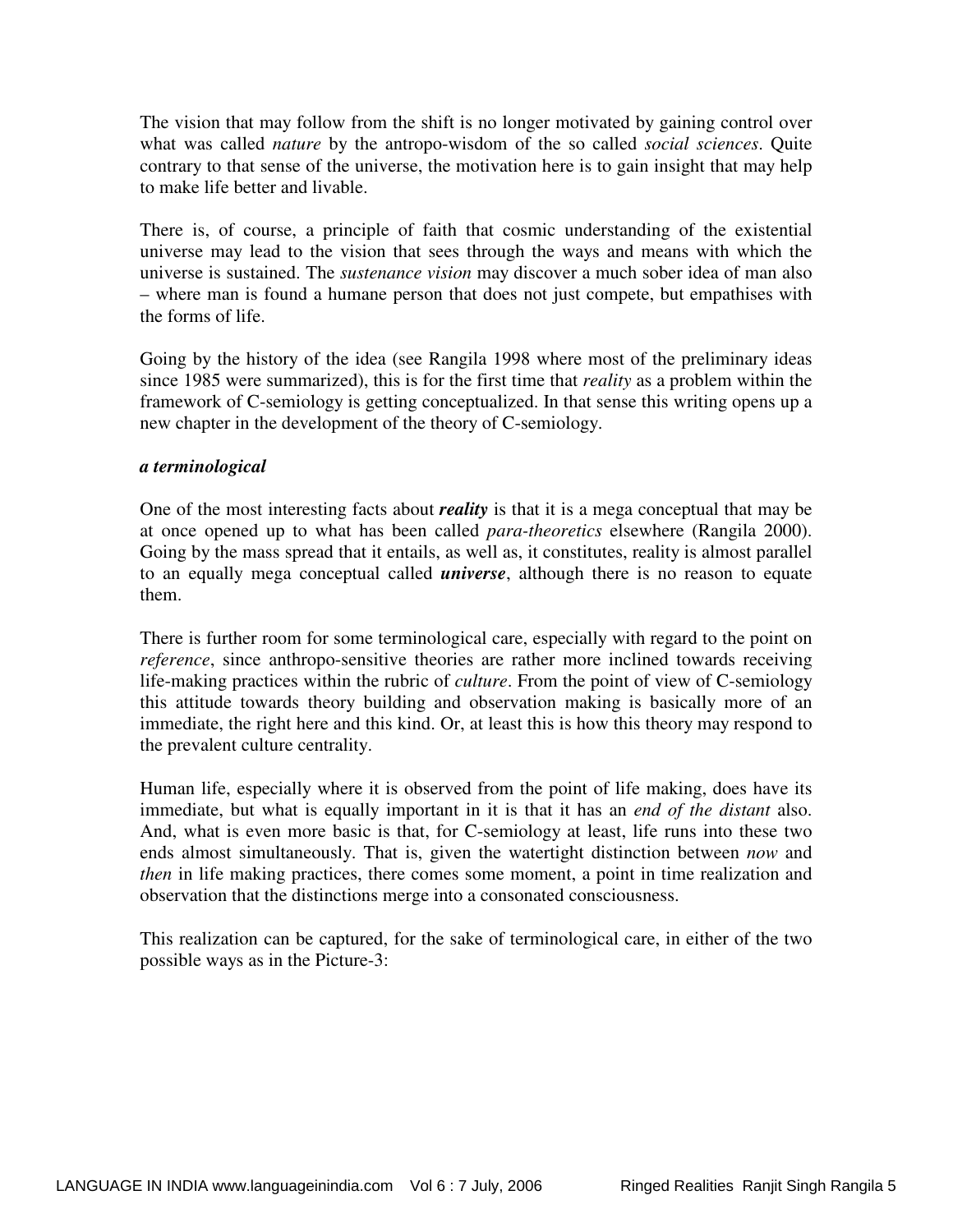The vision that may follow from the shift is no longer motivated by gaining control over what was called *nature* by the antropo-wisdom of the so called *social sciences*. Quite contrary to that sense of the universe, the motivation here is to gain insight that may help to make life better and livable.

There is, of course, a principle of faith that cosmic understanding of the existential universe may lead to the vision that sees through the ways and means with which the universe is sustained. The *sustenance vision* may discover a much sober idea of man also – where man is found a humane person that does not just compete, but empathises with the forms of life.

Going by the history of the idea (see Rangila 1998 where most of the preliminary ideas since 1985 were summarized), this is for the first time that *reality* as a problem within the framework of C-semiology is getting conceptualized. In that sense this writing opens up a new chapter in the development of the theory of C-semiology.

## *a terminological*

One of the most interesting facts about *reality* is that it is a mega conceptual that may be at once opened up to what has been called *para-theoretics* elsewhere (Rangila 2000). Going by the mass spread that it entails, as well as, it constitutes, reality is almost parallel to an equally mega conceptual called *universe*, although there is no reason to equate them.

There is further room for some terminological care, especially with regard to the point on *reference*, since anthropo-sensitive theories are rather more inclined towards receiving life-making practices within the rubric of *culture*. From the point of view of C-semiology this attitude towards theory building and observation making is basically more of an immediate, the right here and this kind. Or, at least this is how this theory may respond to the prevalent culture centrality.

Human life, especially where it is observed from the point of life making, does have its immediate, but what is equally important in it is that it has an *end of the distant* also. And, what is even more basic is that, for C-semiology at least, life runs into these two ends almost simultaneously. That is, given the watertight distinction between *now* and *then* in life making practices, there comes some moment, a point in time realization and observation that the distinctions merge into a consonated consciousness.

This realization can be captured, for the sake of terminological care, in either of the two possible ways as in the Picture-3: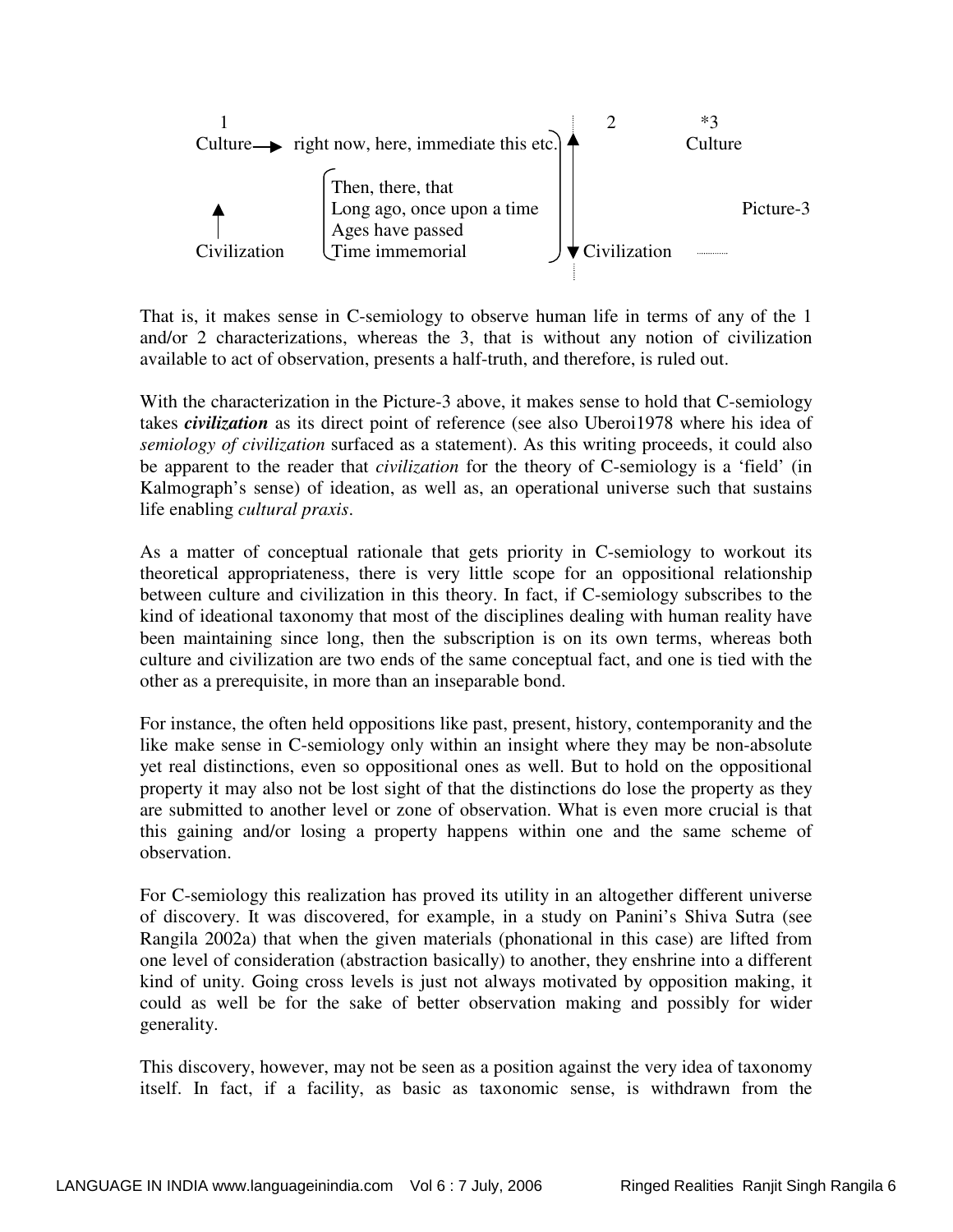

That is, it makes sense in C-semiology to observe human life in terms of any of the 1 and/or 2 characterizations, whereas the 3, that is without any notion of civilization available to act of observation, presents a half-truth, and therefore, is ruled out.

With the characterization in the Picture-3 above, it makes sense to hold that C-semiology takes *civilization* as its direct point of reference (see also Uberoi1978 where his idea of *semiology of civilization* surfaced as a statement). As this writing proceeds, it could also be apparent to the reader that *civilization* for the theory of C-semiology is a 'field' (in Kalmograph's sense) of ideation, as well as, an operational universe such that sustains life enabling *cultural praxis*.

As a matter of conceptual rationale that gets priority in C-semiology to workout its theoretical appropriateness, there is very little scope for an oppositional relationship between culture and civilization in this theory. In fact, if C-semiology subscribes to the kind of ideational taxonomy that most of the disciplines dealing with human reality have been maintaining since long, then the subscription is on its own terms, whereas both culture and civilization are two ends of the same conceptual fact, and one is tied with the other as a prerequisite, in more than an inseparable bond.

For instance, the often held oppositions like past, present, history, contemporanity and the like make sense in C-semiology only within an insight where they may be non-absolute yet real distinctions, even so oppositional ones as well. But to hold on the oppositional property it may also not be lost sight of that the distinctions do lose the property as they are submitted to another level or zone of observation. What is even more crucial is that this gaining and/or losing a property happens within one and the same scheme of observation.

For C-semiology this realization has proved its utility in an altogether different universe of discovery. It was discovered, for example, in a study on Panini's Shiva Sutra (see Rangila 2002a) that when the given materials (phonational in this case) are lifted from one level of consideration (abstraction basically) to another, they enshrine into a different kind of unity. Going cross levels is just not always motivated by opposition making, it could as well be for the sake of better observation making and possibly for wider generality.

This discovery, however, may not be seen as a position against the very idea of taxonomy itself. In fact, if a facility, as basic as taxonomic sense, is withdrawn from the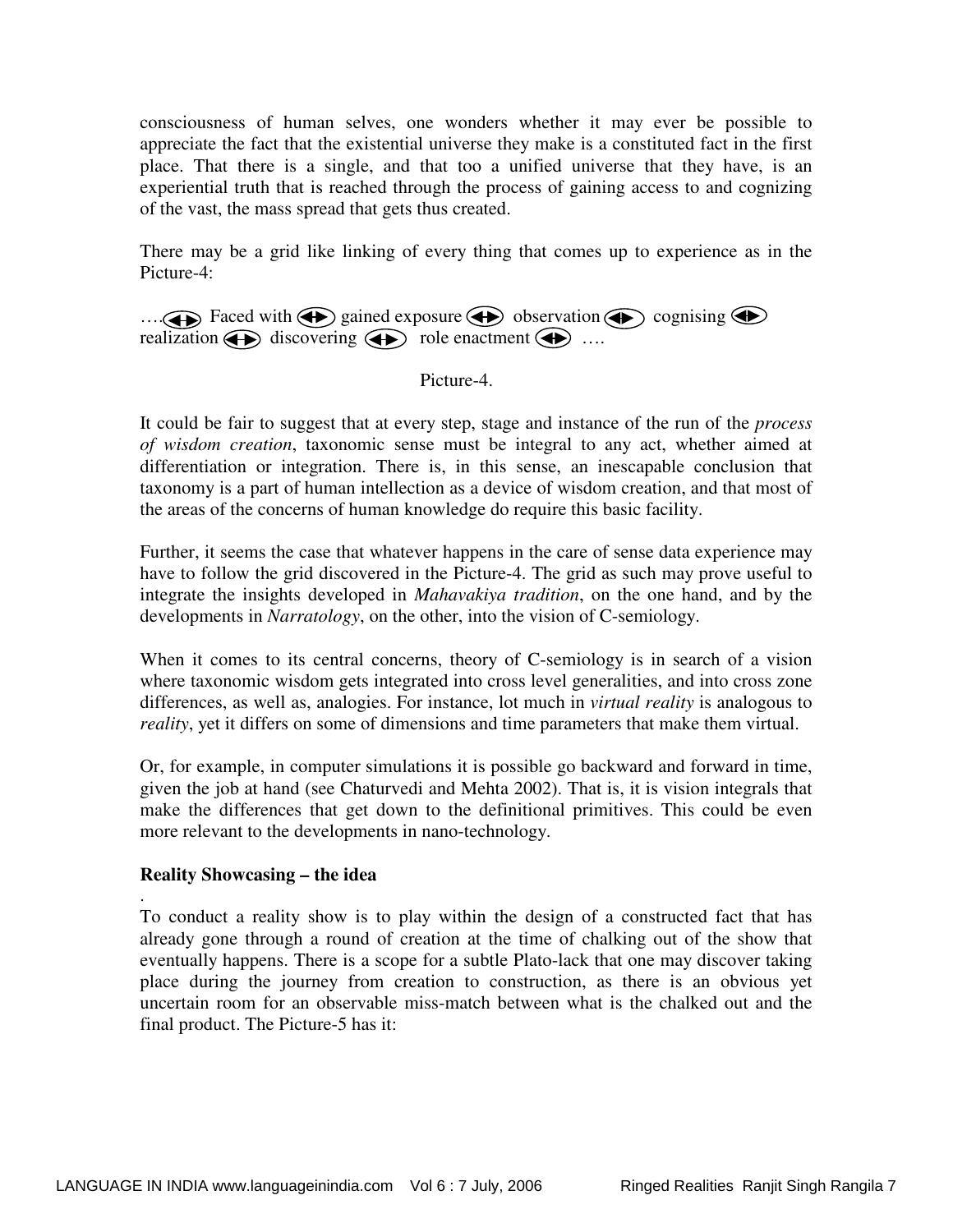consciousness of human selves, one wonders whether it may ever be possible to appreciate the fact that the existential universe they make is a constituted fact in the first place. That there is a single, and that too a unified universe that they have, is an experiential truth that is reached through the process of gaining access to and cognizing of the vast, the mass spread that gets thus created.

There may be a grid like linking of every thing that comes up to experience as in the Picture-4:

 $\dots$  Faced with  $\bigoplus$  gained exposure  $\bigoplus$  observation  $\bigoplus$  cognising  $\bigoplus$ realization  $\bigoplus$  discovering  $\bigoplus$  role enactment  $\bigoplus$  ....

Picture-4.

It could be fair to suggest that at every step, stage and instance of the run of the *process of wisdom creation*, taxonomic sense must be integral to any act, whether aimed at differentiation or integration. There is, in this sense, an inescapable conclusion that taxonomy is a part of human intellection as a device of wisdom creation, and that most of the areas of the concerns of human knowledge do require this basic facility.

Further, it seems the case that whatever happens in the care of sense data experience may have to follow the grid discovered in the Picture-4. The grid as such may prove useful to integrate the insights developed in *Mahavakiya tradition*, on the one hand, and by the developments in *Narratology*, on the other, into the vision of C-semiology.

When it comes to its central concerns, theory of C-semiology is in search of a vision where taxonomic wisdom gets integrated into cross level generalities, and into cross zone differences, as well as, analogies. For instance, lot much in *virtual reality* is analogous to *reality*, yet it differs on some of dimensions and time parameters that make them virtual.

Or, for example, in computer simulations it is possible go backward and forward in time, given the job at hand (see Chaturvedi and Mehta 2002). That is, it is vision integrals that make the differences that get down to the definitional primitives. This could be even more relevant to the developments in nano-technology.

## **Reality Showcasing – the idea**

. To conduct a reality show is to play within the design of a constructed fact that has already gone through a round of creation at the time of chalking out of the show that eventually happens. There is a scope for a subtle Plato-lack that one may discover taking place during the journey from creation to construction, as there is an obvious yet uncertain room for an observable miss-match between what is the chalked out and the final product. The Picture-5 has it: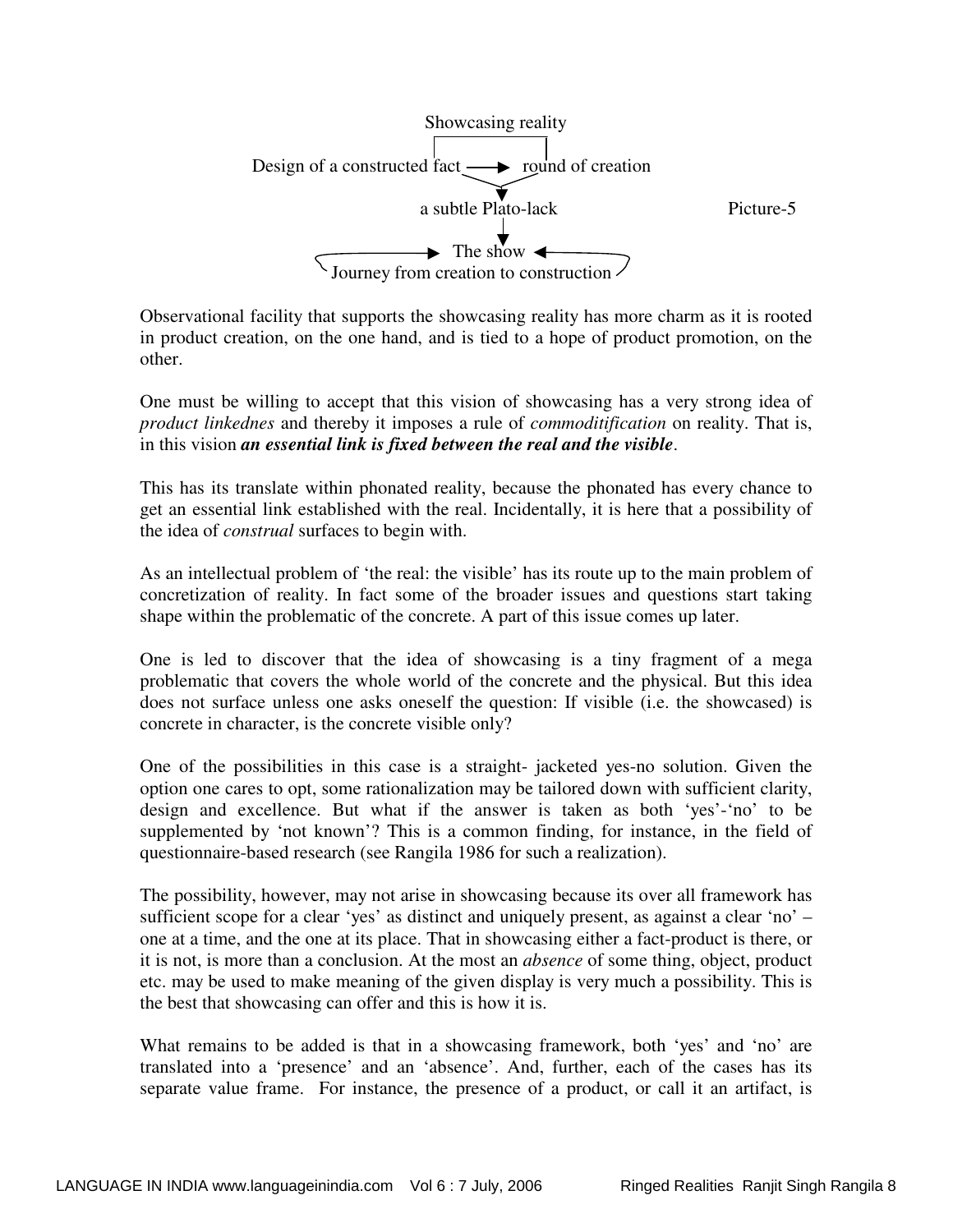

Observational facility that supports the showcasing reality has more charm as it is rooted in product creation, on the one hand, and is tied to a hope of product promotion, on the other.

One must be willing to accept that this vision of showcasing has a very strong idea of *product linkednes* and thereby it imposes a rule of *commoditification* on reality. That is, in this vision *an essential link is fixed between the real and the visible*.

This has its translate within phonated reality, because the phonated has every chance to get an essential link established with the real. Incidentally, it is here that a possibility of the idea of *construal* surfaces to begin with.

As an intellectual problem of 'the real: the visible' has its route up to the main problem of concretization of reality. In fact some of the broader issues and questions start taking shape within the problematic of the concrete. A part of this issue comes up later.

One is led to discover that the idea of showcasing is a tiny fragment of a mega problematic that covers the whole world of the concrete and the physical. But this idea does not surface unless one asks oneself the question: If visible (i.e. the showcased) is concrete in character, is the concrete visible only?

One of the possibilities in this case is a straight- jacketed yes-no solution. Given the option one cares to opt, some rationalization may be tailored down with sufficient clarity, design and excellence. But what if the answer is taken as both 'yes'-'no' to be supplemented by 'not known'? This is a common finding, for instance, in the field of questionnaire-based research (see Rangila 1986 for such a realization).

The possibility, however, may not arise in showcasing because its over all framework has sufficient scope for a clear 'yes' as distinct and uniquely present, as against a clear 'no' – one at a time, and the one at its place. That in showcasing either a fact-product is there, or it is not, is more than a conclusion. At the most an *absence* of some thing, object, product etc. may be used to make meaning of the given display is very much a possibility. This is the best that showcasing can offer and this is how it is.

What remains to be added is that in a showcasing framework, both 'yes' and 'no' are translated into a 'presence' and an 'absence'. And, further, each of the cases has its separate value frame. For instance, the presence of a product, or call it an artifact, is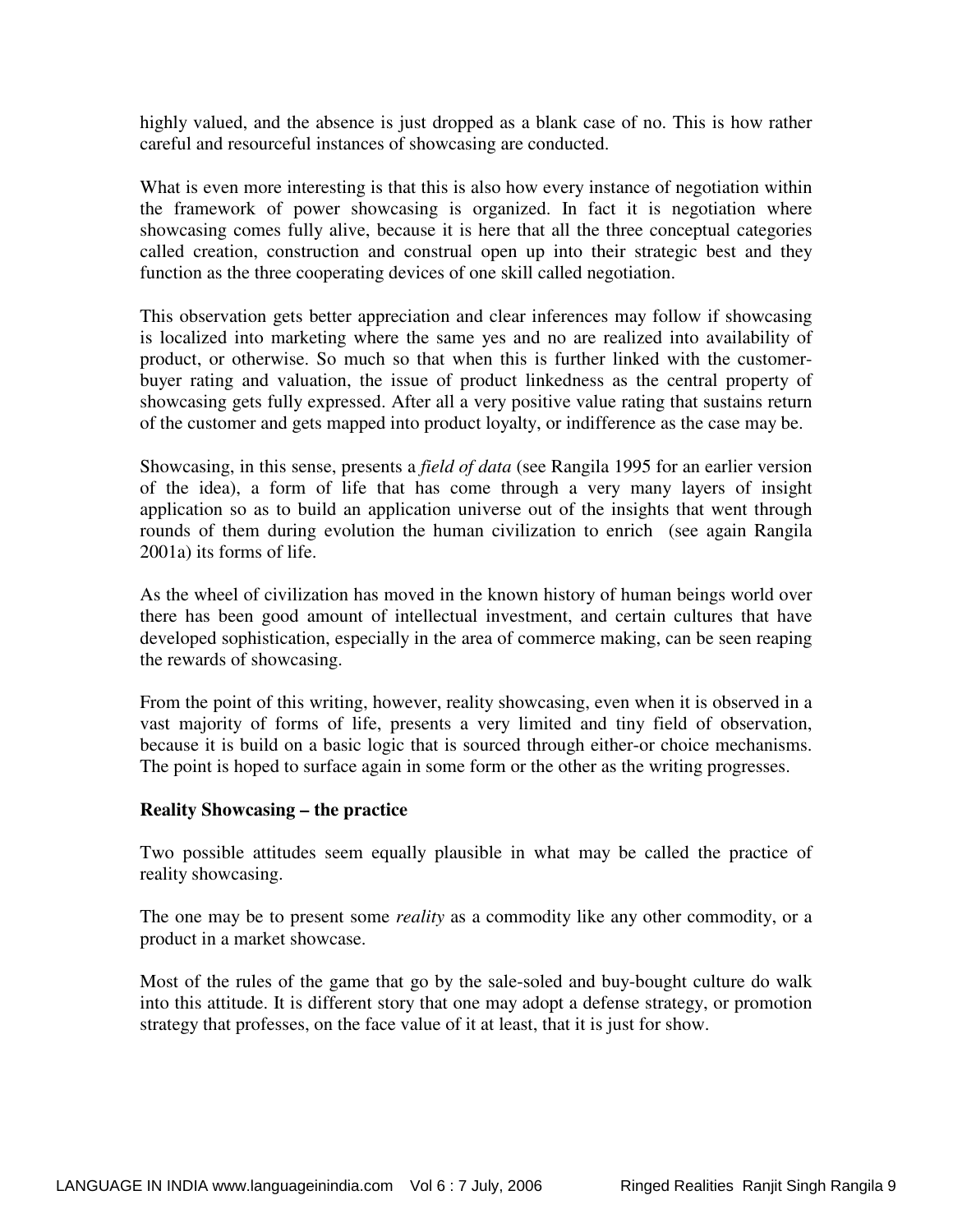highly valued, and the absence is just dropped as a blank case of no. This is how rather careful and resourceful instances of showcasing are conducted.

What is even more interesting is that this is also how every instance of negotiation within the framework of power showcasing is organized. In fact it is negotiation where showcasing comes fully alive, because it is here that all the three conceptual categories called creation, construction and construal open up into their strategic best and they function as the three cooperating devices of one skill called negotiation.

This observation gets better appreciation and clear inferences may follow if showcasing is localized into marketing where the same yes and no are realized into availability of product, or otherwise. So much so that when this is further linked with the customerbuyer rating and valuation, the issue of product linkedness as the central property of showcasing gets fully expressed. After all a very positive value rating that sustains return of the customer and gets mapped into product loyalty, or indifference as the case may be.

Showcasing, in this sense, presents a *field of data* (see Rangila 1995 for an earlier version of the idea), a form of life that has come through a very many layers of insight application so as to build an application universe out of the insights that went through rounds of them during evolution the human civilization to enrich (see again Rangila 2001a) its forms of life.

As the wheel of civilization has moved in the known history of human beings world over there has been good amount of intellectual investment, and certain cultures that have developed sophistication, especially in the area of commerce making, can be seen reaping the rewards of showcasing.

From the point of this writing, however, reality showcasing, even when it is observed in a vast majority of forms of life, presents a very limited and tiny field of observation, because it is build on a basic logic that is sourced through either-or choice mechanisms. The point is hoped to surface again in some form or the other as the writing progresses.

## **Reality Showcasing – the practice**

Two possible attitudes seem equally plausible in what may be called the practice of reality showcasing.

The one may be to present some *reality* as a commodity like any other commodity, or a product in a market showcase.

Most of the rules of the game that go by the sale-soled and buy-bought culture do walk into this attitude. It is different story that one may adopt a defense strategy, or promotion strategy that professes, on the face value of it at least, that it is just for show.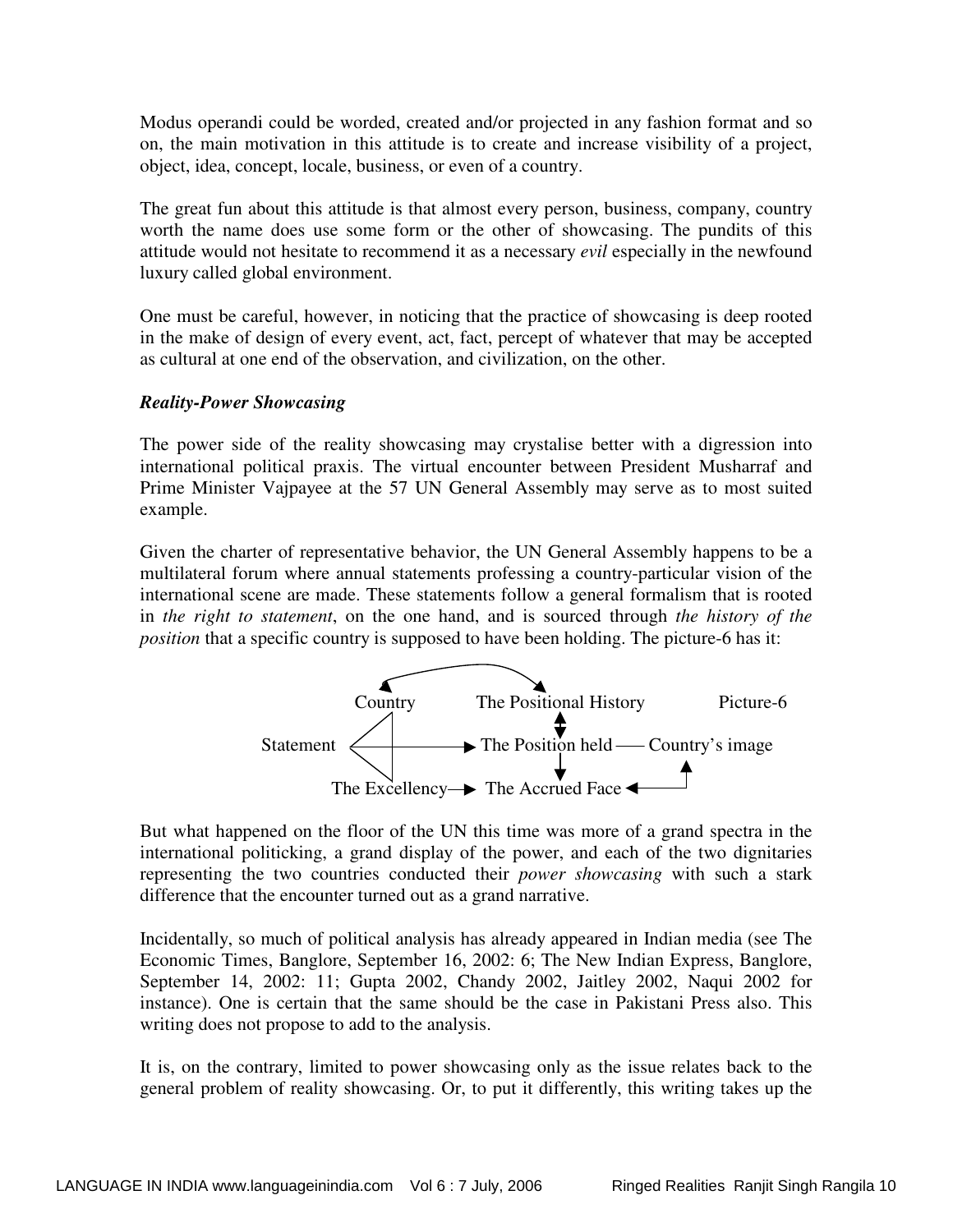Modus operandi could be worded, created and/or projected in any fashion format and so on, the main motivation in this attitude is to create and increase visibility of a project, object, idea, concept, locale, business, or even of a country.

The great fun about this attitude is that almost every person, business, company, country worth the name does use some form or the other of showcasing. The pundits of this attitude would not hesitate to recommend it as a necessary *evil* especially in the newfound luxury called global environment.

One must be careful, however, in noticing that the practice of showcasing is deep rooted in the make of design of every event, act, fact, percept of whatever that may be accepted as cultural at one end of the observation, and civilization, on the other.

## *Reality-Power Showcasing*

The power side of the reality showcasing may crystalise better with a digression into international political praxis. The virtual encounter between President Musharraf and Prime Minister Vajpayee at the 57 UN General Assembly may serve as to most suited example.

Given the charter of representative behavior, the UN General Assembly happens to be a multilateral forum where annual statements professing a country-particular vision of the international scene are made. These statements follow a general formalism that is rooted in *the right to statement*, on the one hand, and is sourced through *the history of the position* that a specific country is supposed to have been holding. The picture-6 has it:



But what happened on the floor of the UN this time was more of a grand spectra in the international politicking, a grand display of the power, and each of the two dignitaries representing the two countries conducted their *power showcasing* with such a stark difference that the encounter turned out as a grand narrative.

Incidentally, so much of political analysis has already appeared in Indian media (see The Economic Times, Banglore, September 16, 2002: 6; The New Indian Express, Banglore, September 14, 2002: 11; Gupta 2002, Chandy 2002, Jaitley 2002, Naqui 2002 for instance). One is certain that the same should be the case in Pakistani Press also. This writing does not propose to add to the analysis.

It is, on the contrary, limited to power showcasing only as the issue relates back to the general problem of reality showcasing. Or, to put it differently, this writing takes up the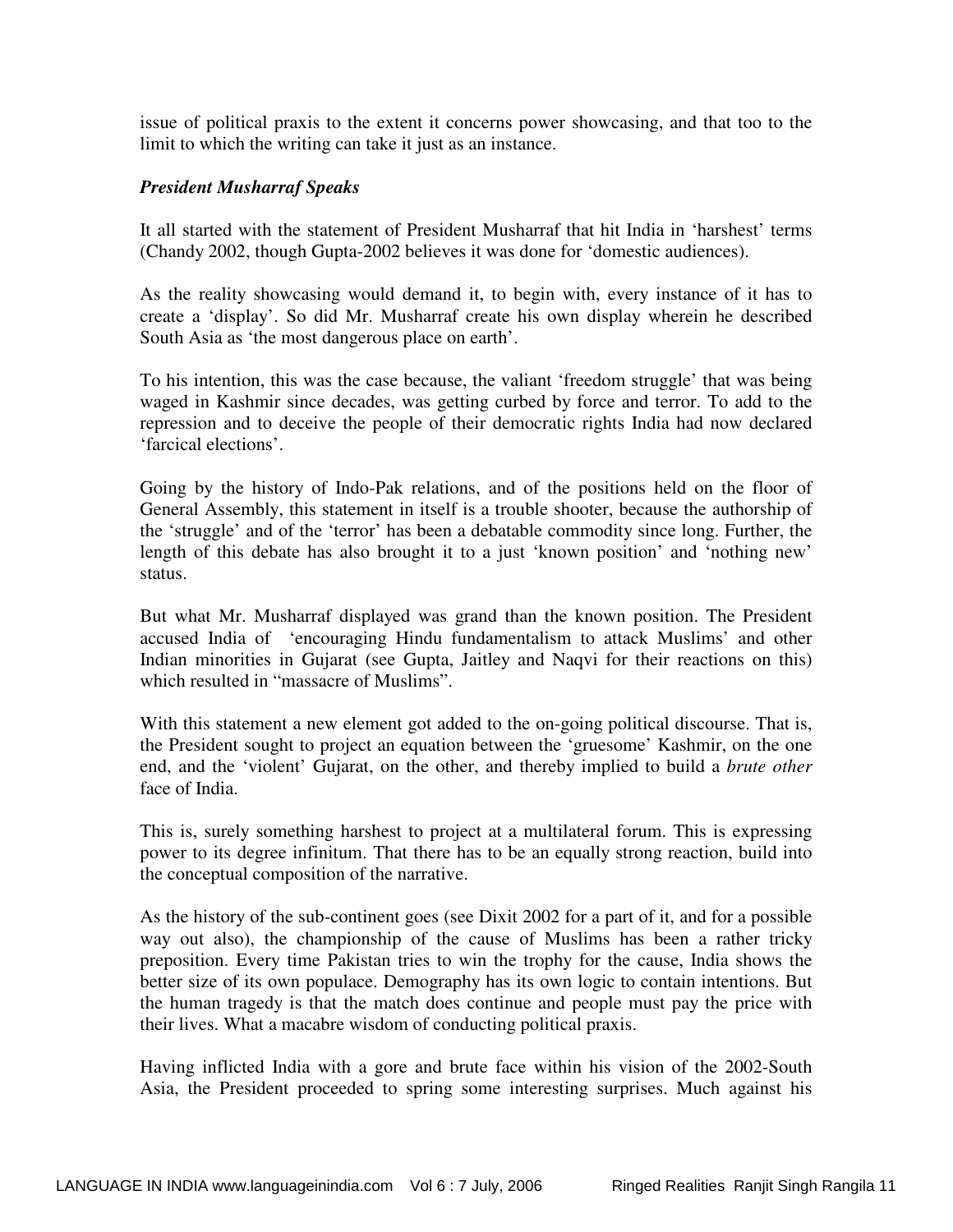issue of political praxis to the extent it concerns power showcasing, and that too to the limit to which the writing can take it just as an instance.

## *President Musharraf Speaks*

It all started with the statement of President Musharraf that hit India in 'harshest' terms (Chandy 2002, though Gupta-2002 believes it was done for 'domestic audiences).

As the reality showcasing would demand it, to begin with, every instance of it has to create a 'display'. So did Mr. Musharraf create his own display wherein he described South Asia as 'the most dangerous place on earth'.

To his intention, this was the case because, the valiant 'freedom struggle' that was being waged in Kashmir since decades, was getting curbed by force and terror. To add to the repression and to deceive the people of their democratic rights India had now declared 'farcical elections'.

Going by the history of Indo-Pak relations, and of the positions held on the floor of General Assembly, this statement in itself is a trouble shooter, because the authorship of the 'struggle' and of the 'terror' has been a debatable commodity since long. Further, the length of this debate has also brought it to a just 'known position' and 'nothing new' status.

But what Mr. Musharraf displayed was grand than the known position. The President accused India of 'encouraging Hindu fundamentalism to attack Muslims' and other Indian minorities in Gujarat (see Gupta, Jaitley and Naqvi for their reactions on this) which resulted in "massacre of Muslims".

With this statement a new element got added to the on-going political discourse. That is, the President sought to project an equation between the 'gruesome' Kashmir, on the one end, and the 'violent' Gujarat, on the other, and thereby implied to build a *brute other* face of India.

This is, surely something harshest to project at a multilateral forum. This is expressing power to its degree infinitum. That there has to be an equally strong reaction, build into the conceptual composition of the narrative.

As the history of the sub-continent goes (see Dixit 2002 for a part of it, and for a possible way out also), the championship of the cause of Muslims has been a rather tricky preposition. Every time Pakistan tries to win the trophy for the cause, India shows the better size of its own populace. Demography has its own logic to contain intentions. But the human tragedy is that the match does continue and people must pay the price with their lives. What a macabre wisdom of conducting political praxis.

Having inflicted India with a gore and brute face within his vision of the 2002-South Asia, the President proceeded to spring some interesting surprises. Much against his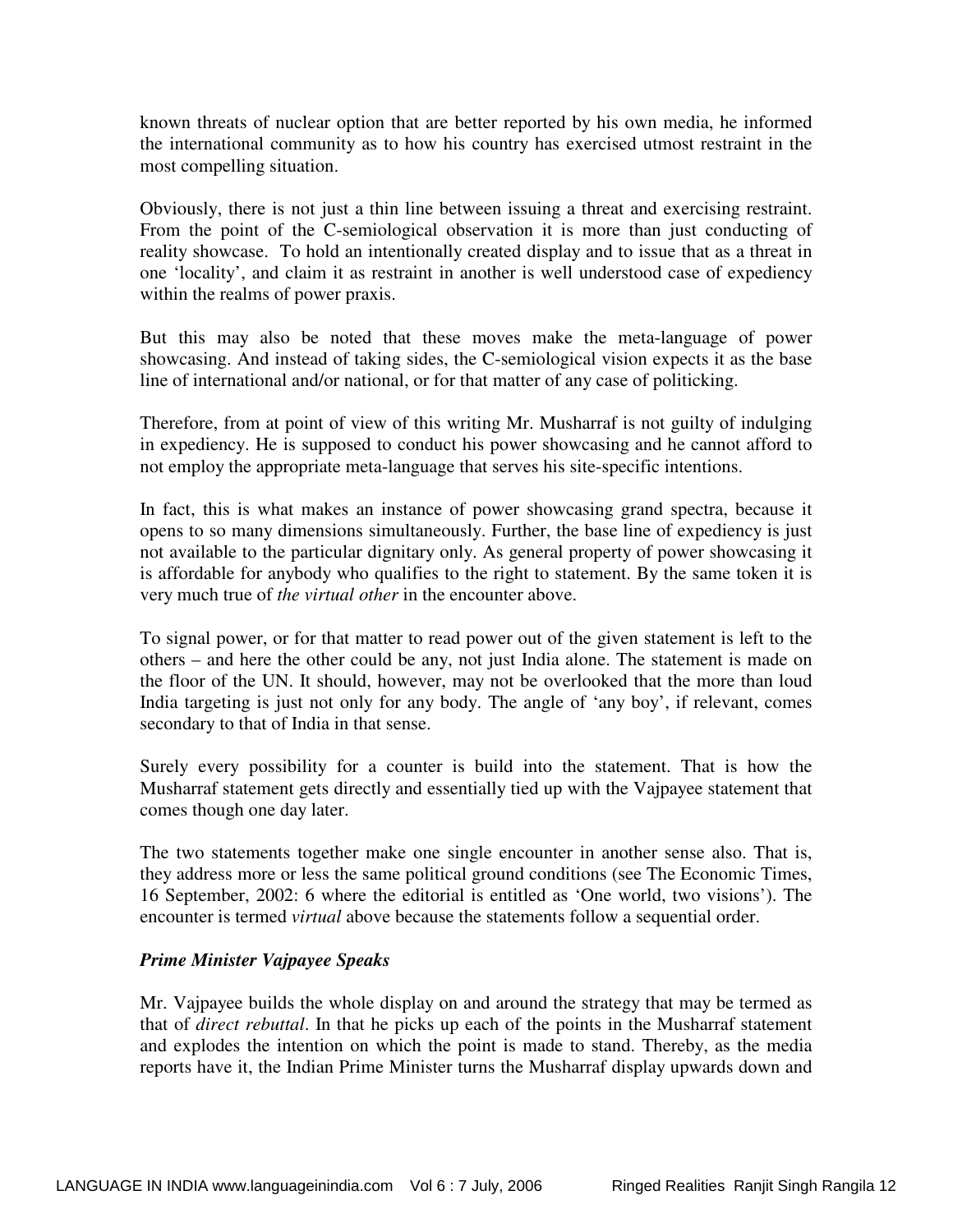known threats of nuclear option that are better reported by his own media, he informed the international community as to how his country has exercised utmost restraint in the most compelling situation.

Obviously, there is not just a thin line between issuing a threat and exercising restraint. From the point of the C-semiological observation it is more than just conducting of reality showcase. To hold an intentionally created display and to issue that as a threat in one 'locality', and claim it as restraint in another is well understood case of expediency within the realms of power praxis.

But this may also be noted that these moves make the meta-language of power showcasing. And instead of taking sides, the C-semiological vision expects it as the base line of international and/or national, or for that matter of any case of politicking.

Therefore, from at point of view of this writing Mr. Musharraf is not guilty of indulging in expediency. He is supposed to conduct his power showcasing and he cannot afford to not employ the appropriate meta-language that serves his site-specific intentions.

In fact, this is what makes an instance of power showcasing grand spectra, because it opens to so many dimensions simultaneously. Further, the base line of expediency is just not available to the particular dignitary only. As general property of power showcasing it is affordable for anybody who qualifies to the right to statement. By the same token it is very much true of *the virtual other* in the encounter above.

To signal power, or for that matter to read power out of the given statement is left to the others – and here the other could be any, not just India alone. The statement is made on the floor of the UN. It should, however, may not be overlooked that the more than loud India targeting is just not only for any body. The angle of 'any boy', if relevant, comes secondary to that of India in that sense.

Surely every possibility for a counter is build into the statement. That is how the Musharraf statement gets directly and essentially tied up with the Vajpayee statement that comes though one day later.

The two statements together make one single encounter in another sense also. That is, they address more or less the same political ground conditions (see The Economic Times, 16 September, 2002: 6 where the editorial is entitled as 'One world, two visions'). The encounter is termed *virtual* above because the statements follow a sequential order.

## *Prime Minister Vajpayee Speaks*

Mr. Vajpayee builds the whole display on and around the strategy that may be termed as that of *direct rebuttal*. In that he picks up each of the points in the Musharraf statement and explodes the intention on which the point is made to stand. Thereby, as the media reports have it, the Indian Prime Minister turns the Musharraf display upwards down and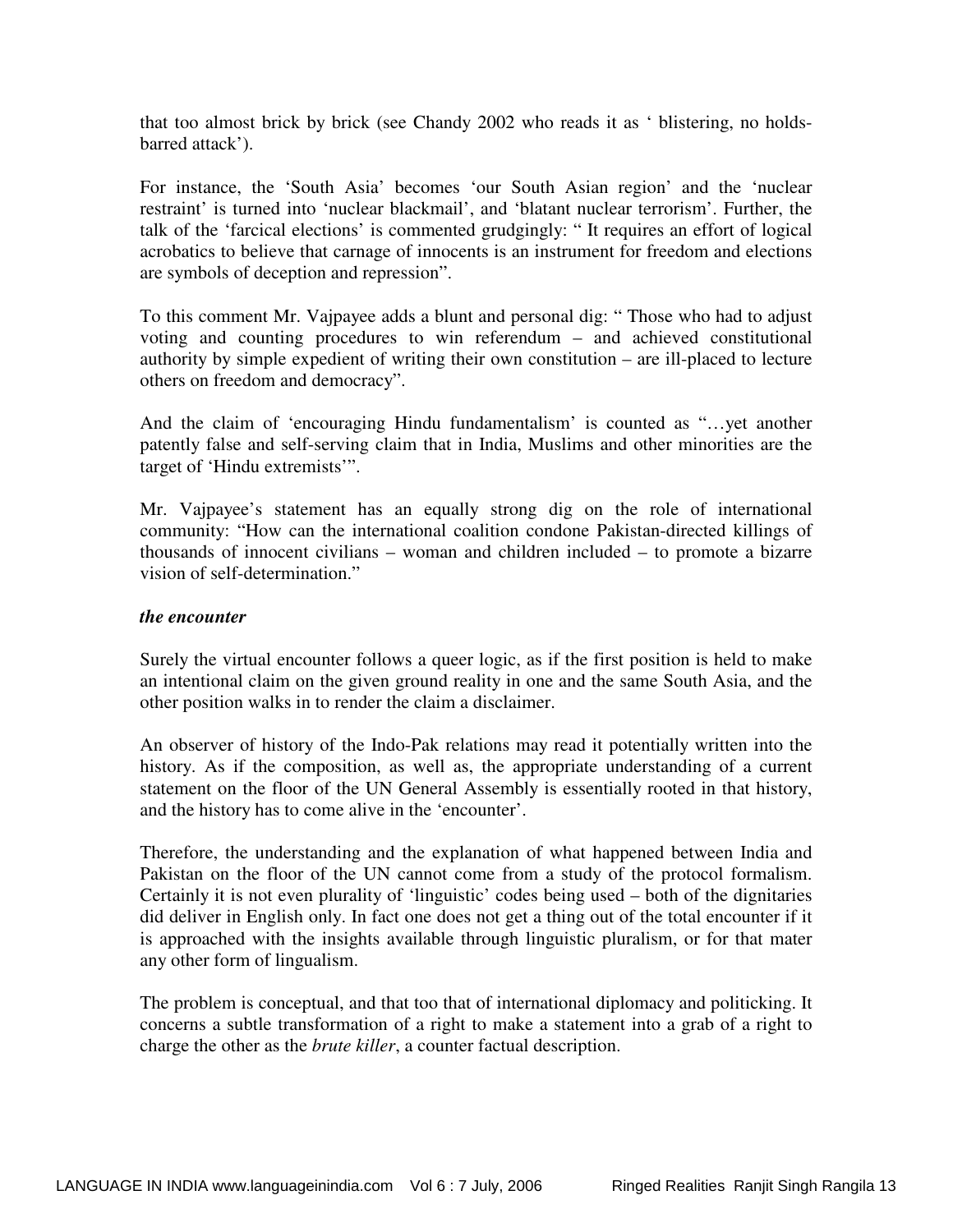that too almost brick by brick (see Chandy 2002 who reads it as ' blistering, no holdsbarred attack').

For instance, the 'South Asia' becomes 'our South Asian region' and the 'nuclear restraint' is turned into 'nuclear blackmail', and 'blatant nuclear terrorism'. Further, the talk of the 'farcical elections' is commented grudgingly: " It requires an effort of logical acrobatics to believe that carnage of innocents is an instrument for freedom and elections are symbols of deception and repression".

To this comment Mr. Vajpayee adds a blunt and personal dig: " Those who had to adjust voting and counting procedures to win referendum – and achieved constitutional authority by simple expedient of writing their own constitution – are ill-placed to lecture others on freedom and democracy".

And the claim of 'encouraging Hindu fundamentalism' is counted as "…yet another patently false and self-serving claim that in India, Muslims and other minorities are the target of 'Hindu extremists'".

Mr. Vajpayee's statement has an equally strong dig on the role of international community: "How can the international coalition condone Pakistan-directed killings of thousands of innocent civilians – woman and children included – to promote a bizarre vision of self-determination."

## *the encounter*

Surely the virtual encounter follows a queer logic, as if the first position is held to make an intentional claim on the given ground reality in one and the same South Asia, and the other position walks in to render the claim a disclaimer.

An observer of history of the Indo-Pak relations may read it potentially written into the history. As if the composition, as well as, the appropriate understanding of a current statement on the floor of the UN General Assembly is essentially rooted in that history, and the history has to come alive in the 'encounter'.

Therefore, the understanding and the explanation of what happened between India and Pakistan on the floor of the UN cannot come from a study of the protocol formalism. Certainly it is not even plurality of 'linguistic' codes being used – both of the dignitaries did deliver in English only. In fact one does not get a thing out of the total encounter if it is approached with the insights available through linguistic pluralism, or for that mater any other form of lingualism.

The problem is conceptual, and that too that of international diplomacy and politicking. It concerns a subtle transformation of a right to make a statement into a grab of a right to charge the other as the *brute killer*, a counter factual description.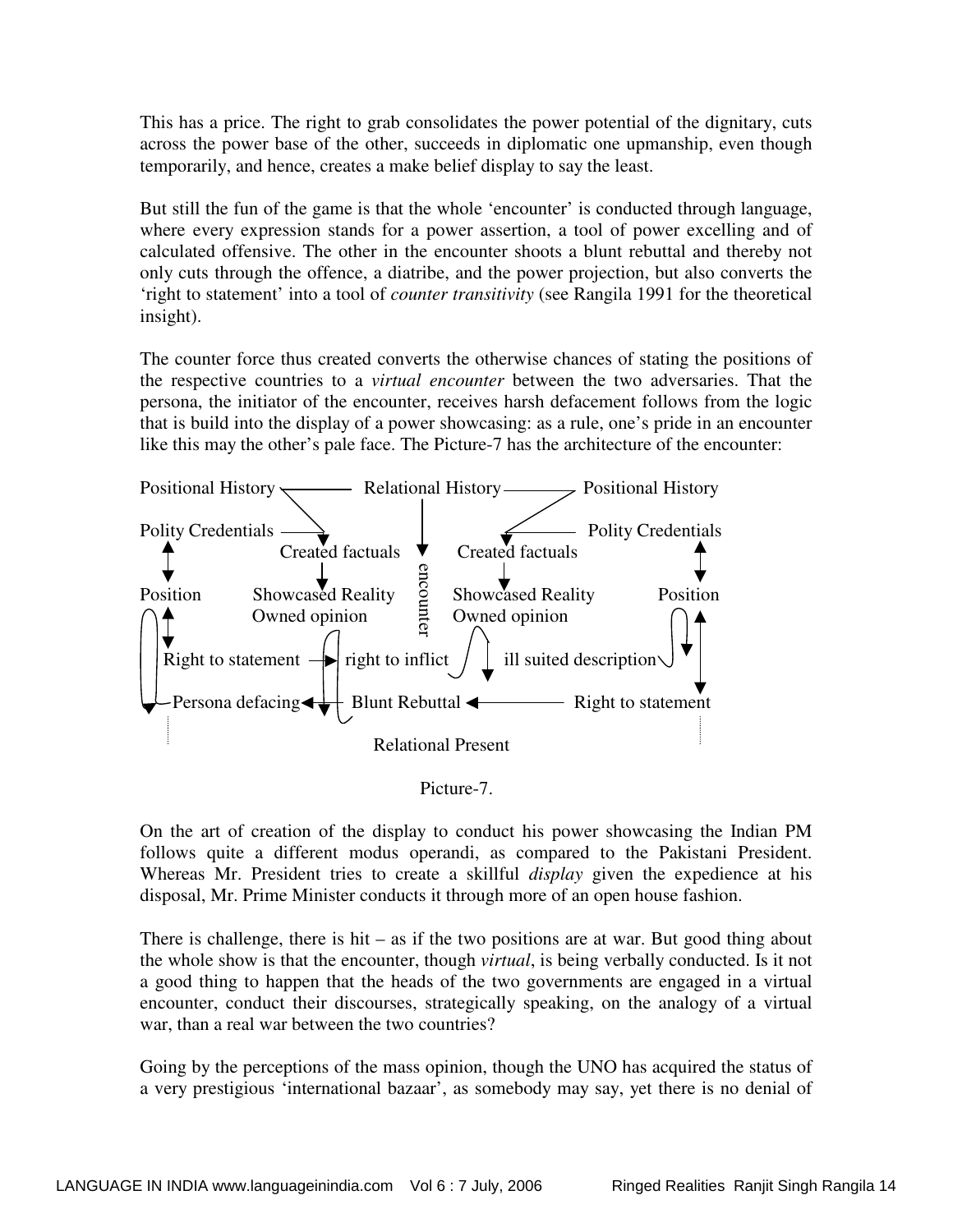This has a price. The right to grab consolidates the power potential of the dignitary, cuts across the power base of the other, succeeds in diplomatic one upmanship, even though temporarily, and hence, creates a make belief display to say the least.

But still the fun of the game is that the whole 'encounter' is conducted through language, where every expression stands for a power assertion, a tool of power excelling and of calculated offensive. The other in the encounter shoots a blunt rebuttal and thereby not only cuts through the offence, a diatribe, and the power projection, but also converts the 'right to statement' into a tool of *counter transitivity* (see Rangila 1991 for the theoretical insight).

The counter force thus created converts the otherwise chances of stating the positions of the respective countries to a *virtual encounter* between the two adversaries. That the persona, the initiator of the encounter, receives harsh defacement follows from the logic that is build into the display of a power showcasing: as a rule, one's pride in an encounter like this may the other's pale face. The Picture-7 has the architecture of the encounter:



Picture-7.

On the art of creation of the display to conduct his power showcasing the Indian PM follows quite a different modus operandi, as compared to the Pakistani President. Whereas Mr. President tries to create a skillful *display* given the expedience at his disposal, Mr. Prime Minister conducts it through more of an open house fashion.

There is challenge, there is hit – as if the two positions are at war. But good thing about the whole show is that the encounter, though *virtual*, is being verbally conducted. Is it not a good thing to happen that the heads of the two governments are engaged in a virtual encounter, conduct their discourses, strategically speaking, on the analogy of a virtual war, than a real war between the two countries?

Going by the perceptions of the mass opinion, though the UNO has acquired the status of a very prestigious 'international bazaar', as somebody may say, yet there is no denial of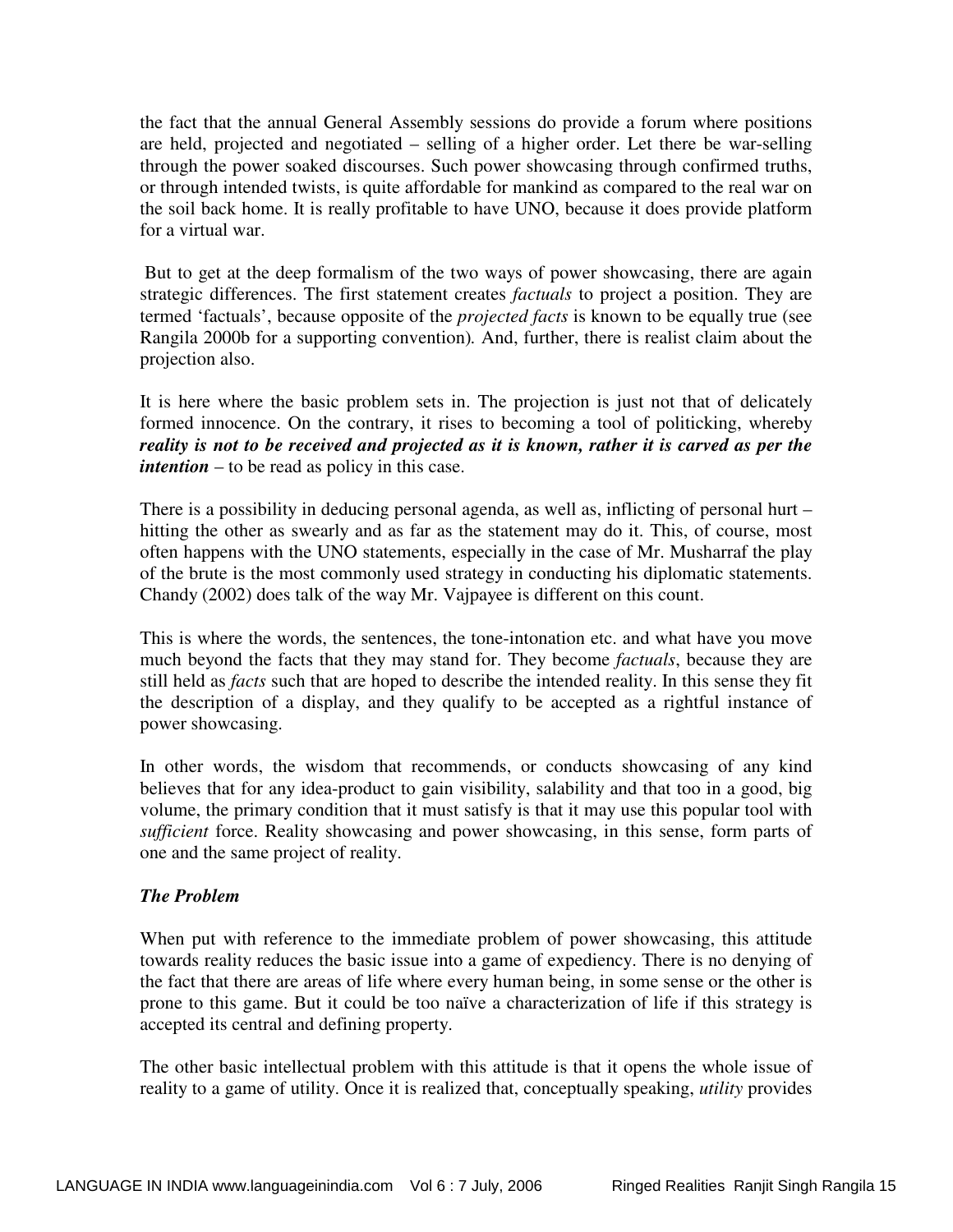the fact that the annual General Assembly sessions do provide a forum where positions are held, projected and negotiated – selling of a higher order. Let there be war-selling through the power soaked discourses. Such power showcasing through confirmed truths, or through intended twists, is quite affordable for mankind as compared to the real war on the soil back home. It is really profitable to have UNO, because it does provide platform for a virtual war.

 But to get at the deep formalism of the two ways of power showcasing, there are again strategic differences. The first statement creates *factuals* to project a position. They are termed 'factuals', because opposite of the *projected facts* is known to be equally true (see Rangila 2000b for a supporting convention)*.* And, further, there is realist claim about the projection also.

It is here where the basic problem sets in. The projection is just not that of delicately formed innocence. On the contrary, it rises to becoming a tool of politicking, whereby *reality is not to be received and projected as it is known, rather it is carved as per the intention* – to be read as policy in this case.

There is a possibility in deducing personal agenda, as well as, inflicting of personal hurt – hitting the other as swearly and as far as the statement may do it. This, of course, most often happens with the UNO statements, especially in the case of Mr. Musharraf the play of the brute is the most commonly used strategy in conducting his diplomatic statements. Chandy (2002) does talk of the way Mr. Vajpayee is different on this count.

This is where the words, the sentences, the tone-intonation etc. and what have you move much beyond the facts that they may stand for. They become *factuals*, because they are still held as *facts* such that are hoped to describe the intended reality. In this sense they fit the description of a display, and they qualify to be accepted as a rightful instance of power showcasing.

In other words, the wisdom that recommends, or conducts showcasing of any kind believes that for any idea-product to gain visibility, salability and that too in a good, big volume, the primary condition that it must satisfy is that it may use this popular tool with *sufficient* force. Reality showcasing and power showcasing, in this sense, form parts of one and the same project of reality.

## *The Problem*

When put with reference to the immediate problem of power showcasing, this attitude towards reality reduces the basic issue into a game of expediency. There is no denying of the fact that there are areas of life where every human being, in some sense or the other is prone to this game. But it could be too naïve a characterization of life if this strategy is accepted its central and defining property.

The other basic intellectual problem with this attitude is that it opens the whole issue of reality to a game of utility. Once it is realized that, conceptually speaking, *utility* provides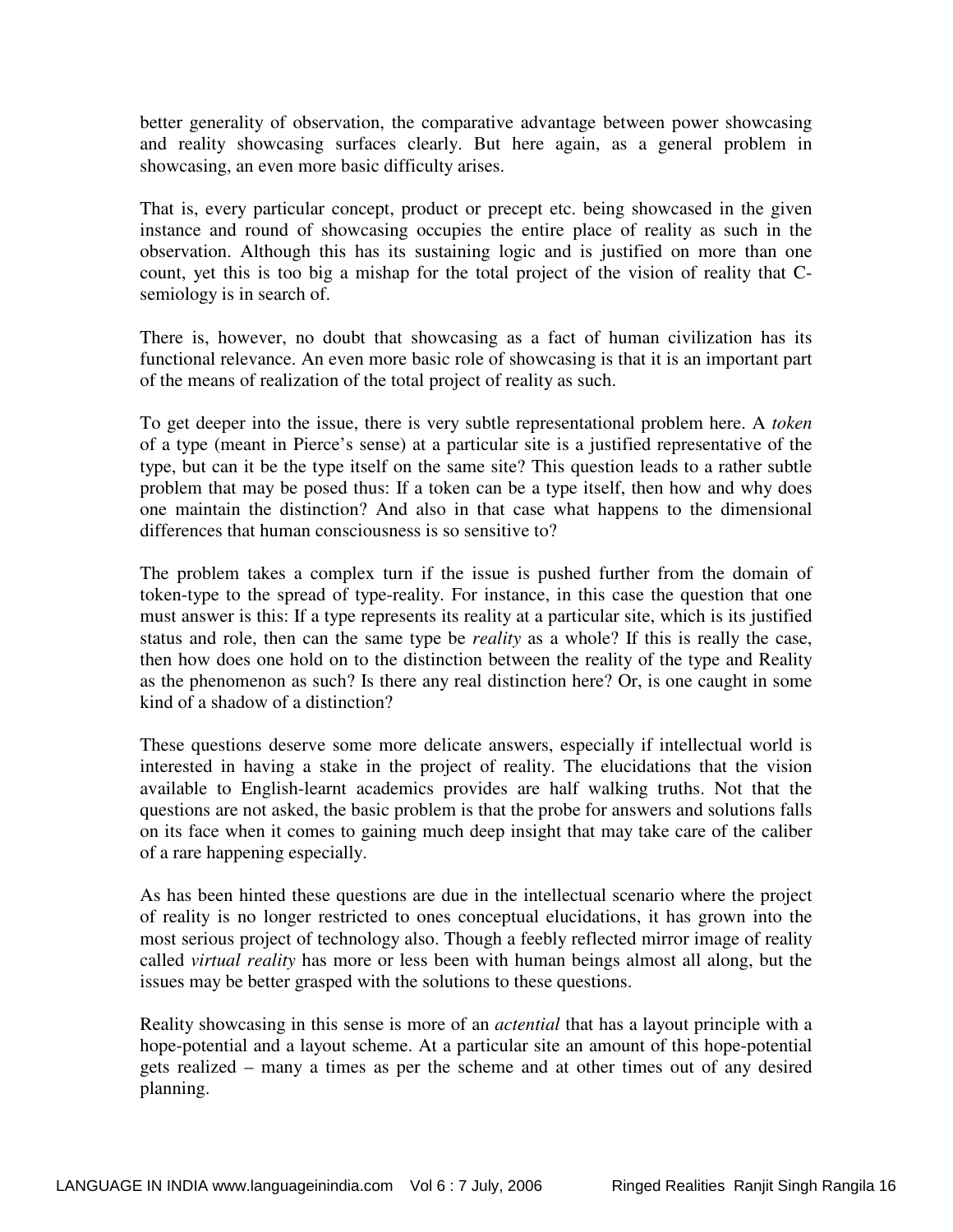better generality of observation, the comparative advantage between power showcasing and reality showcasing surfaces clearly. But here again, as a general problem in showcasing, an even more basic difficulty arises.

That is, every particular concept, product or precept etc. being showcased in the given instance and round of showcasing occupies the entire place of reality as such in the observation. Although this has its sustaining logic and is justified on more than one count, yet this is too big a mishap for the total project of the vision of reality that Csemiology is in search of.

There is, however, no doubt that showcasing as a fact of human civilization has its functional relevance. An even more basic role of showcasing is that it is an important part of the means of realization of the total project of reality as such.

To get deeper into the issue, there is very subtle representational problem here. A *token* of a type (meant in Pierce's sense) at a particular site is a justified representative of the type, but can it be the type itself on the same site? This question leads to a rather subtle problem that may be posed thus: If a token can be a type itself, then how and why does one maintain the distinction? And also in that case what happens to the dimensional differences that human consciousness is so sensitive to?

The problem takes a complex turn if the issue is pushed further from the domain of token-type to the spread of type-reality. For instance, in this case the question that one must answer is this: If a type represents its reality at a particular site, which is its justified status and role, then can the same type be *reality* as a whole? If this is really the case, then how does one hold on to the distinction between the reality of the type and Reality as the phenomenon as such? Is there any real distinction here? Or, is one caught in some kind of a shadow of a distinction?

These questions deserve some more delicate answers, especially if intellectual world is interested in having a stake in the project of reality. The elucidations that the vision available to English-learnt academics provides are half walking truths. Not that the questions are not asked, the basic problem is that the probe for answers and solutions falls on its face when it comes to gaining much deep insight that may take care of the caliber of a rare happening especially.

As has been hinted these questions are due in the intellectual scenario where the project of reality is no longer restricted to ones conceptual elucidations, it has grown into the most serious project of technology also. Though a feebly reflected mirror image of reality called *virtual reality* has more or less been with human beings almost all along, but the issues may be better grasped with the solutions to these questions.

Reality showcasing in this sense is more of an *actential* that has a layout principle with a hope-potential and a layout scheme. At a particular site an amount of this hope-potential gets realized – many a times as per the scheme and at other times out of any desired planning.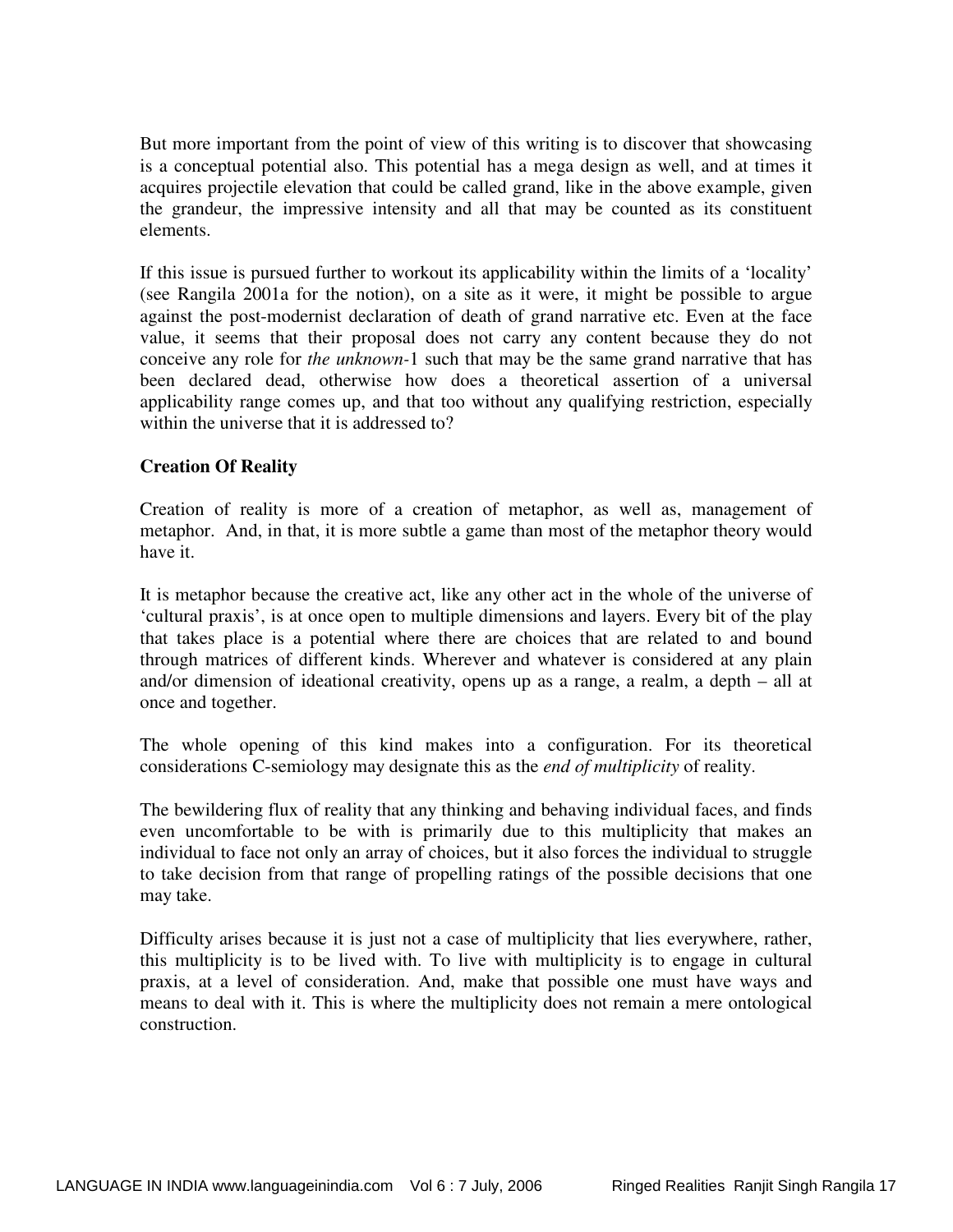But more important from the point of view of this writing is to discover that showcasing is a conceptual potential also. This potential has a mega design as well, and at times it acquires projectile elevation that could be called grand, like in the above example, given the grandeur, the impressive intensity and all that may be counted as its constituent elements.

If this issue is pursued further to workout its applicability within the limits of a 'locality' (see Rangila 2001a for the notion), on a site as it were, it might be possible to argue against the post-modernist declaration of death of grand narrative etc. Even at the face value, it seems that their proposal does not carry any content because they do not conceive any role for *the unknown-*1 such that may be the same grand narrative that has been declared dead, otherwise how does a theoretical assertion of a universal applicability range comes up, and that too without any qualifying restriction, especially within the universe that it is addressed to?

## **Creation Of Reality**

Creation of reality is more of a creation of metaphor, as well as, management of metaphor. And, in that, it is more subtle a game than most of the metaphor theory would have it.

It is metaphor because the creative act, like any other act in the whole of the universe of 'cultural praxis', is at once open to multiple dimensions and layers. Every bit of the play that takes place is a potential where there are choices that are related to and bound through matrices of different kinds. Wherever and whatever is considered at any plain and/or dimension of ideational creativity, opens up as a range, a realm, a depth – all at once and together.

The whole opening of this kind makes into a configuration. For its theoretical considerations C-semiology may designate this as the *end of multiplicity* of reality.

The bewildering flux of reality that any thinking and behaving individual faces, and finds even uncomfortable to be with is primarily due to this multiplicity that makes an individual to face not only an array of choices, but it also forces the individual to struggle to take decision from that range of propelling ratings of the possible decisions that one may take.

Difficulty arises because it is just not a case of multiplicity that lies everywhere, rather, this multiplicity is to be lived with. To live with multiplicity is to engage in cultural praxis, at a level of consideration. And, make that possible one must have ways and means to deal with it. This is where the multiplicity does not remain a mere ontological construction.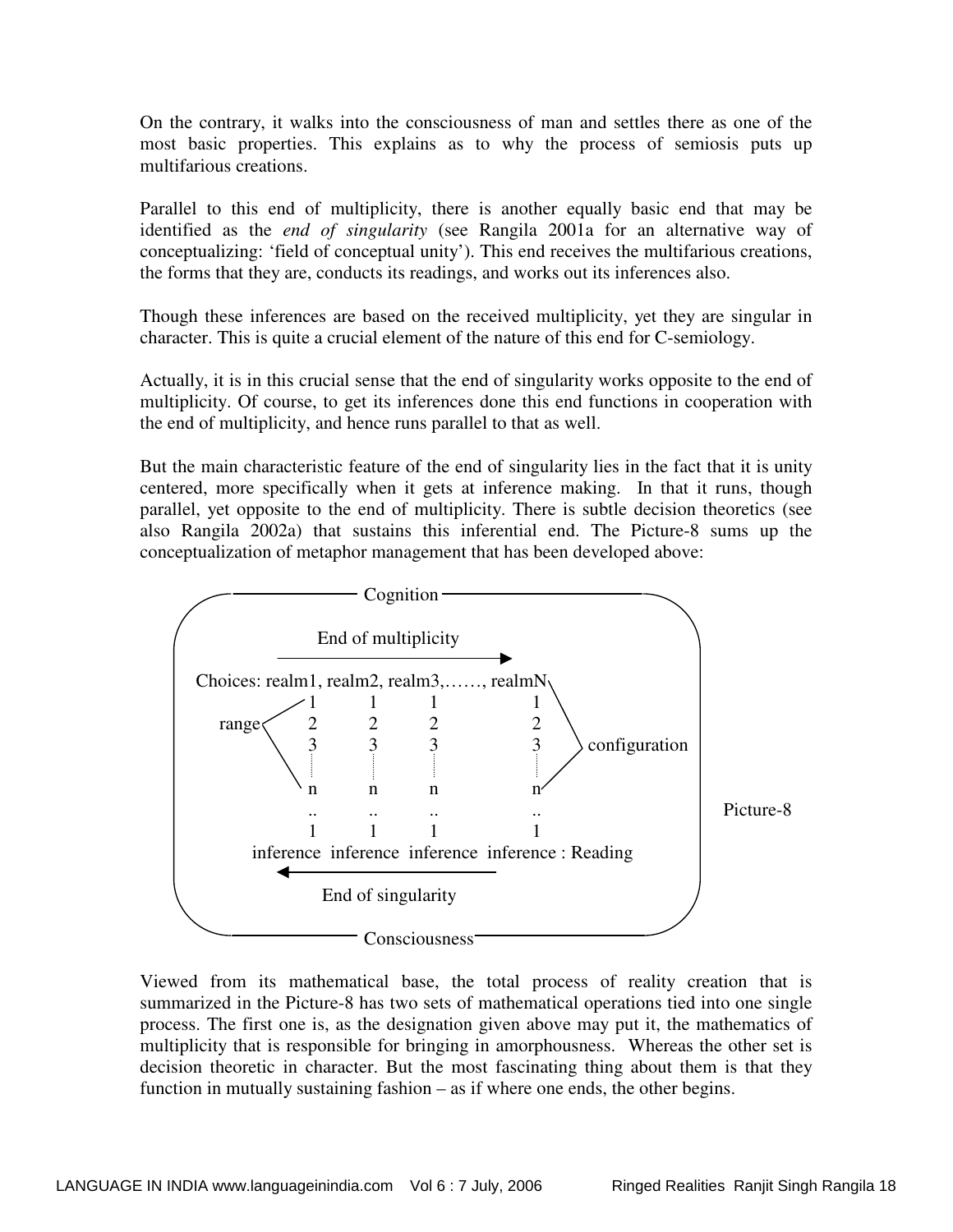On the contrary, it walks into the consciousness of man and settles there as one of the most basic properties. This explains as to why the process of semiosis puts up multifarious creations.

Parallel to this end of multiplicity, there is another equally basic end that may be identified as the *end of singularity* (see Rangila 2001a for an alternative way of conceptualizing: 'field of conceptual unity'). This end receives the multifarious creations, the forms that they are, conducts its readings, and works out its inferences also.

Though these inferences are based on the received multiplicity, yet they are singular in character. This is quite a crucial element of the nature of this end for C-semiology.

Actually, it is in this crucial sense that the end of singularity works opposite to the end of multiplicity. Of course, to get its inferences done this end functions in cooperation with the end of multiplicity, and hence runs parallel to that as well.

But the main characteristic feature of the end of singularity lies in the fact that it is unity centered, more specifically when it gets at inference making. In that it runs, though parallel, yet opposite to the end of multiplicity. There is subtle decision theoretics (see also Rangila 2002a) that sustains this inferential end. The Picture-8 sums up the conceptualization of metaphor management that has been developed above:



Viewed from its mathematical base, the total process of reality creation that is summarized in the Picture-8 has two sets of mathematical operations tied into one single process. The first one is, as the designation given above may put it, the mathematics of multiplicity that is responsible for bringing in amorphousness. Whereas the other set is decision theoretic in character. But the most fascinating thing about them is that they function in mutually sustaining fashion – as if where one ends, the other begins.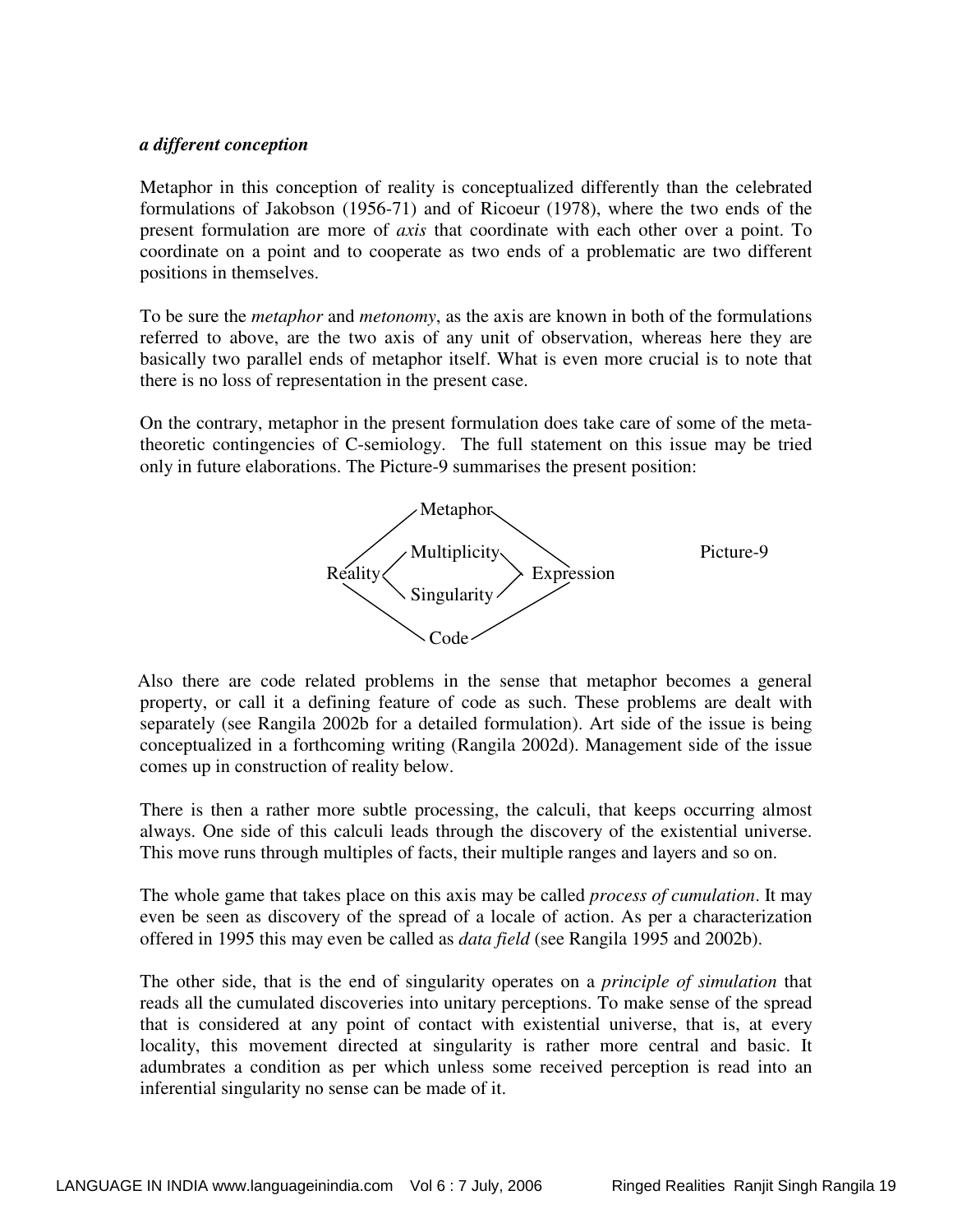## *a different conception*

Metaphor in this conception of reality is conceptualized differently than the celebrated formulations of Jakobson (1956-71) and of Ricoeur (1978), where the two ends of the present formulation are more of *axis* that coordinate with each other over a point. To coordinate on a point and to cooperate as two ends of a problematic are two different positions in themselves.

To be sure the *metaphor* and *metonomy*, as the axis are known in both of the formulations referred to above, are the two axis of any unit of observation, whereas here they are basically two parallel ends of metaphor itself. What is even more crucial is to note that there is no loss of representation in the present case.

On the contrary, metaphor in the present formulation does take care of some of the metatheoretic contingencies of C-semiology. The full statement on this issue may be tried only in future elaborations. The Picture-9 summarises the present position:



 Also there are code related problems in the sense that metaphor becomes a general property, or call it a defining feature of code as such. These problems are dealt with separately (see Rangila 2002b for a detailed formulation). Art side of the issue is being conceptualized in a forthcoming writing (Rangila 2002d). Management side of the issue comes up in construction of reality below.

There is then a rather more subtle processing, the calculi, that keeps occurring almost always. One side of this calculi leads through the discovery of the existential universe. This move runs through multiples of facts, their multiple ranges and layers and so on.

The whole game that takes place on this axis may be called *process of cumulation*. It may even be seen as discovery of the spread of a locale of action. As per a characterization offered in 1995 this may even be called as *data field* (see Rangila 1995 and 2002b).

The other side, that is the end of singularity operates on a *principle of simulation* that reads all the cumulated discoveries into unitary perceptions. To make sense of the spread that is considered at any point of contact with existential universe, that is, at every locality, this movement directed at singularity is rather more central and basic. It adumbrates a condition as per which unless some received perception is read into an inferential singularity no sense can be made of it.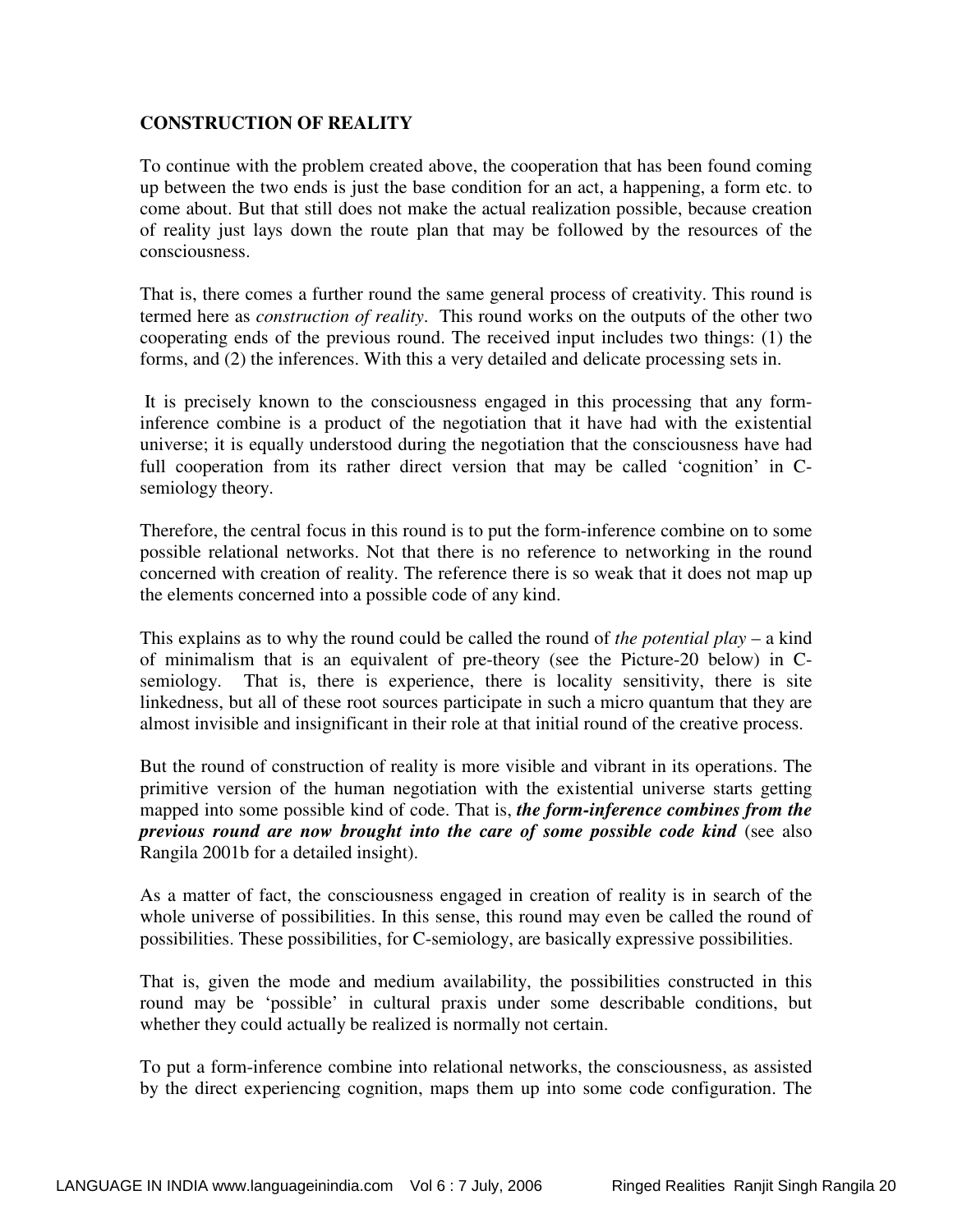## **CONSTRUCTION OF REALITY**

To continue with the problem created above, the cooperation that has been found coming up between the two ends is just the base condition for an act, a happening, a form etc. to come about. But that still does not make the actual realization possible, because creation of reality just lays down the route plan that may be followed by the resources of the consciousness.

That is, there comes a further round the same general process of creativity. This round is termed here as *construction of reality*. This round works on the outputs of the other two cooperating ends of the previous round. The received input includes two things: (1) the forms, and (2) the inferences. With this a very detailed and delicate processing sets in.

 It is precisely known to the consciousness engaged in this processing that any forminference combine is a product of the negotiation that it have had with the existential universe; it is equally understood during the negotiation that the consciousness have had full cooperation from its rather direct version that may be called 'cognition' in Csemiology theory.

Therefore, the central focus in this round is to put the form-inference combine on to some possible relational networks. Not that there is no reference to networking in the round concerned with creation of reality. The reference there is so weak that it does not map up the elements concerned into a possible code of any kind.

This explains as to why the round could be called the round of *the potential play* – a kind of minimalism that is an equivalent of pre-theory (see the Picture-20 below) in Csemiology. That is, there is experience, there is locality sensitivity, there is site linkedness, but all of these root sources participate in such a micro quantum that they are almost invisible and insignificant in their role at that initial round of the creative process.

But the round of construction of reality is more visible and vibrant in its operations. The primitive version of the human negotiation with the existential universe starts getting mapped into some possible kind of code. That is, *the form-inference combines from the previous round are now brought into the care of some possible code kind* (see also Rangila 2001b for a detailed insight).

As a matter of fact, the consciousness engaged in creation of reality is in search of the whole universe of possibilities. In this sense, this round may even be called the round of possibilities. These possibilities, for C-semiology, are basically expressive possibilities.

That is, given the mode and medium availability, the possibilities constructed in this round may be 'possible' in cultural praxis under some describable conditions, but whether they could actually be realized is normally not certain.

To put a form-inference combine into relational networks, the consciousness, as assisted by the direct experiencing cognition, maps them up into some code configuration. The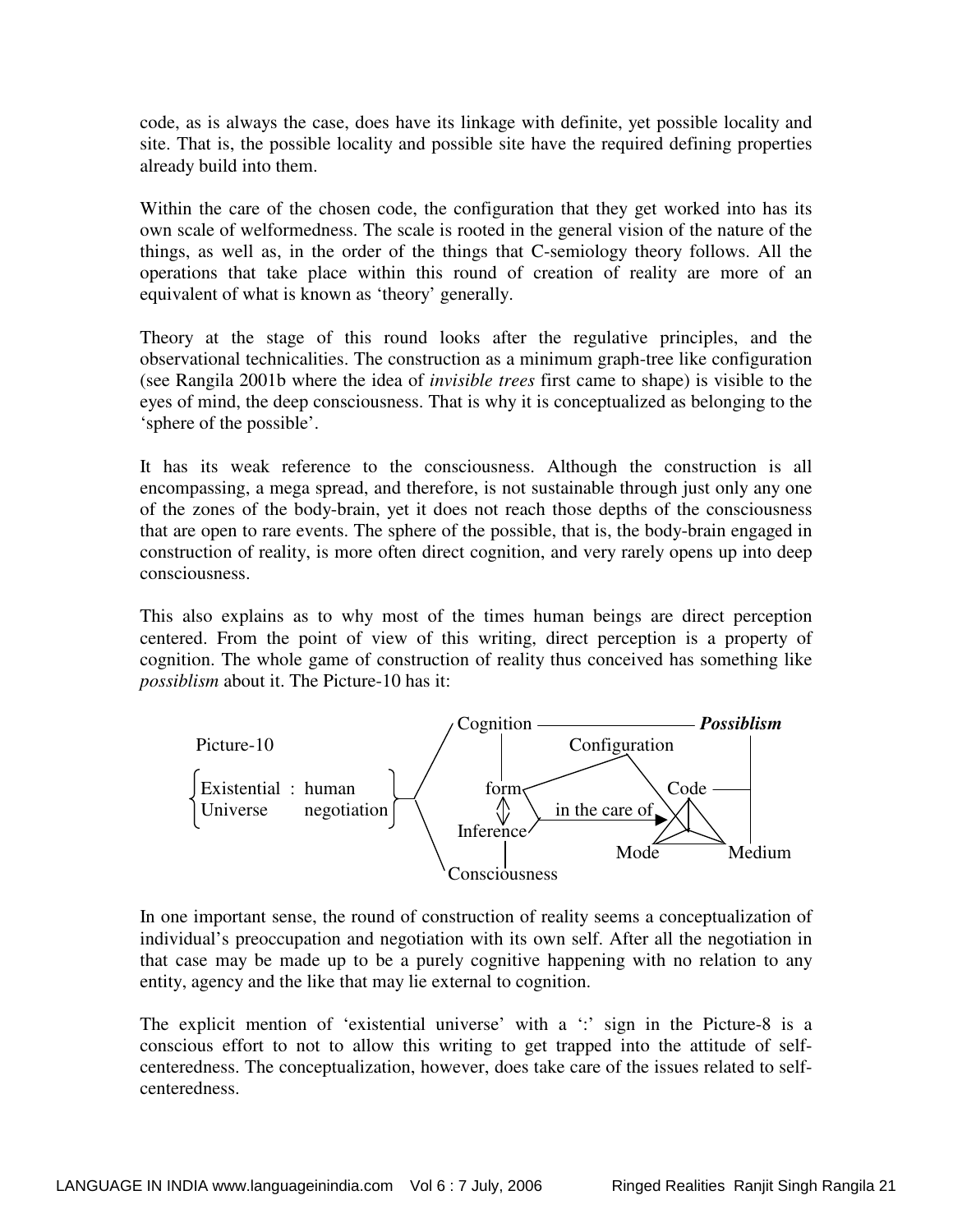code, as is always the case, does have its linkage with definite, yet possible locality and site. That is, the possible locality and possible site have the required defining properties already build into them.

Within the care of the chosen code, the configuration that they get worked into has its own scale of welformedness. The scale is rooted in the general vision of the nature of the things, as well as, in the order of the things that C-semiology theory follows. All the operations that take place within this round of creation of reality are more of an equivalent of what is known as 'theory' generally.

Theory at the stage of this round looks after the regulative principles, and the observational technicalities. The construction as a minimum graph-tree like configuration (see Rangila 2001b where the idea of *invisible trees* first came to shape) is visible to the eyes of mind, the deep consciousness. That is why it is conceptualized as belonging to the 'sphere of the possible'.

It has its weak reference to the consciousness. Although the construction is all encompassing, a mega spread, and therefore, is not sustainable through just only any one of the zones of the body-brain, yet it does not reach those depths of the consciousness that are open to rare events. The sphere of the possible, that is, the body-brain engaged in construction of reality, is more often direct cognition, and very rarely opens up into deep consciousness.

This also explains as to why most of the times human beings are direct perception centered. From the point of view of this writing, direct perception is a property of cognition. The whole game of construction of reality thus conceived has something like *possiblism* about it. The Picture-10 has it:



In one important sense, the round of construction of reality seems a conceptualization of individual's preoccupation and negotiation with its own self. After all the negotiation in that case may be made up to be a purely cognitive happening with no relation to any entity, agency and the like that may lie external to cognition.

The explicit mention of 'existential universe' with a ':' sign in the Picture-8 is a conscious effort to not to allow this writing to get trapped into the attitude of selfcenteredness. The conceptualization, however, does take care of the issues related to selfcenteredness.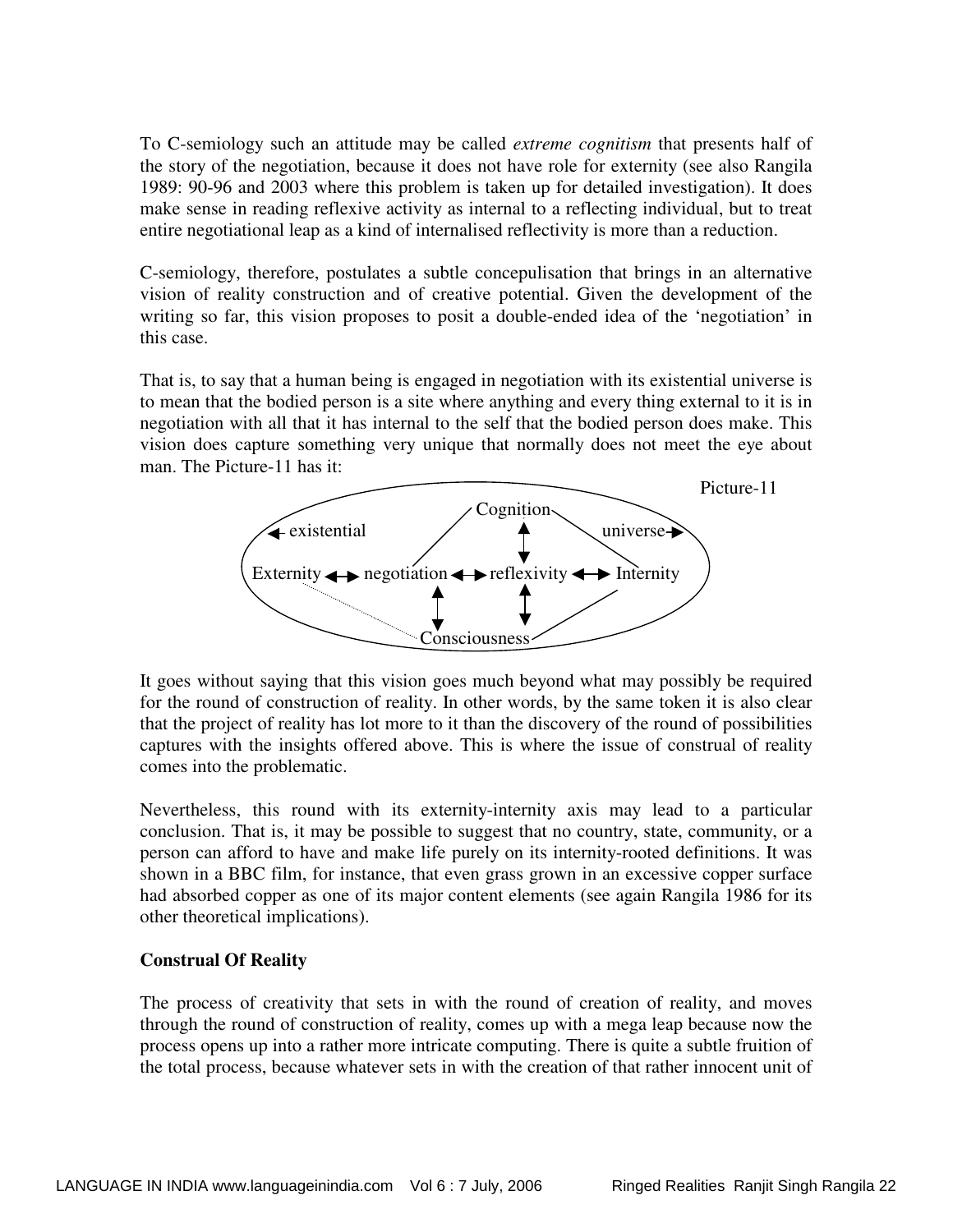To C-semiology such an attitude may be called *extreme cognitism* that presents half of the story of the negotiation, because it does not have role for externity (see also Rangila 1989: 90-96 and 2003 where this problem is taken up for detailed investigation). It does make sense in reading reflexive activity as internal to a reflecting individual, but to treat entire negotiational leap as a kind of internalised reflectivity is more than a reduction.

C-semiology, therefore, postulates a subtle concepulisation that brings in an alternative vision of reality construction and of creative potential. Given the development of the writing so far, this vision proposes to posit a double-ended idea of the 'negotiation' in this case.

That is, to say that a human being is engaged in negotiation with its existential universe is to mean that the bodied person is a site where anything and every thing external to it is in negotiation with all that it has internal to the self that the bodied person does make. This vision does capture something very unique that normally does not meet the eye about man. The Picture-11 has it:



It goes without saying that this vision goes much beyond what may possibly be required for the round of construction of reality. In other words, by the same token it is also clear that the project of reality has lot more to it than the discovery of the round of possibilities captures with the insights offered above. This is where the issue of construal of reality comes into the problematic.

Nevertheless, this round with its externity-internity axis may lead to a particular conclusion. That is, it may be possible to suggest that no country, state, community, or a person can afford to have and make life purely on its internity-rooted definitions. It was shown in a BBC film, for instance, that even grass grown in an excessive copper surface had absorbed copper as one of its major content elements (see again Rangila 1986 for its other theoretical implications).

## **Construal Of Reality**

The process of creativity that sets in with the round of creation of reality, and moves through the round of construction of reality, comes up with a mega leap because now the process opens up into a rather more intricate computing. There is quite a subtle fruition of the total process, because whatever sets in with the creation of that rather innocent unit of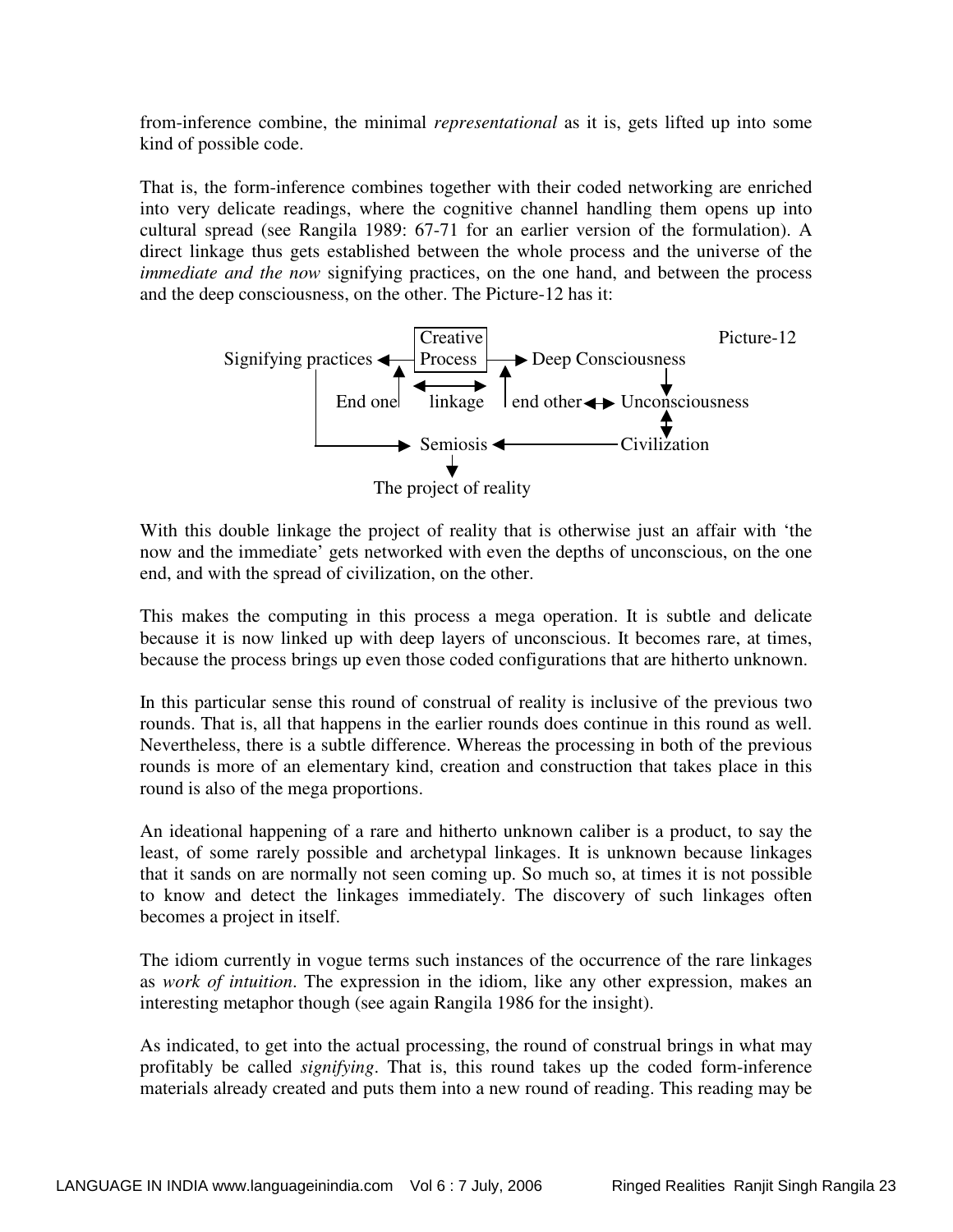from-inference combine, the minimal *representational* as it is, gets lifted up into some kind of possible code.

That is, the form-inference combines together with their coded networking are enriched into very delicate readings, where the cognitive channel handling them opens up into cultural spread (see Rangila 1989: 67-71 for an earlier version of the formulation). A direct linkage thus gets established between the whole process and the universe of the *immediate and the now* signifying practices, on the one hand, and between the process and the deep consciousness, on the other. The Picture-12 has it:



With this double linkage the project of reality that is otherwise just an affair with 'the now and the immediate' gets networked with even the depths of unconscious, on the one end, and with the spread of civilization, on the other.

This makes the computing in this process a mega operation. It is subtle and delicate because it is now linked up with deep layers of unconscious. It becomes rare, at times, because the process brings up even those coded configurations that are hitherto unknown.

In this particular sense this round of construal of reality is inclusive of the previous two rounds. That is, all that happens in the earlier rounds does continue in this round as well. Nevertheless, there is a subtle difference. Whereas the processing in both of the previous rounds is more of an elementary kind, creation and construction that takes place in this round is also of the mega proportions.

An ideational happening of a rare and hitherto unknown caliber is a product, to say the least, of some rarely possible and archetypal linkages. It is unknown because linkages that it sands on are normally not seen coming up. So much so, at times it is not possible to know and detect the linkages immediately. The discovery of such linkages often becomes a project in itself.

The idiom currently in vogue terms such instances of the occurrence of the rare linkages as *work of intuition*. The expression in the idiom, like any other expression, makes an interesting metaphor though (see again Rangila 1986 for the insight).

As indicated, to get into the actual processing, the round of construal brings in what may profitably be called *signifying*. That is, this round takes up the coded form-inference materials already created and puts them into a new round of reading. This reading may be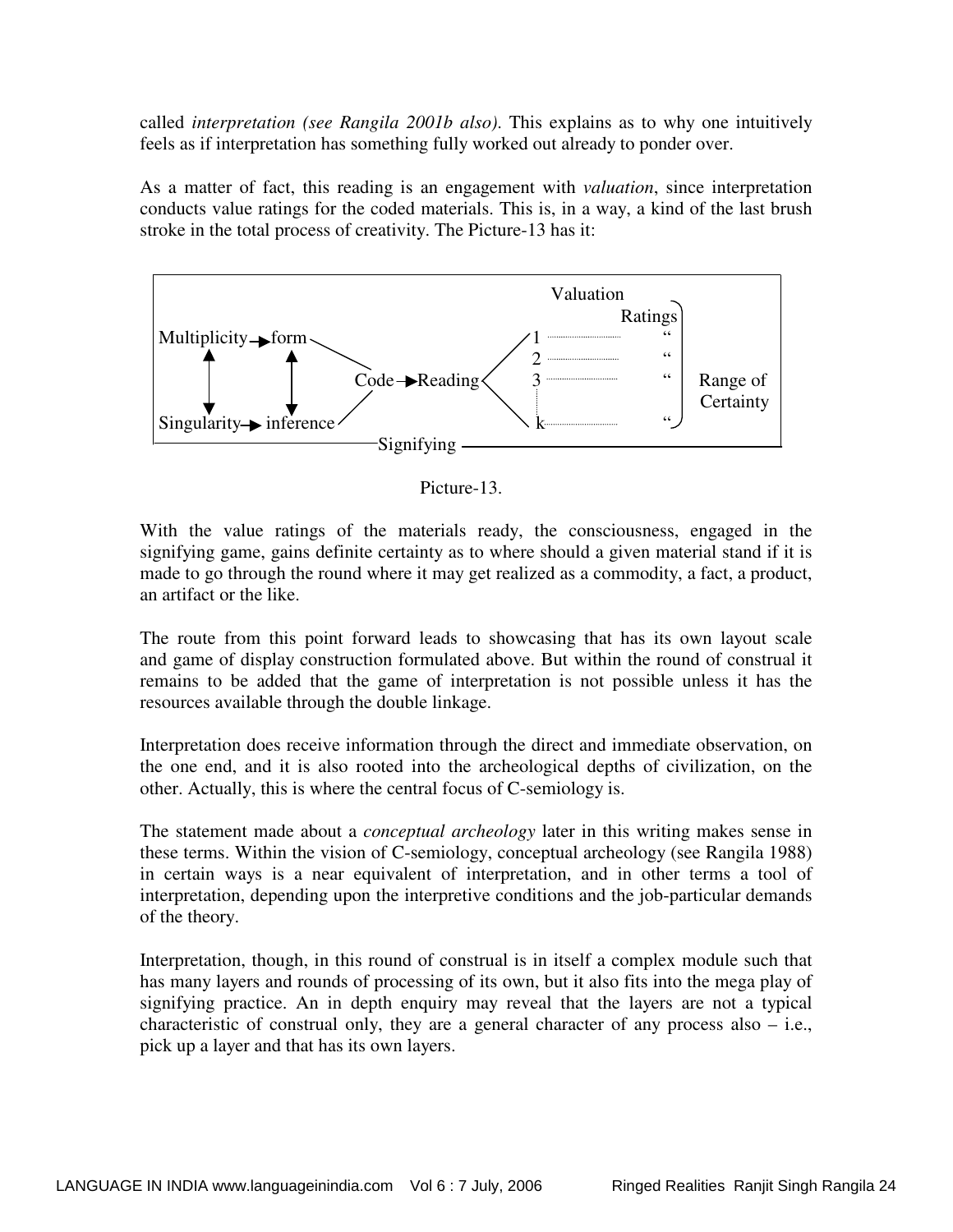called *interpretation (see Rangila 2001b also)*. This explains as to why one intuitively feels as if interpretation has something fully worked out already to ponder over.

As a matter of fact, this reading is an engagement with *valuation*, since interpretation conducts value ratings for the coded materials. This is, in a way, a kind of the last brush stroke in the total process of creativity. The Picture-13 has it:



Picture-13.

With the value ratings of the materials ready, the consciousness, engaged in the signifying game, gains definite certainty as to where should a given material stand if it is made to go through the round where it may get realized as a commodity, a fact, a product, an artifact or the like.

The route from this point forward leads to showcasing that has its own layout scale and game of display construction formulated above. But within the round of construal it remains to be added that the game of interpretation is not possible unless it has the resources available through the double linkage.

Interpretation does receive information through the direct and immediate observation, on the one end, and it is also rooted into the archeological depths of civilization, on the other. Actually, this is where the central focus of C-semiology is.

The statement made about a *conceptual archeology* later in this writing makes sense in these terms. Within the vision of C-semiology, conceptual archeology (see Rangila 1988) in certain ways is a near equivalent of interpretation, and in other terms a tool of interpretation, depending upon the interpretive conditions and the job-particular demands of the theory.

Interpretation, though, in this round of construal is in itself a complex module such that has many layers and rounds of processing of its own, but it also fits into the mega play of signifying practice. An in depth enquiry may reveal that the layers are not a typical characteristic of construal only, they are a general character of any process also – i.e., pick up a layer and that has its own layers.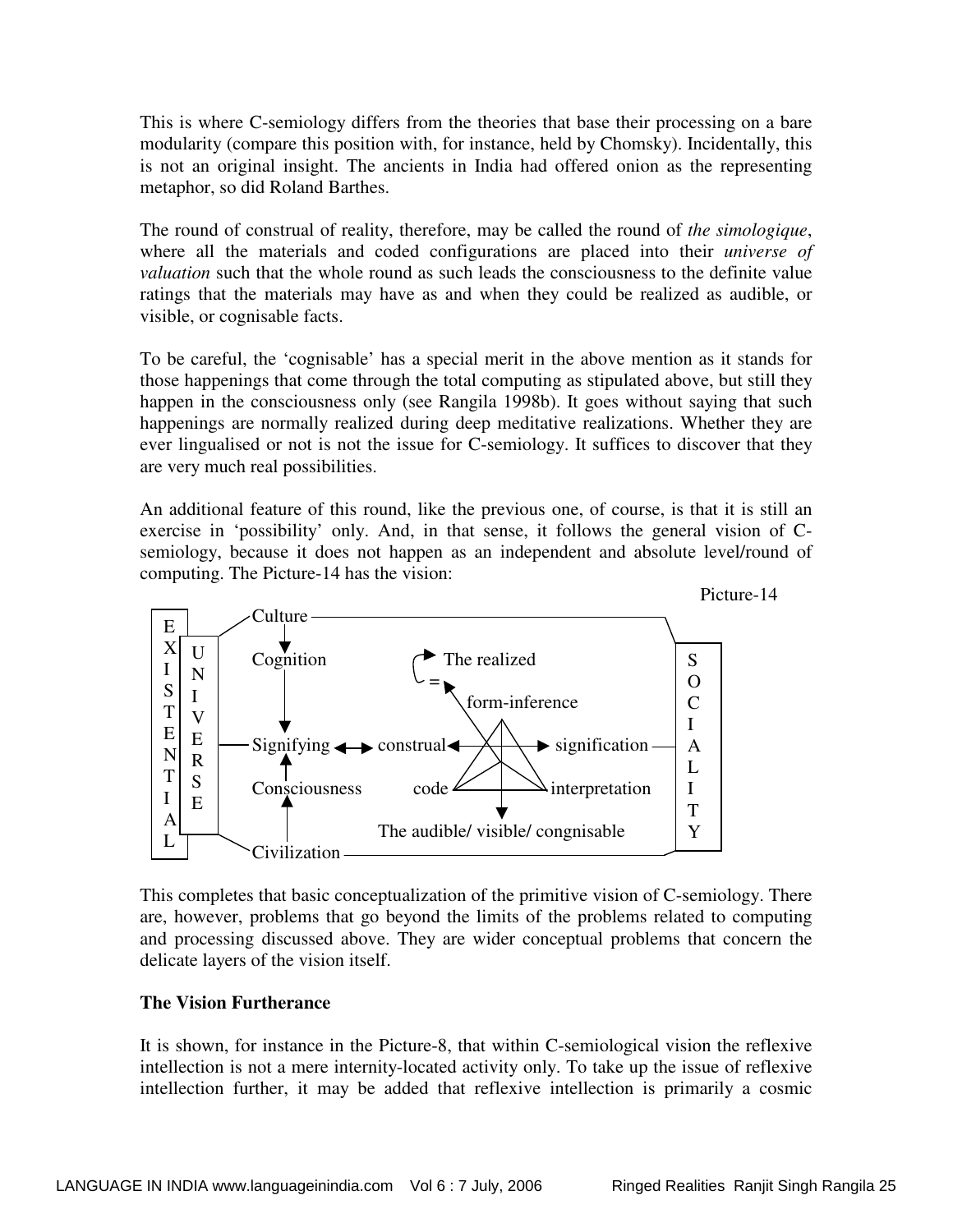This is where C-semiology differs from the theories that base their processing on a bare modularity (compare this position with, for instance, held by Chomsky). Incidentally, this is not an original insight. The ancients in India had offered onion as the representing metaphor, so did Roland Barthes.

The round of construal of reality, therefore, may be called the round of *the simologique*, where all the materials and coded configurations are placed into their *universe of valuation* such that the whole round as such leads the consciousness to the definite value ratings that the materials may have as and when they could be realized as audible, or visible, or cognisable facts.

To be careful, the 'cognisable' has a special merit in the above mention as it stands for those happenings that come through the total computing as stipulated above, but still they happen in the consciousness only (see Rangila 1998b). It goes without saying that such happenings are normally realized during deep meditative realizations. Whether they are ever lingualised or not is not the issue for C-semiology. It suffices to discover that they are very much real possibilities.

An additional feature of this round, like the previous one, of course, is that it is still an exercise in 'possibility' only. And, in that sense, it follows the general vision of Csemiology, because it does not happen as an independent and absolute level/round of computing. The Picture-14 has the vision:



This completes that basic conceptualization of the primitive vision of C-semiology. There are, however, problems that go beyond the limits of the problems related to computing and processing discussed above. They are wider conceptual problems that concern the delicate layers of the vision itself.

## **The Vision Furtherance**

It is shown, for instance in the Picture-8, that within C-semiological vision the reflexive intellection is not a mere internity-located activity only. To take up the issue of reflexive intellection further, it may be added that reflexive intellection is primarily a cosmic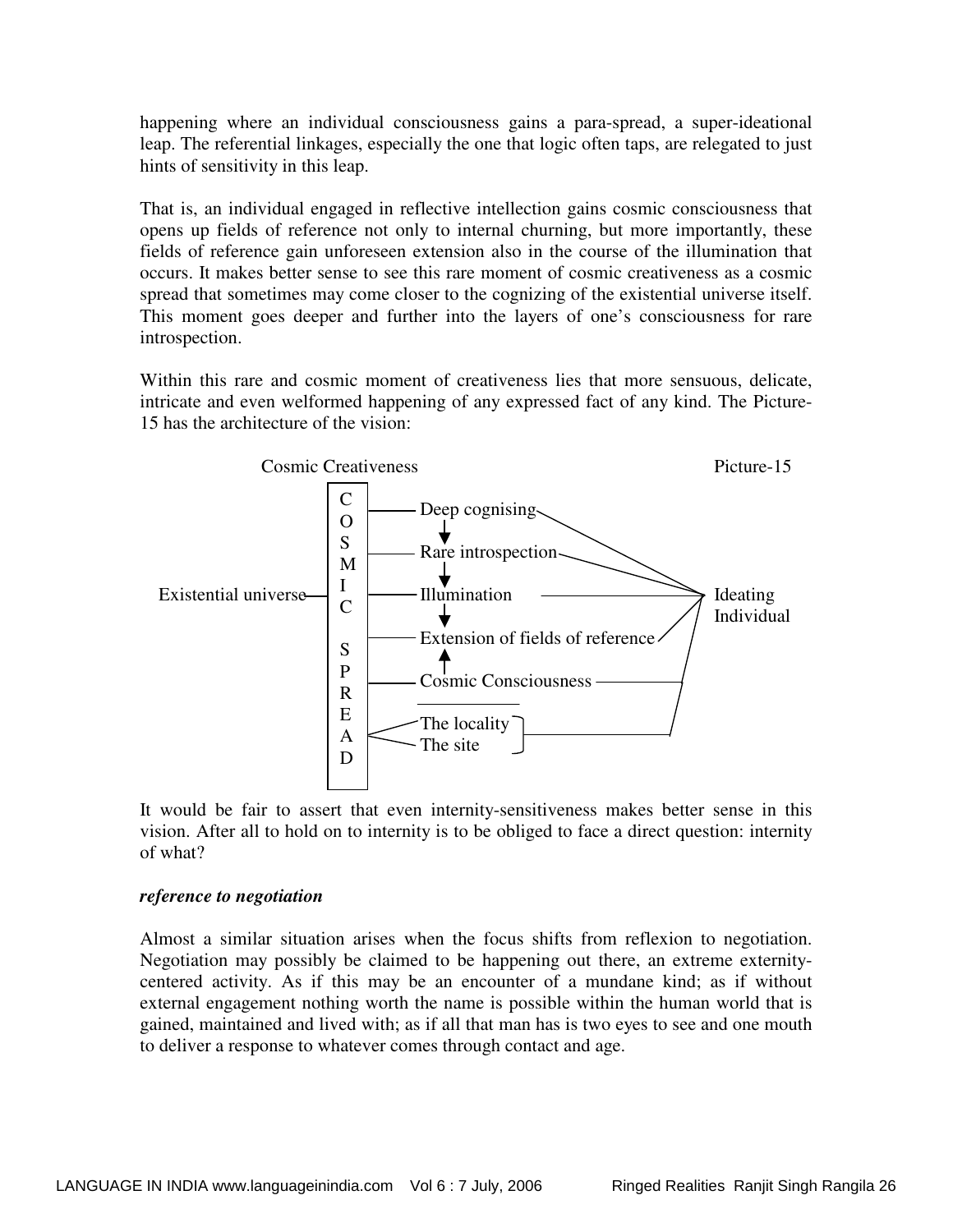happening where an individual consciousness gains a para-spread, a super-ideational leap. The referential linkages, especially the one that logic often taps, are relegated to just hints of sensitivity in this leap.

That is, an individual engaged in reflective intellection gains cosmic consciousness that opens up fields of reference not only to internal churning, but more importantly, these fields of reference gain unforeseen extension also in the course of the illumination that occurs. It makes better sense to see this rare moment of cosmic creativeness as a cosmic spread that sometimes may come closer to the cognizing of the existential universe itself. This moment goes deeper and further into the layers of one's consciousness for rare introspection.

Within this rare and cosmic moment of creativeness lies that more sensuous, delicate, intricate and even welformed happening of any expressed fact of any kind. The Picture-15 has the architecture of the vision:



It would be fair to assert that even internity-sensitiveness makes better sense in this vision. After all to hold on to internity is to be obliged to face a direct question: internity of what?

#### *reference to negotiation*

Almost a similar situation arises when the focus shifts from reflexion to negotiation. Negotiation may possibly be claimed to be happening out there, an extreme externitycentered activity. As if this may be an encounter of a mundane kind; as if without external engagement nothing worth the name is possible within the human world that is gained, maintained and lived with; as if all that man has is two eyes to see and one mouth to deliver a response to whatever comes through contact and age.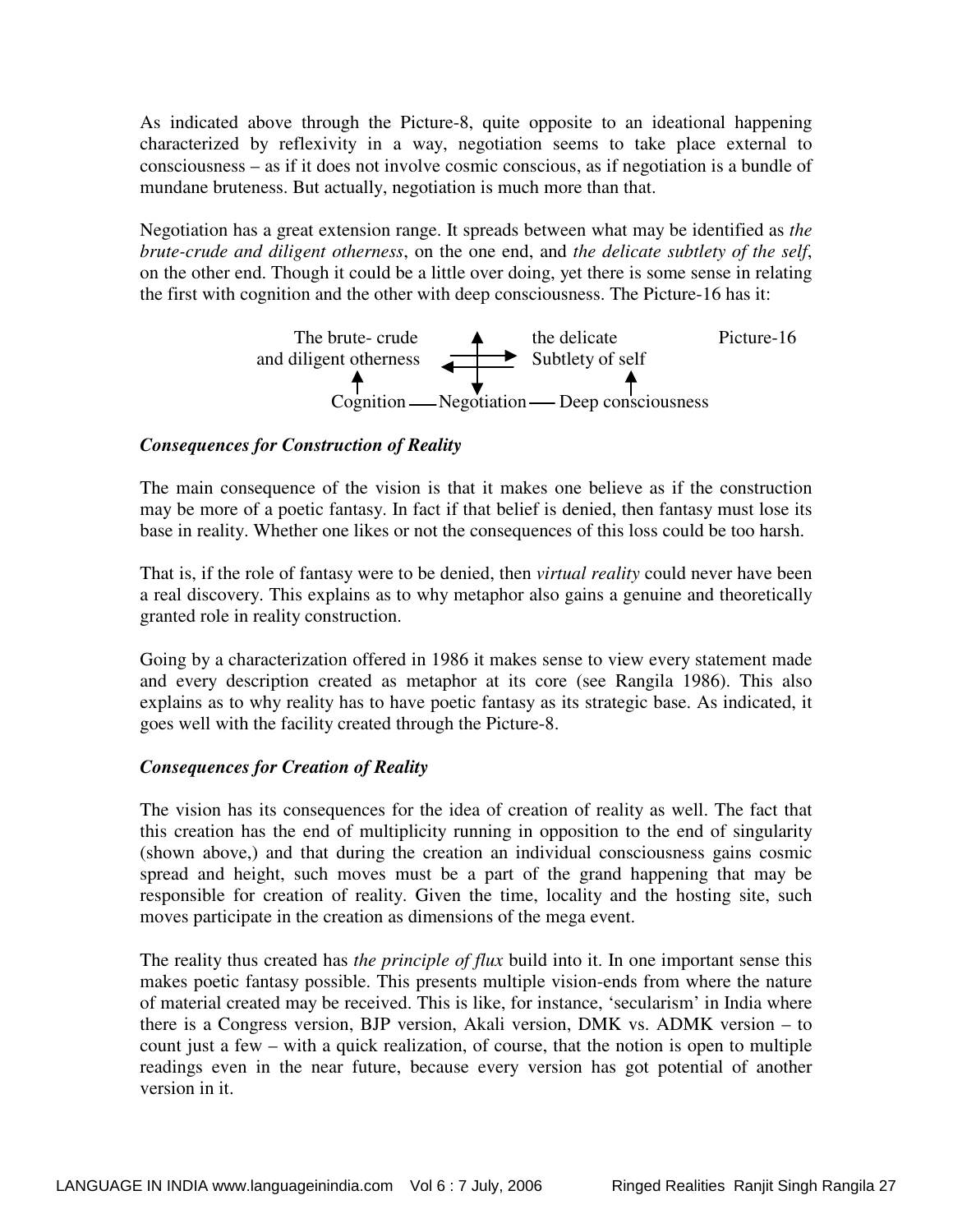As indicated above through the Picture-8, quite opposite to an ideational happening characterized by reflexivity in a way, negotiation seems to take place external to consciousness – as if it does not involve cosmic conscious, as if negotiation is a bundle of mundane bruteness. But actually, negotiation is much more than that.

Negotiation has a great extension range. It spreads between what may be identified as *the brute-crude and diligent otherness*, on the one end, and *the delicate subtlety of the self*, on the other end. Though it could be a little over doing, yet there is some sense in relating the first with cognition and the other with deep consciousness. The Picture-16 has it:



## *Consequences for Construction of Reality*

The main consequence of the vision is that it makes one believe as if the construction may be more of a poetic fantasy. In fact if that belief is denied, then fantasy must lose its base in reality. Whether one likes or not the consequences of this loss could be too harsh.

That is, if the role of fantasy were to be denied, then *virtual reality* could never have been a real discovery. This explains as to why metaphor also gains a genuine and theoretically granted role in reality construction.

Going by a characterization offered in 1986 it makes sense to view every statement made and every description created as metaphor at its core (see Rangila 1986). This also explains as to why reality has to have poetic fantasy as its strategic base. As indicated, it goes well with the facility created through the Picture-8.

## *Consequences for Creation of Reality*

The vision has its consequences for the idea of creation of reality as well. The fact that this creation has the end of multiplicity running in opposition to the end of singularity (shown above,) and that during the creation an individual consciousness gains cosmic spread and height, such moves must be a part of the grand happening that may be responsible for creation of reality. Given the time, locality and the hosting site, such moves participate in the creation as dimensions of the mega event.

The reality thus created has *the principle of flux* build into it. In one important sense this makes poetic fantasy possible. This presents multiple vision-ends from where the nature of material created may be received. This is like, for instance, 'secularism' in India where there is a Congress version, BJP version, Akali version, DMK vs. ADMK version – to count just a few – with a quick realization, of course, that the notion is open to multiple readings even in the near future, because every version has got potential of another version in it.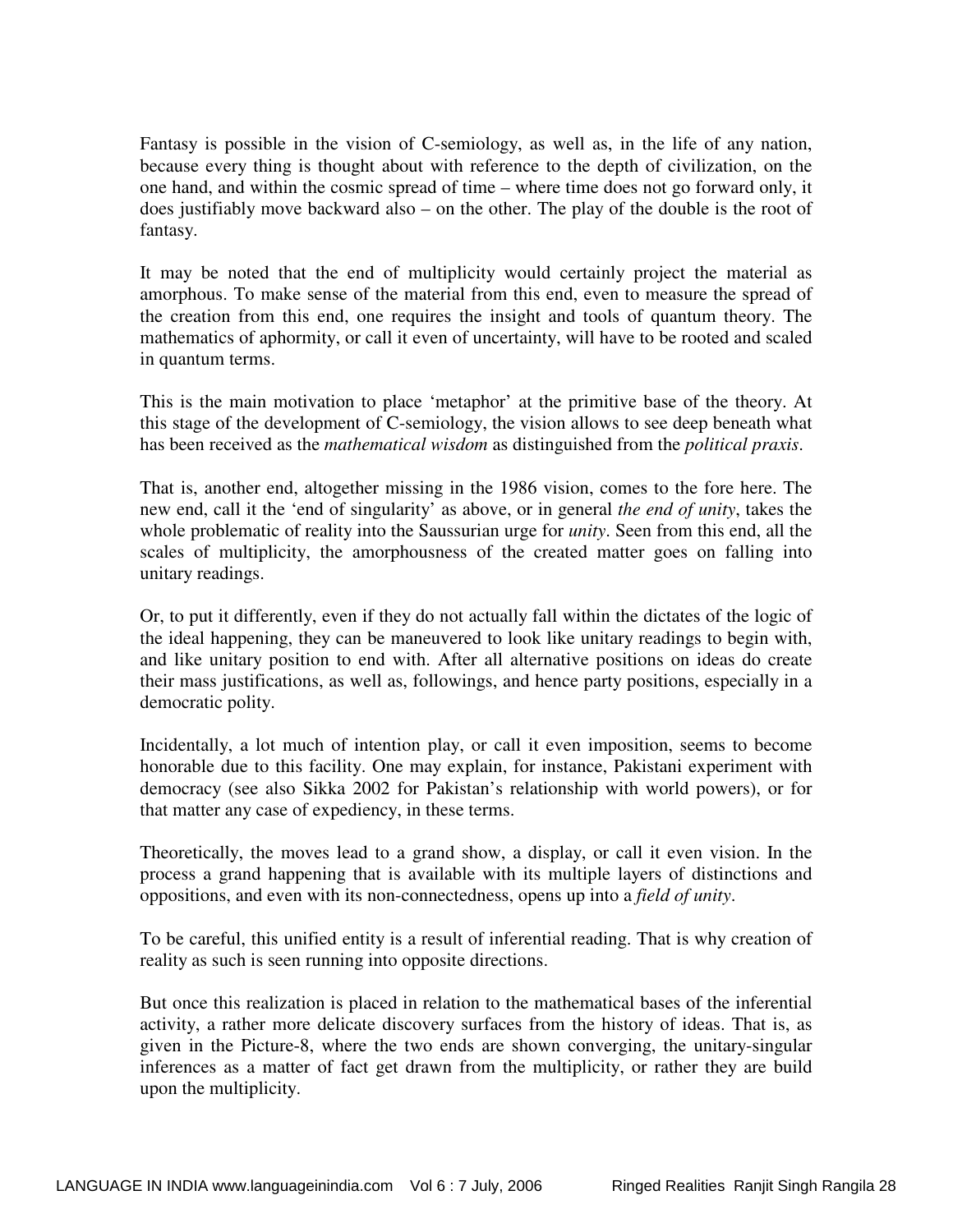Fantasy is possible in the vision of C-semiology, as well as, in the life of any nation, because every thing is thought about with reference to the depth of civilization, on the one hand, and within the cosmic spread of time – where time does not go forward only, it does justifiably move backward also – on the other. The play of the double is the root of fantasy.

It may be noted that the end of multiplicity would certainly project the material as amorphous. To make sense of the material from this end, even to measure the spread of the creation from this end, one requires the insight and tools of quantum theory. The mathematics of aphormity, or call it even of uncertainty, will have to be rooted and scaled in quantum terms.

This is the main motivation to place 'metaphor' at the primitive base of the theory. At this stage of the development of C-semiology, the vision allows to see deep beneath what has been received as the *mathematical wisdom* as distinguished from the *political praxis*.

That is, another end, altogether missing in the 1986 vision, comes to the fore here. The new end, call it the 'end of singularity' as above, or in general *the end of unity*, takes the whole problematic of reality into the Saussurian urge for *unity*. Seen from this end, all the scales of multiplicity, the amorphousness of the created matter goes on falling into unitary readings.

Or, to put it differently, even if they do not actually fall within the dictates of the logic of the ideal happening, they can be maneuvered to look like unitary readings to begin with, and like unitary position to end with. After all alternative positions on ideas do create their mass justifications, as well as, followings, and hence party positions, especially in a democratic polity.

Incidentally, a lot much of intention play, or call it even imposition, seems to become honorable due to this facility. One may explain, for instance, Pakistani experiment with democracy (see also Sikka 2002 for Pakistan's relationship with world powers), or for that matter any case of expediency, in these terms.

Theoretically, the moves lead to a grand show, a display, or call it even vision. In the process a grand happening that is available with its multiple layers of distinctions and oppositions, and even with its non-connectedness, opens up into a *field of unity*.

To be careful, this unified entity is a result of inferential reading. That is why creation of reality as such is seen running into opposite directions.

But once this realization is placed in relation to the mathematical bases of the inferential activity, a rather more delicate discovery surfaces from the history of ideas. That is, as given in the Picture-8, where the two ends are shown converging, the unitary-singular inferences as a matter of fact get drawn from the multiplicity, or rather they are build upon the multiplicity.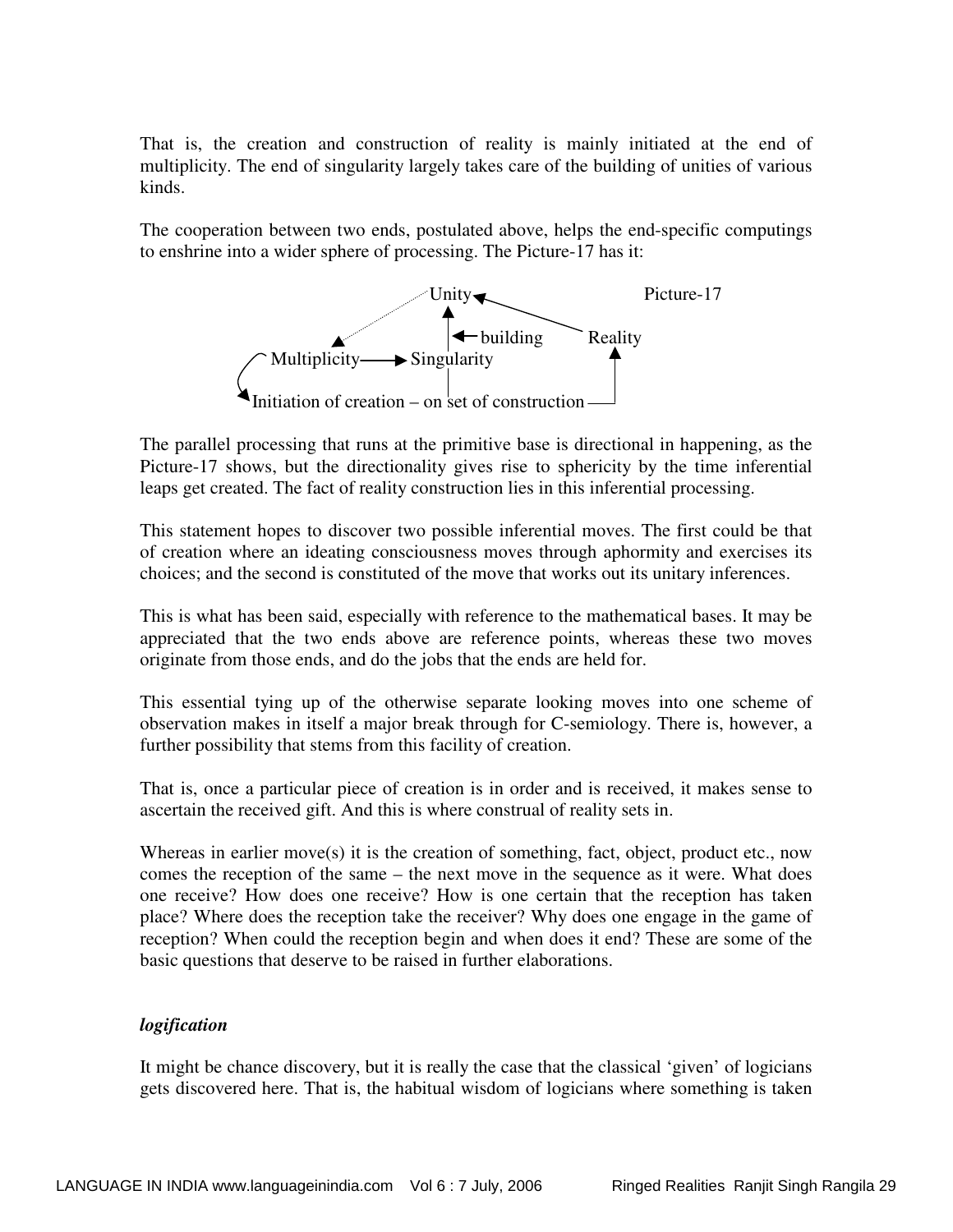That is, the creation and construction of reality is mainly initiated at the end of multiplicity. The end of singularity largely takes care of the building of unities of various kinds.

The cooperation between two ends, postulated above, helps the end-specific computings to enshrine into a wider sphere of processing. The Picture-17 has it:



The parallel processing that runs at the primitive base is directional in happening, as the Picture-17 shows, but the directionality gives rise to sphericity by the time inferential leaps get created. The fact of reality construction lies in this inferential processing.

This statement hopes to discover two possible inferential moves. The first could be that of creation where an ideating consciousness moves through aphormity and exercises its choices; and the second is constituted of the move that works out its unitary inferences.

This is what has been said, especially with reference to the mathematical bases. It may be appreciated that the two ends above are reference points, whereas these two moves originate from those ends, and do the jobs that the ends are held for.

This essential tying up of the otherwise separate looking moves into one scheme of observation makes in itself a major break through for C-semiology. There is, however, a further possibility that stems from this facility of creation.

That is, once a particular piece of creation is in order and is received, it makes sense to ascertain the received gift. And this is where construal of reality sets in.

Whereas in earlier move(s) it is the creation of something, fact, object, product etc., now comes the reception of the same – the next move in the sequence as it were. What does one receive? How does one receive? How is one certain that the reception has taken place? Where does the reception take the receiver? Why does one engage in the game of reception? When could the reception begin and when does it end? These are some of the basic questions that deserve to be raised in further elaborations.

## *logification*

It might be chance discovery, but it is really the case that the classical 'given' of logicians gets discovered here. That is, the habitual wisdom of logicians where something is taken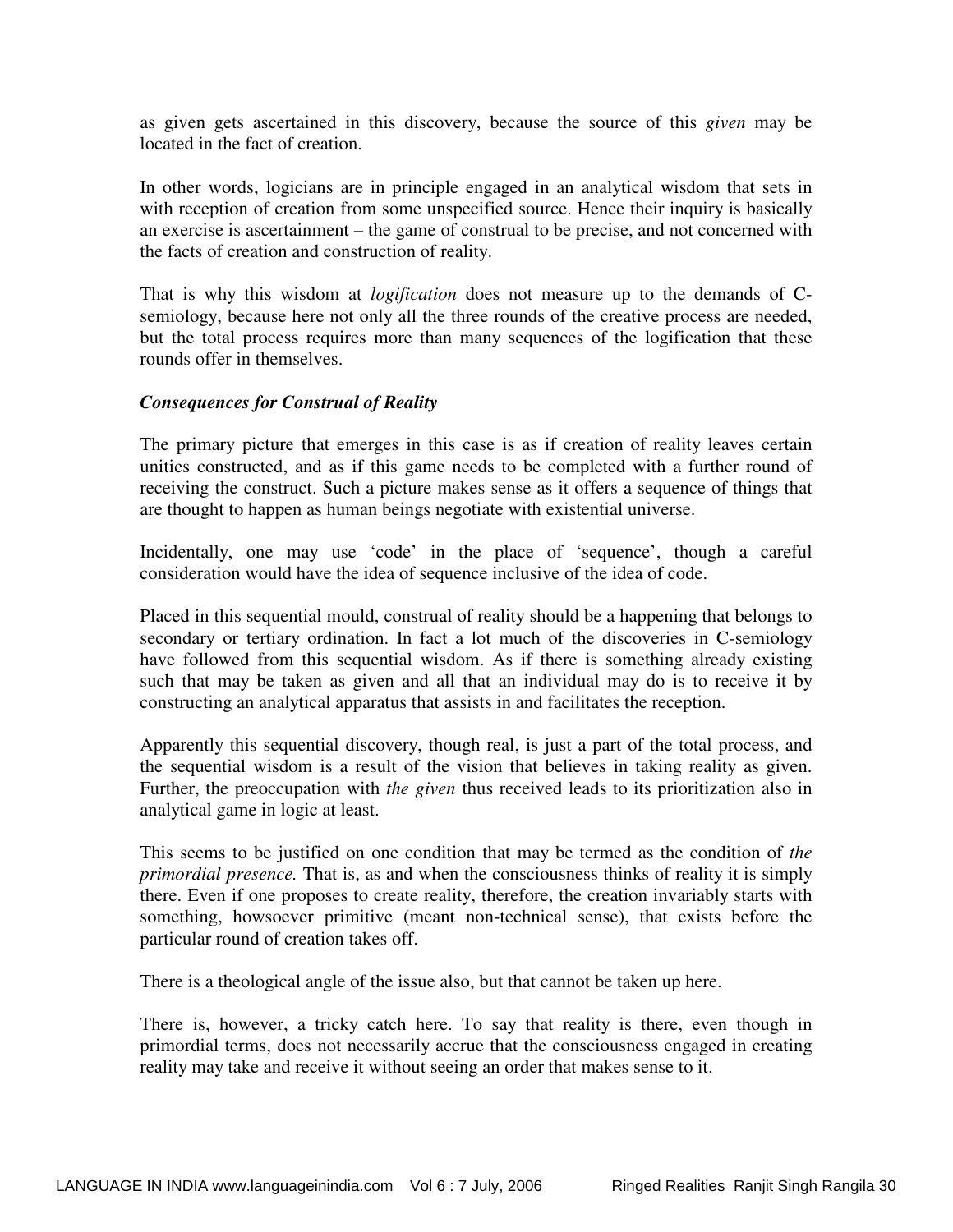as given gets ascertained in this discovery, because the source of this *given* may be located in the fact of creation.

In other words, logicians are in principle engaged in an analytical wisdom that sets in with reception of creation from some unspecified source. Hence their inquiry is basically an exercise is ascertainment – the game of construal to be precise, and not concerned with the facts of creation and construction of reality.

That is why this wisdom at *logification* does not measure up to the demands of Csemiology, because here not only all the three rounds of the creative process are needed, but the total process requires more than many sequences of the logification that these rounds offer in themselves.

## *Consequences for Construal of Reality*

The primary picture that emerges in this case is as if creation of reality leaves certain unities constructed, and as if this game needs to be completed with a further round of receiving the construct. Such a picture makes sense as it offers a sequence of things that are thought to happen as human beings negotiate with existential universe.

Incidentally, one may use 'code' in the place of 'sequence', though a careful consideration would have the idea of sequence inclusive of the idea of code.

Placed in this sequential mould, construal of reality should be a happening that belongs to secondary or tertiary ordination. In fact a lot much of the discoveries in C-semiology have followed from this sequential wisdom. As if there is something already existing such that may be taken as given and all that an individual may do is to receive it by constructing an analytical apparatus that assists in and facilitates the reception.

Apparently this sequential discovery, though real, is just a part of the total process, and the sequential wisdom is a result of the vision that believes in taking reality as given. Further, the preoccupation with *the given* thus received leads to its prioritization also in analytical game in logic at least.

This seems to be justified on one condition that may be termed as the condition of *the primordial presence.* That is, as and when the consciousness thinks of reality it is simply there. Even if one proposes to create reality, therefore, the creation invariably starts with something, howsoever primitive (meant non-technical sense), that exists before the particular round of creation takes off.

There is a theological angle of the issue also, but that cannot be taken up here.

There is, however, a tricky catch here. To say that reality is there, even though in primordial terms, does not necessarily accrue that the consciousness engaged in creating reality may take and receive it without seeing an order that makes sense to it.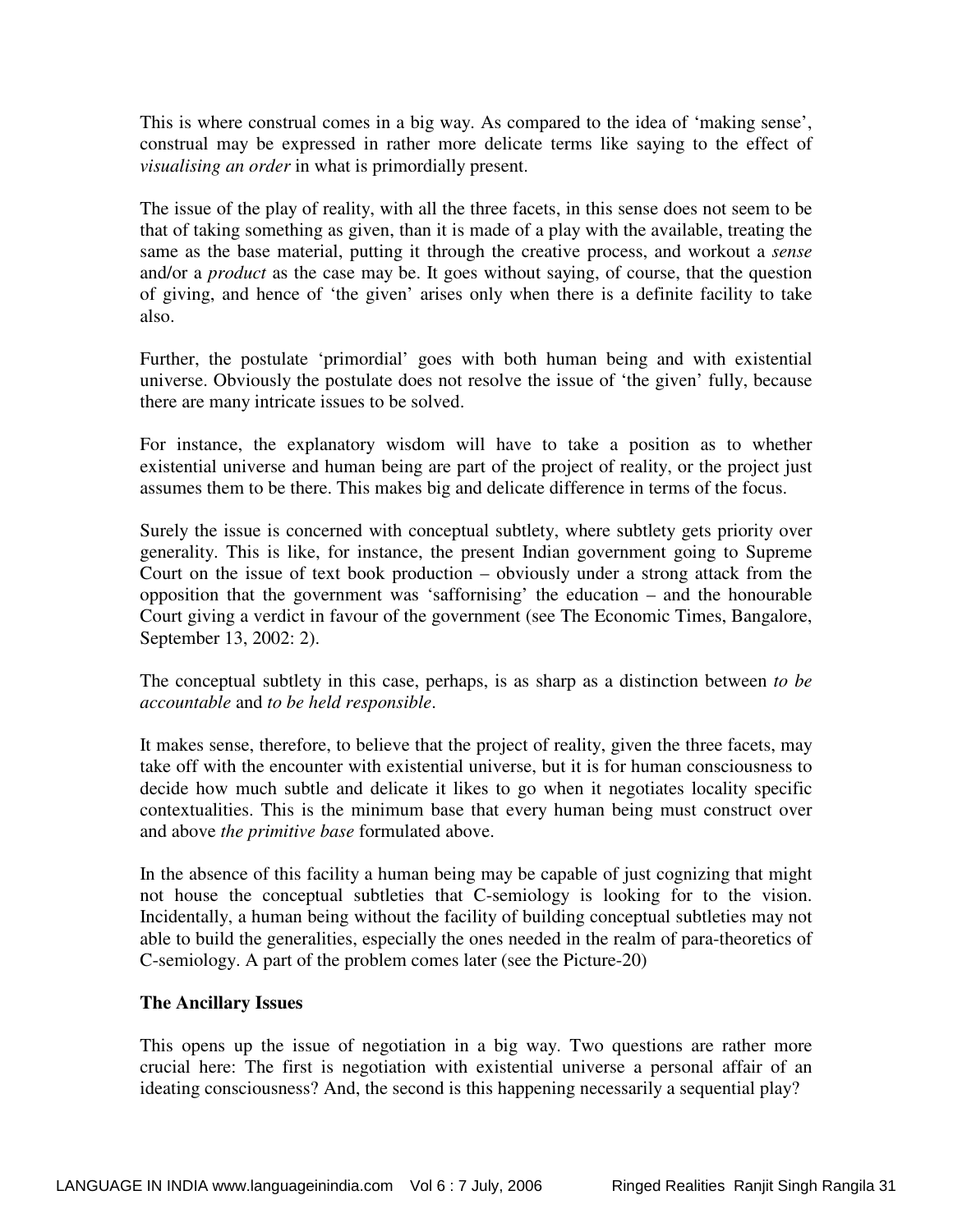This is where construal comes in a big way. As compared to the idea of 'making sense', construal may be expressed in rather more delicate terms like saying to the effect of *visualising an order* in what is primordially present.

The issue of the play of reality, with all the three facets, in this sense does not seem to be that of taking something as given, than it is made of a play with the available, treating the same as the base material, putting it through the creative process, and workout a *sense* and/or a *product* as the case may be. It goes without saying, of course, that the question of giving, and hence of 'the given' arises only when there is a definite facility to take also.

Further, the postulate 'primordial' goes with both human being and with existential universe. Obviously the postulate does not resolve the issue of 'the given' fully, because there are many intricate issues to be solved.

For instance, the explanatory wisdom will have to take a position as to whether existential universe and human being are part of the project of reality, or the project just assumes them to be there. This makes big and delicate difference in terms of the focus.

Surely the issue is concerned with conceptual subtlety, where subtlety gets priority over generality. This is like, for instance, the present Indian government going to Supreme Court on the issue of text book production – obviously under a strong attack from the opposition that the government was 'saffornising' the education – and the honourable Court giving a verdict in favour of the government (see The Economic Times, Bangalore, September 13, 2002: 2).

The conceptual subtlety in this case, perhaps, is as sharp as a distinction between *to be accountable* and *to be held responsible*.

It makes sense, therefore, to believe that the project of reality, given the three facets, may take off with the encounter with existential universe, but it is for human consciousness to decide how much subtle and delicate it likes to go when it negotiates locality specific contextualities. This is the minimum base that every human being must construct over and above *the primitive base* formulated above.

In the absence of this facility a human being may be capable of just cognizing that might not house the conceptual subtleties that C-semiology is looking for to the vision. Incidentally, a human being without the facility of building conceptual subtleties may not able to build the generalities, especially the ones needed in the realm of para-theoretics of C-semiology. A part of the problem comes later (see the Picture-20)

## **The Ancillary Issues**

This opens up the issue of negotiation in a big way. Two questions are rather more crucial here: The first is negotiation with existential universe a personal affair of an ideating consciousness? And, the second is this happening necessarily a sequential play?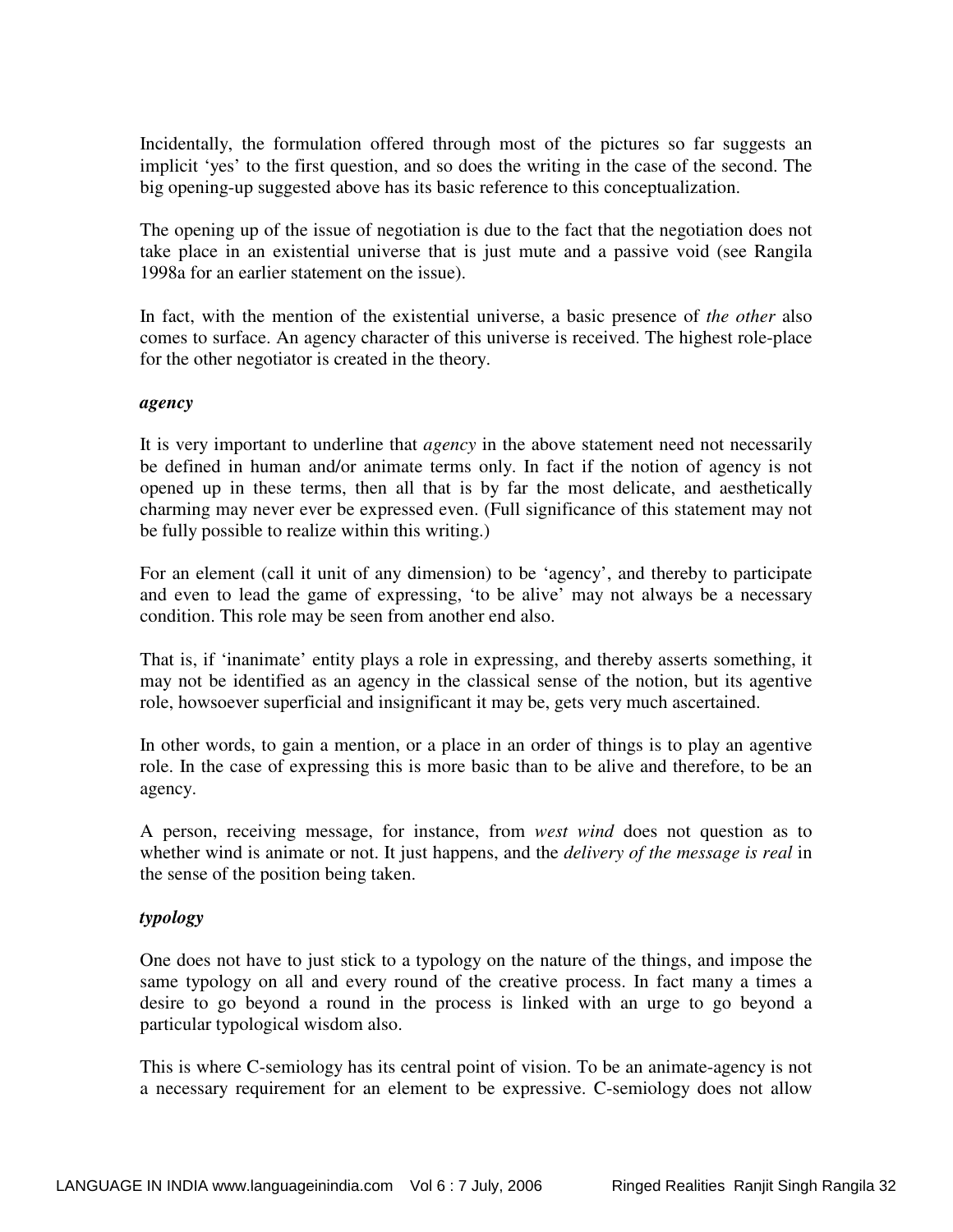Incidentally, the formulation offered through most of the pictures so far suggests an implicit 'yes' to the first question, and so does the writing in the case of the second. The big opening-up suggested above has its basic reference to this conceptualization.

The opening up of the issue of negotiation is due to the fact that the negotiation does not take place in an existential universe that is just mute and a passive void (see Rangila 1998a for an earlier statement on the issue).

In fact, with the mention of the existential universe, a basic presence of *the other* also comes to surface. An agency character of this universe is received. The highest role-place for the other negotiator is created in the theory.

## *agency*

It is very important to underline that *agency* in the above statement need not necessarily be defined in human and/or animate terms only. In fact if the notion of agency is not opened up in these terms, then all that is by far the most delicate, and aesthetically charming may never ever be expressed even. (Full significance of this statement may not be fully possible to realize within this writing.)

For an element (call it unit of any dimension) to be 'agency', and thereby to participate and even to lead the game of expressing, 'to be alive' may not always be a necessary condition. This role may be seen from another end also.

That is, if 'inanimate' entity plays a role in expressing, and thereby asserts something, it may not be identified as an agency in the classical sense of the notion, but its agentive role, howsoever superficial and insignificant it may be, gets very much ascertained.

In other words, to gain a mention, or a place in an order of things is to play an agentive role. In the case of expressing this is more basic than to be alive and therefore, to be an agency.

A person, receiving message, for instance, from *west wind* does not question as to whether wind is animate or not. It just happens, and the *delivery of the message is real* in the sense of the position being taken.

## *typology*

One does not have to just stick to a typology on the nature of the things, and impose the same typology on all and every round of the creative process. In fact many a times a desire to go beyond a round in the process is linked with an urge to go beyond a particular typological wisdom also.

This is where C-semiology has its central point of vision. To be an animate-agency is not a necessary requirement for an element to be expressive. C-semiology does not allow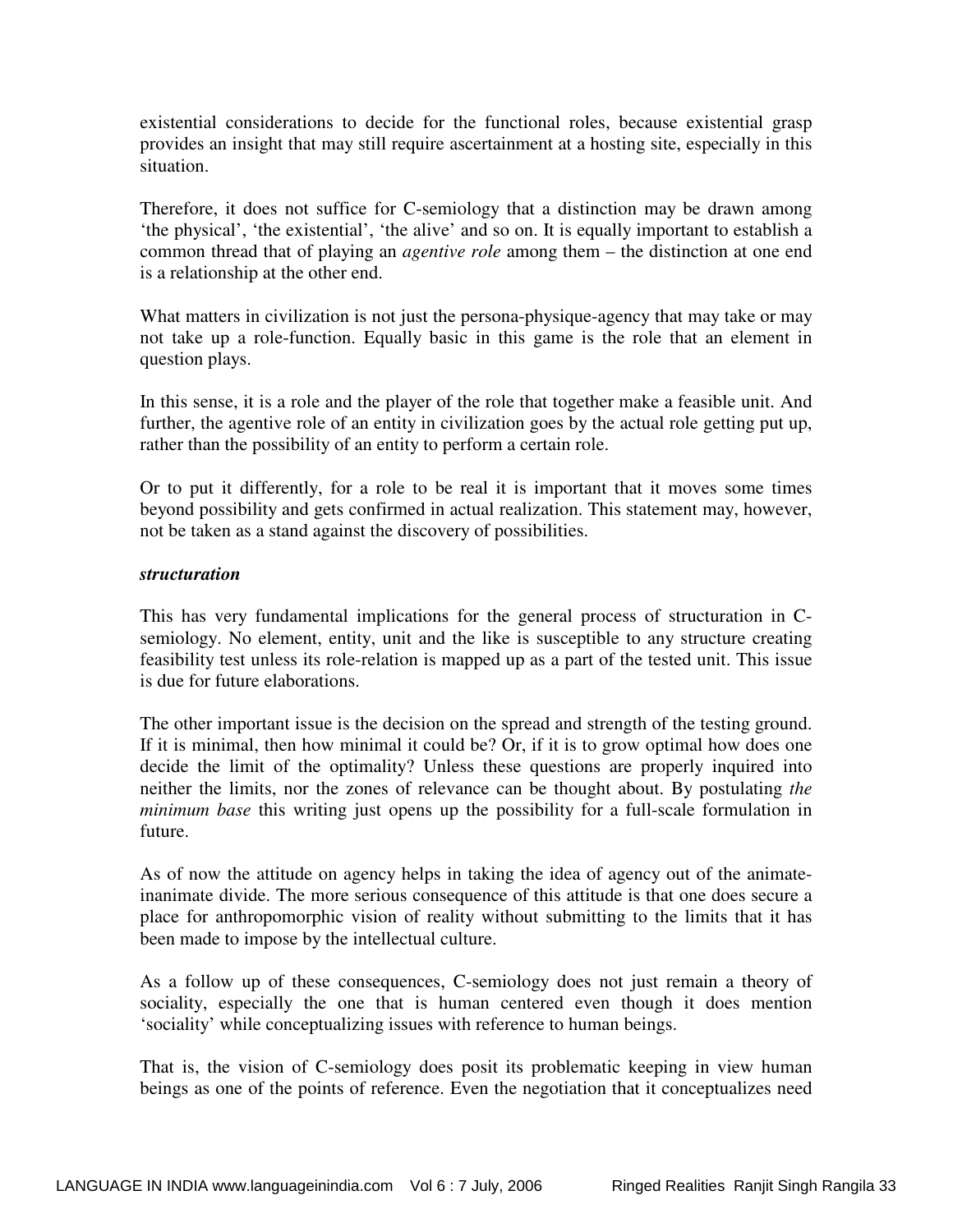existential considerations to decide for the functional roles, because existential grasp provides an insight that may still require ascertainment at a hosting site, especially in this situation.

Therefore, it does not suffice for C-semiology that a distinction may be drawn among 'the physical', 'the existential', 'the alive' and so on. It is equally important to establish a common thread that of playing an *agentive role* among them – the distinction at one end is a relationship at the other end.

What matters in civilization is not just the persona-physique-agency that may take or may not take up a role-function. Equally basic in this game is the role that an element in question plays.

In this sense, it is a role and the player of the role that together make a feasible unit. And further, the agentive role of an entity in civilization goes by the actual role getting put up, rather than the possibility of an entity to perform a certain role.

Or to put it differently, for a role to be real it is important that it moves some times beyond possibility and gets confirmed in actual realization. This statement may, however, not be taken as a stand against the discovery of possibilities.

## *structuration*

This has very fundamental implications for the general process of structuration in Csemiology. No element, entity, unit and the like is susceptible to any structure creating feasibility test unless its role-relation is mapped up as a part of the tested unit. This issue is due for future elaborations.

The other important issue is the decision on the spread and strength of the testing ground. If it is minimal, then how minimal it could be? Or, if it is to grow optimal how does one decide the limit of the optimality? Unless these questions are properly inquired into neither the limits, nor the zones of relevance can be thought about. By postulating *the minimum base* this writing just opens up the possibility for a full-scale formulation in future.

As of now the attitude on agency helps in taking the idea of agency out of the animateinanimate divide. The more serious consequence of this attitude is that one does secure a place for anthropomorphic vision of reality without submitting to the limits that it has been made to impose by the intellectual culture.

As a follow up of these consequences, C-semiology does not just remain a theory of sociality, especially the one that is human centered even though it does mention 'sociality' while conceptualizing issues with reference to human beings.

That is, the vision of C-semiology does posit its problematic keeping in view human beings as one of the points of reference. Even the negotiation that it conceptualizes need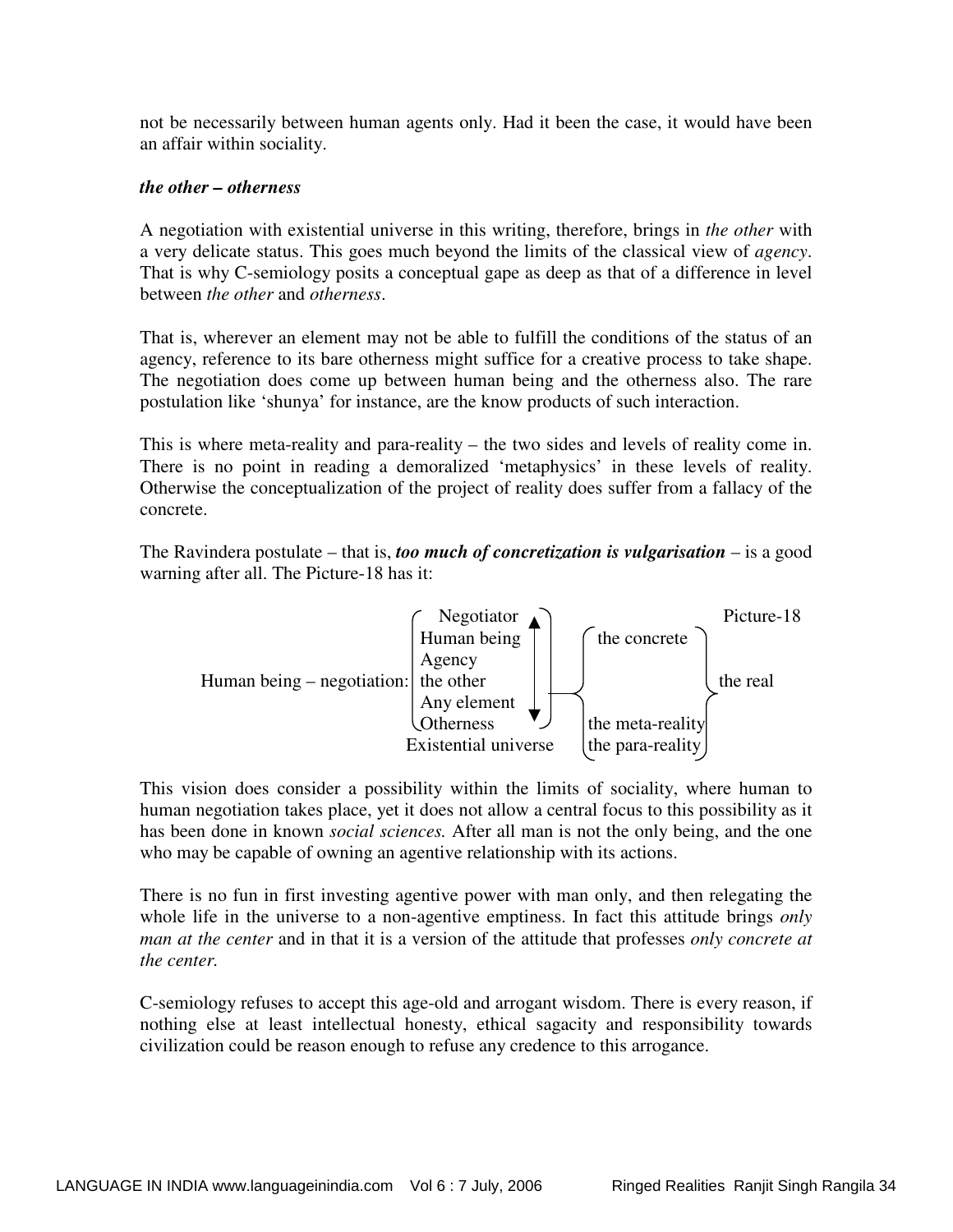not be necessarily between human agents only. Had it been the case, it would have been an affair within sociality.

## *the other – otherness*

A negotiation with existential universe in this writing, therefore, brings in *the other* with a very delicate status. This goes much beyond the limits of the classical view of *agency*. That is why C-semiology posits a conceptual gape as deep as that of a difference in level between *the other* and *otherness*.

That is, wherever an element may not be able to fulfill the conditions of the status of an agency, reference to its bare otherness might suffice for a creative process to take shape. The negotiation does come up between human being and the otherness also. The rare postulation like 'shunya' for instance, are the know products of such interaction.

This is where meta-reality and para-reality – the two sides and levels of reality come in. There is no point in reading a demoralized 'metaphysics' in these levels of reality. Otherwise the conceptualization of the project of reality does suffer from a fallacy of the concrete.

The Ravindera postulate – that is, *too much of concretization is vulgarisation* – is a good warning after all. The Picture-18 has it:



This vision does consider a possibility within the limits of sociality, where human to human negotiation takes place, yet it does not allow a central focus to this possibility as it has been done in known *social sciences.* After all man is not the only being, and the one who may be capable of owning an agentive relationship with its actions.

There is no fun in first investing agentive power with man only, and then relegating the whole life in the universe to a non-agentive emptiness. In fact this attitude brings *only man at the center* and in that it is a version of the attitude that professes *only concrete at the center.* 

C-semiology refuses to accept this age-old and arrogant wisdom. There is every reason, if nothing else at least intellectual honesty, ethical sagacity and responsibility towards civilization could be reason enough to refuse any credence to this arrogance.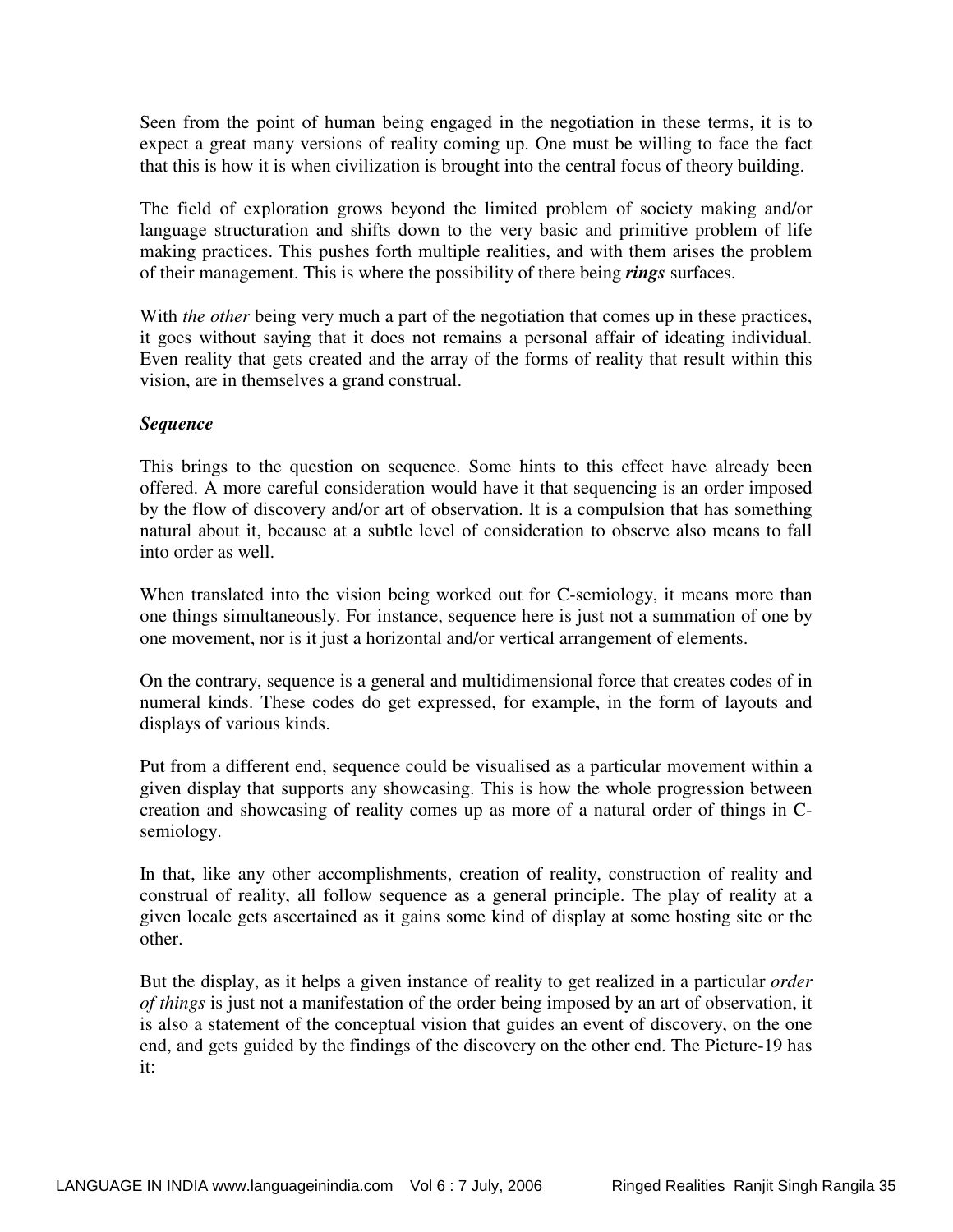Seen from the point of human being engaged in the negotiation in these terms, it is to expect a great many versions of reality coming up. One must be willing to face the fact that this is how it is when civilization is brought into the central focus of theory building.

The field of exploration grows beyond the limited problem of society making and/or language structuration and shifts down to the very basic and primitive problem of life making practices. This pushes forth multiple realities, and with them arises the problem of their management. This is where the possibility of there being *rings* surfaces.

With *the other* being very much a part of the negotiation that comes up in these practices, it goes without saying that it does not remains a personal affair of ideating individual. Even reality that gets created and the array of the forms of reality that result within this vision, are in themselves a grand construal.

## *Sequence*

This brings to the question on sequence. Some hints to this effect have already been offered. A more careful consideration would have it that sequencing is an order imposed by the flow of discovery and/or art of observation. It is a compulsion that has something natural about it, because at a subtle level of consideration to observe also means to fall into order as well.

When translated into the vision being worked out for C-semiology, it means more than one things simultaneously. For instance, sequence here is just not a summation of one by one movement, nor is it just a horizontal and/or vertical arrangement of elements.

On the contrary, sequence is a general and multidimensional force that creates codes of in numeral kinds. These codes do get expressed, for example, in the form of layouts and displays of various kinds.

Put from a different end, sequence could be visualised as a particular movement within a given display that supports any showcasing. This is how the whole progression between creation and showcasing of reality comes up as more of a natural order of things in Csemiology.

In that, like any other accomplishments, creation of reality, construction of reality and construal of reality, all follow sequence as a general principle. The play of reality at a given locale gets ascertained as it gains some kind of display at some hosting site or the other.

But the display, as it helps a given instance of reality to get realized in a particular *order of things* is just not a manifestation of the order being imposed by an art of observation, it is also a statement of the conceptual vision that guides an event of discovery, on the one end, and gets guided by the findings of the discovery on the other end. The Picture-19 has it: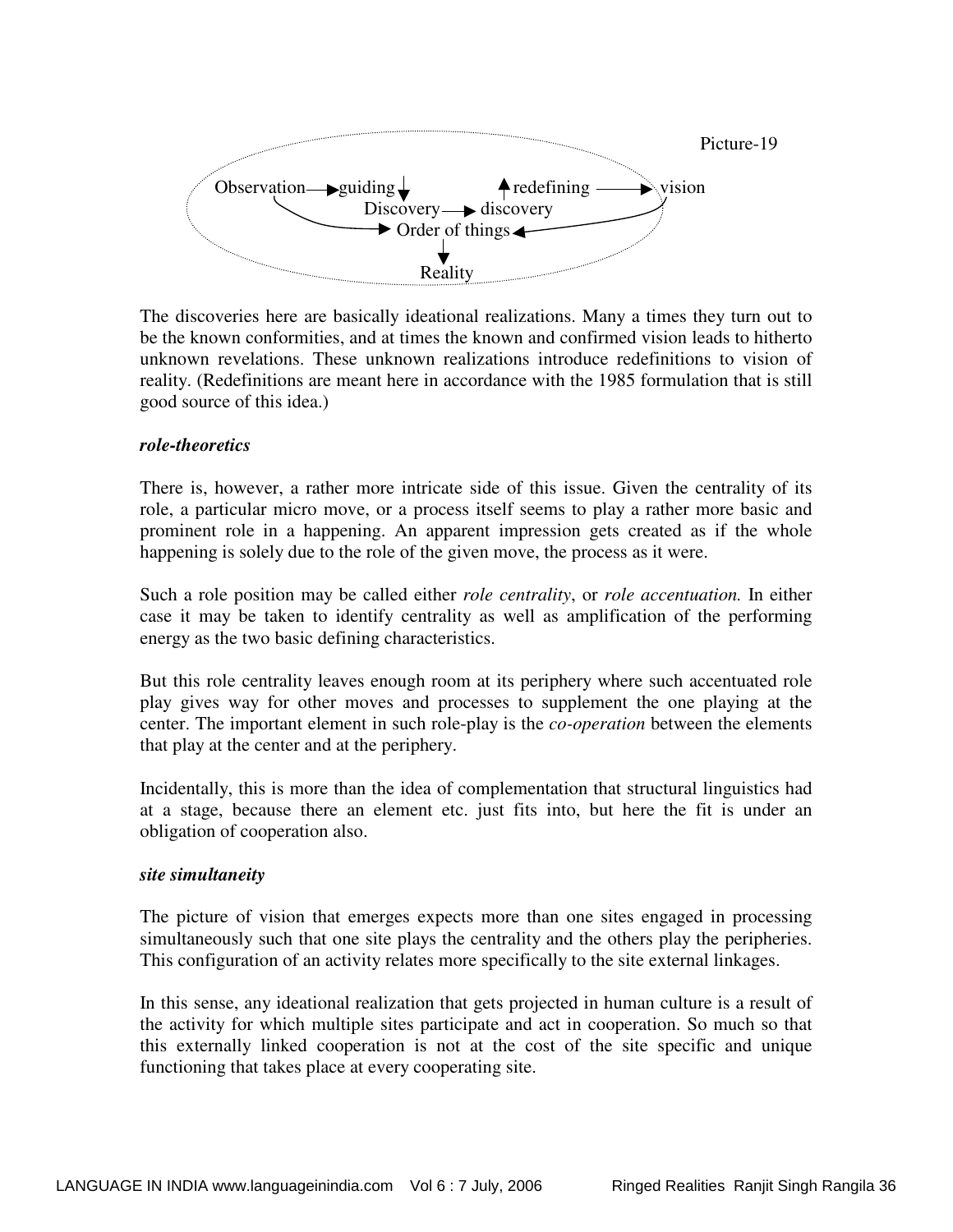

The discoveries here are basically ideational realizations. Many a times they turn out to be the known conformities, and at times the known and confirmed vision leads to hitherto unknown revelations. These unknown realizations introduce redefinitions to vision of reality. (Redefinitions are meant here in accordance with the 1985 formulation that is still good source of this idea.)

## *role-theoretics*

There is, however, a rather more intricate side of this issue. Given the centrality of its role, a particular micro move, or a process itself seems to play a rather more basic and prominent role in a happening. An apparent impression gets created as if the whole happening is solely due to the role of the given move, the process as it were.

Such a role position may be called either *role centrality*, or *role accentuation.* In either case it may be taken to identify centrality as well as amplification of the performing energy as the two basic defining characteristics.

But this role centrality leaves enough room at its periphery where such accentuated role play gives way for other moves and processes to supplement the one playing at the center. The important element in such role-play is the *co-operation* between the elements that play at the center and at the periphery.

Incidentally, this is more than the idea of complementation that structural linguistics had at a stage, because there an element etc. just fits into, but here the fit is under an obligation of cooperation also.

#### *site simultaneity*

The picture of vision that emerges expects more than one sites engaged in processing simultaneously such that one site plays the centrality and the others play the peripheries. This configuration of an activity relates more specifically to the site external linkages.

In this sense, any ideational realization that gets projected in human culture is a result of the activity for which multiple sites participate and act in cooperation. So much so that this externally linked cooperation is not at the cost of the site specific and unique functioning that takes place at every cooperating site.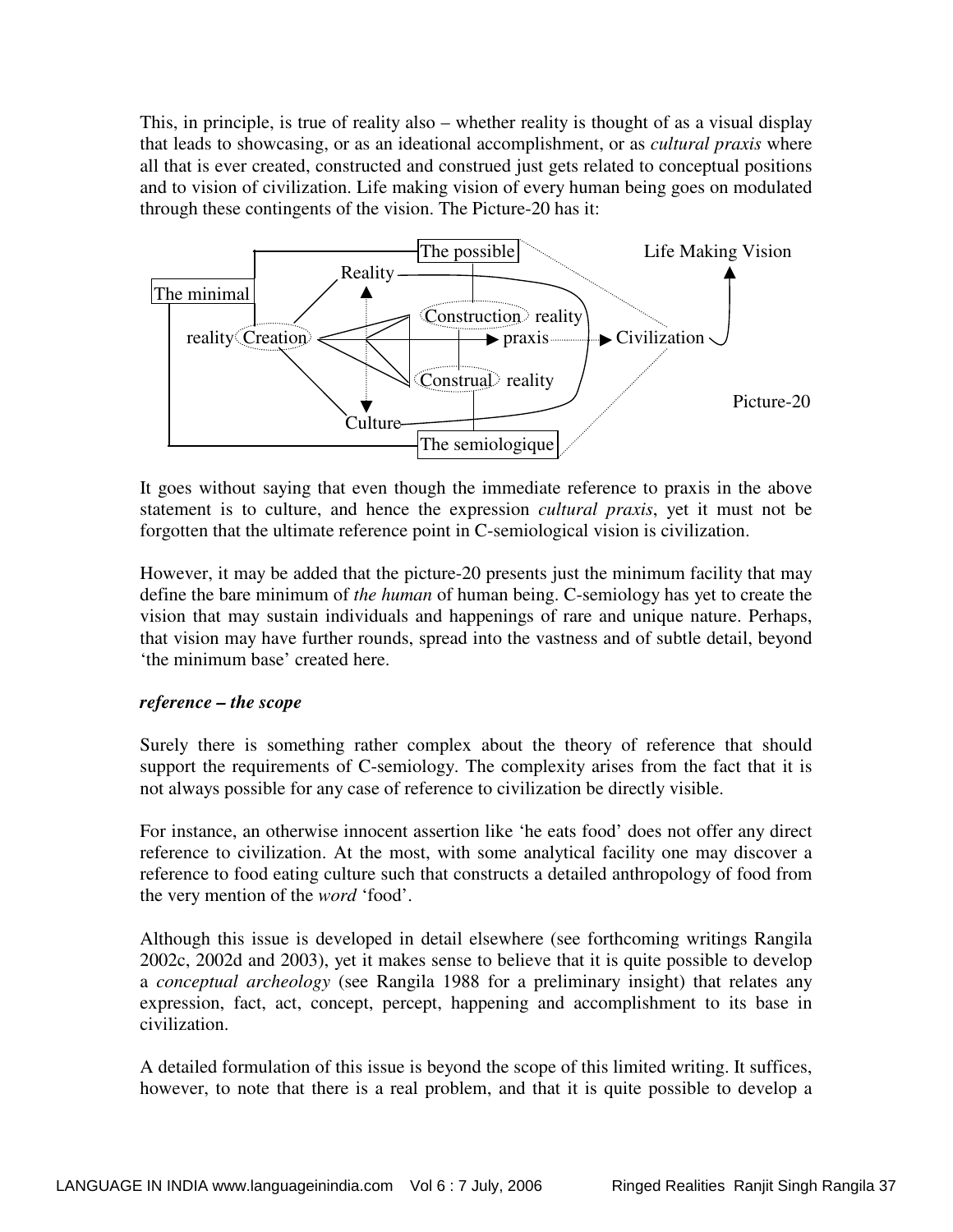This, in principle, is true of reality also – whether reality is thought of as a visual display that leads to showcasing, or as an ideational accomplishment, or as *cultural praxis* where all that is ever created, constructed and construed just gets related to conceptual positions and to vision of civilization. Life making vision of every human being goes on modulated through these contingents of the vision. The Picture-20 has it:



It goes without saying that even though the immediate reference to praxis in the above statement is to culture, and hence the expression *cultural praxis*, yet it must not be forgotten that the ultimate reference point in C-semiological vision is civilization.

However, it may be added that the picture-20 presents just the minimum facility that may define the bare minimum of *the human* of human being. C-semiology has yet to create the vision that may sustain individuals and happenings of rare and unique nature. Perhaps, that vision may have further rounds, spread into the vastness and of subtle detail, beyond 'the minimum base' created here.

## *reference – the scope*

Surely there is something rather complex about the theory of reference that should support the requirements of C-semiology. The complexity arises from the fact that it is not always possible for any case of reference to civilization be directly visible.

For instance, an otherwise innocent assertion like 'he eats food' does not offer any direct reference to civilization. At the most, with some analytical facility one may discover a reference to food eating culture such that constructs a detailed anthropology of food from the very mention of the *word* 'food'.

Although this issue is developed in detail elsewhere (see forthcoming writings Rangila 2002c, 2002d and 2003), yet it makes sense to believe that it is quite possible to develop a *conceptual archeology* (see Rangila 1988 for a preliminary insight) that relates any expression, fact, act, concept, percept, happening and accomplishment to its base in civilization.

A detailed formulation of this issue is beyond the scope of this limited writing. It suffices, however, to note that there is a real problem, and that it is quite possible to develop a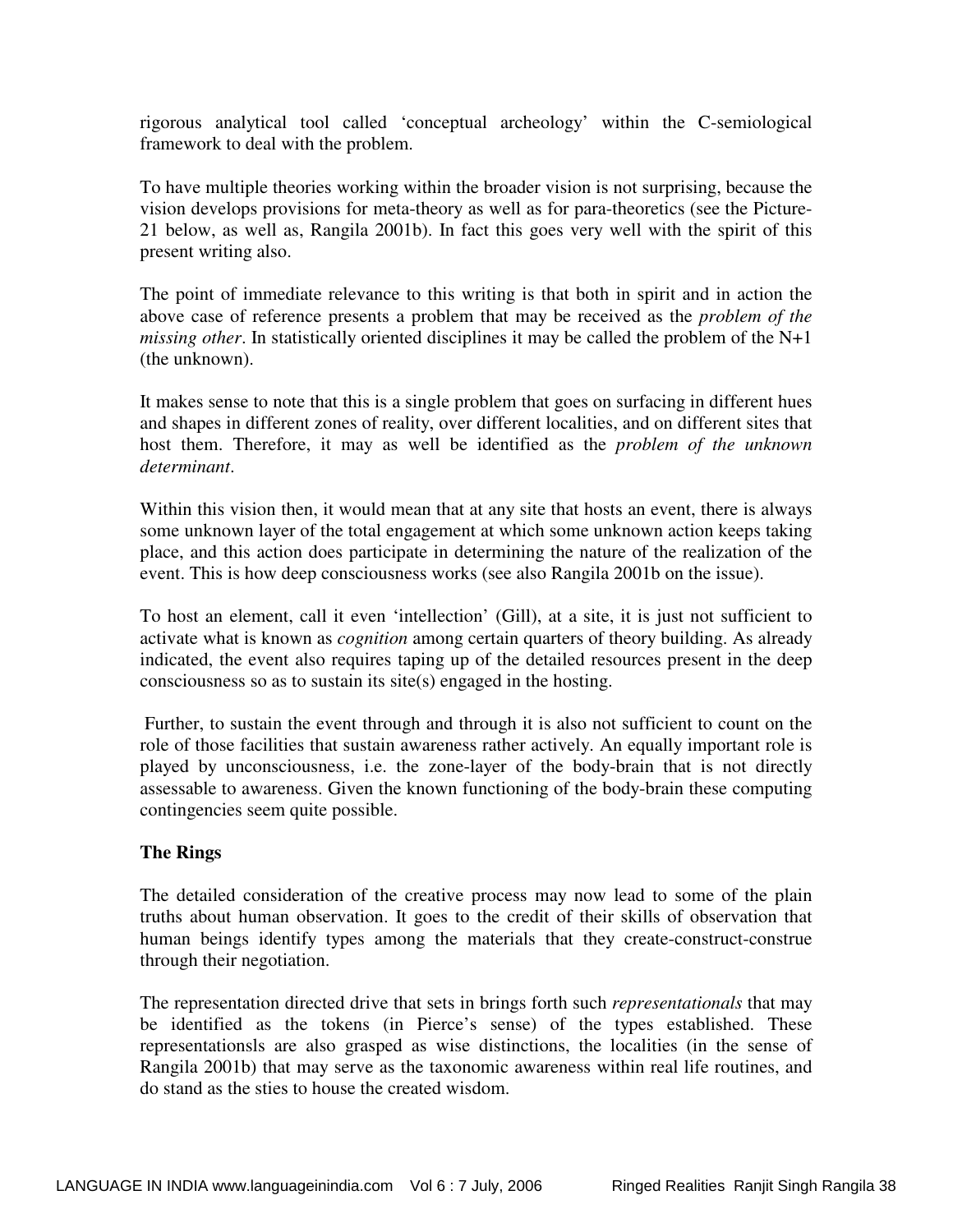rigorous analytical tool called 'conceptual archeology' within the C-semiological framework to deal with the problem.

To have multiple theories working within the broader vision is not surprising, because the vision develops provisions for meta-theory as well as for para-theoretics (see the Picture-21 below, as well as, Rangila 2001b). In fact this goes very well with the spirit of this present writing also.

The point of immediate relevance to this writing is that both in spirit and in action the above case of reference presents a problem that may be received as the *problem of the missing other*. In statistically oriented disciplines it may be called the problem of the N+1 (the unknown).

It makes sense to note that this is a single problem that goes on surfacing in different hues and shapes in different zones of reality, over different localities, and on different sites that host them. Therefore, it may as well be identified as the *problem of the unknown determinant*.

Within this vision then, it would mean that at any site that hosts an event, there is always some unknown layer of the total engagement at which some unknown action keeps taking place, and this action does participate in determining the nature of the realization of the event. This is how deep consciousness works (see also Rangila 2001b on the issue).

To host an element, call it even 'intellection' (Gill), at a site, it is just not sufficient to activate what is known as *cognition* among certain quarters of theory building. As already indicated, the event also requires taping up of the detailed resources present in the deep consciousness so as to sustain its site(s) engaged in the hosting.

 Further, to sustain the event through and through it is also not sufficient to count on the role of those facilities that sustain awareness rather actively. An equally important role is played by unconsciousness, i.e. the zone-layer of the body-brain that is not directly assessable to awareness. Given the known functioning of the body-brain these computing contingencies seem quite possible.

## **The Rings**

The detailed consideration of the creative process may now lead to some of the plain truths about human observation. It goes to the credit of their skills of observation that human beings identify types among the materials that they create-construct-construe through their negotiation.

The representation directed drive that sets in brings forth such *representationals* that may be identified as the tokens (in Pierce's sense) of the types established. These representationsls are also grasped as wise distinctions, the localities (in the sense of Rangila 2001b) that may serve as the taxonomic awareness within real life routines, and do stand as the sties to house the created wisdom.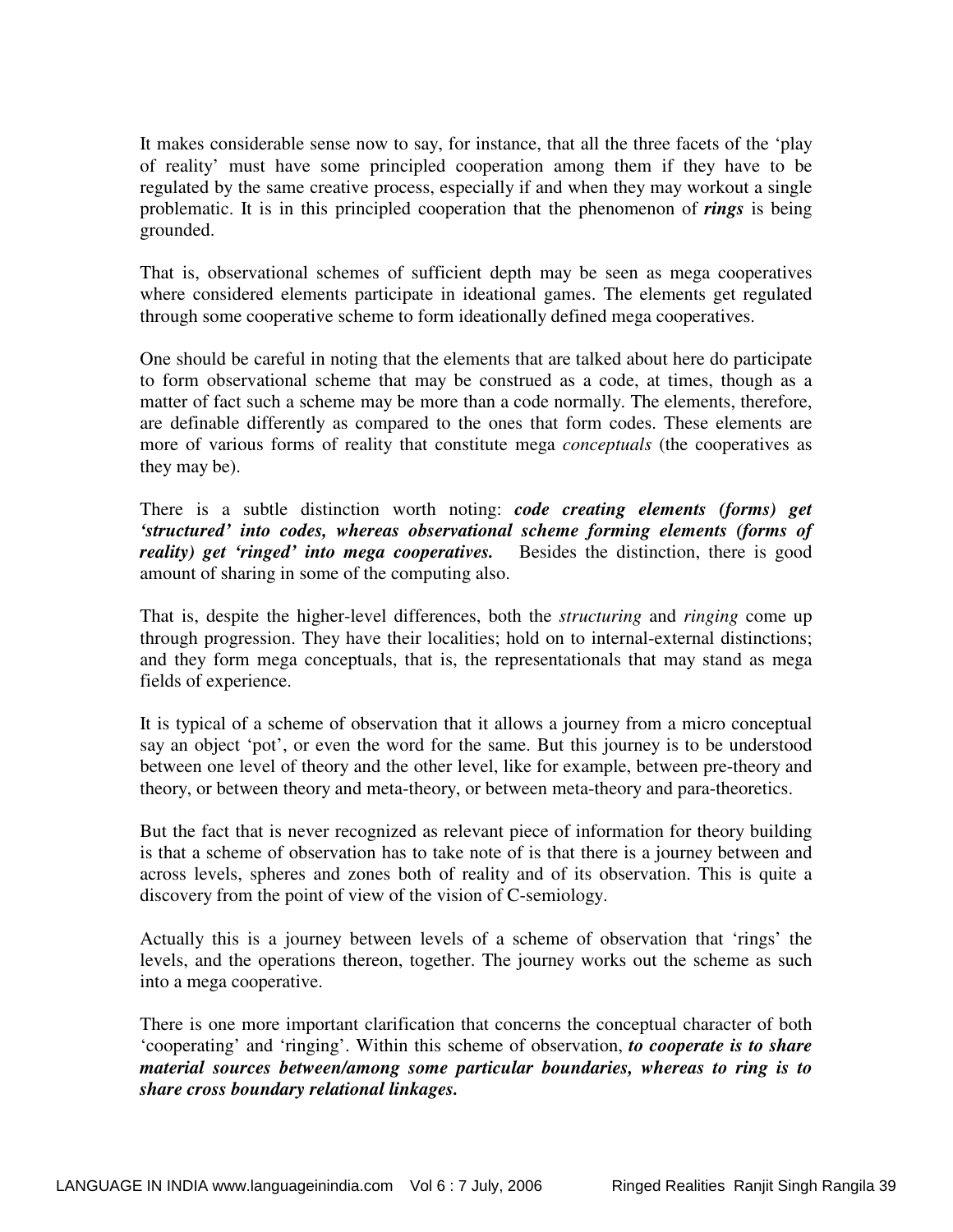It makes considerable sense now to say, for instance, that all the three facets of the 'play of reality' must have some principled cooperation among them if they have to be regulated by the same creative process, especially if and when they may workout a single problematic. It is in this principled cooperation that the phenomenon of *rings* is being grounded.

That is, observational schemes of sufficient depth may be seen as mega cooperatives where considered elements participate in ideational games. The elements get regulated through some cooperative scheme to form ideationally defined mega cooperatives.

One should be careful in noting that the elements that are talked about here do participate to form observational scheme that may be construed as a code, at times, though as a matter of fact such a scheme may be more than a code normally. The elements, therefore, are definable differently as compared to the ones that form codes. These elements are more of various forms of reality that constitute mega *conceptuals* (the cooperatives as they may be).

There is a subtle distinction worth noting: *code creating elements (forms) get 'structured' into codes, whereas observational scheme forming elements (forms of reality*) get 'ringed' into mega cooperatives. Besides the distinction, there is good amount of sharing in some of the computing also.

That is, despite the higher-level differences, both the *structuring* and *ringing* come up through progression. They have their localities; hold on to internal-external distinctions; and they form mega conceptuals, that is, the representationals that may stand as mega fields of experience.

It is typical of a scheme of observation that it allows a journey from a micro conceptual say an object 'pot', or even the word for the same. But this journey is to be understood between one level of theory and the other level, like for example, between pre-theory and theory, or between theory and meta-theory, or between meta-theory and para-theoretics.

But the fact that is never recognized as relevant piece of information for theory building is that a scheme of observation has to take note of is that there is a journey between and across levels, spheres and zones both of reality and of its observation. This is quite a discovery from the point of view of the vision of C-semiology.

Actually this is a journey between levels of a scheme of observation that 'rings' the levels, and the operations thereon, together. The journey works out the scheme as such into a mega cooperative.

There is one more important clarification that concerns the conceptual character of both 'cooperating' and 'ringing'. Within this scheme of observation, *to cooperate is to share material sources between/among some particular boundaries, whereas to ring is to share cross boundary relational linkages.*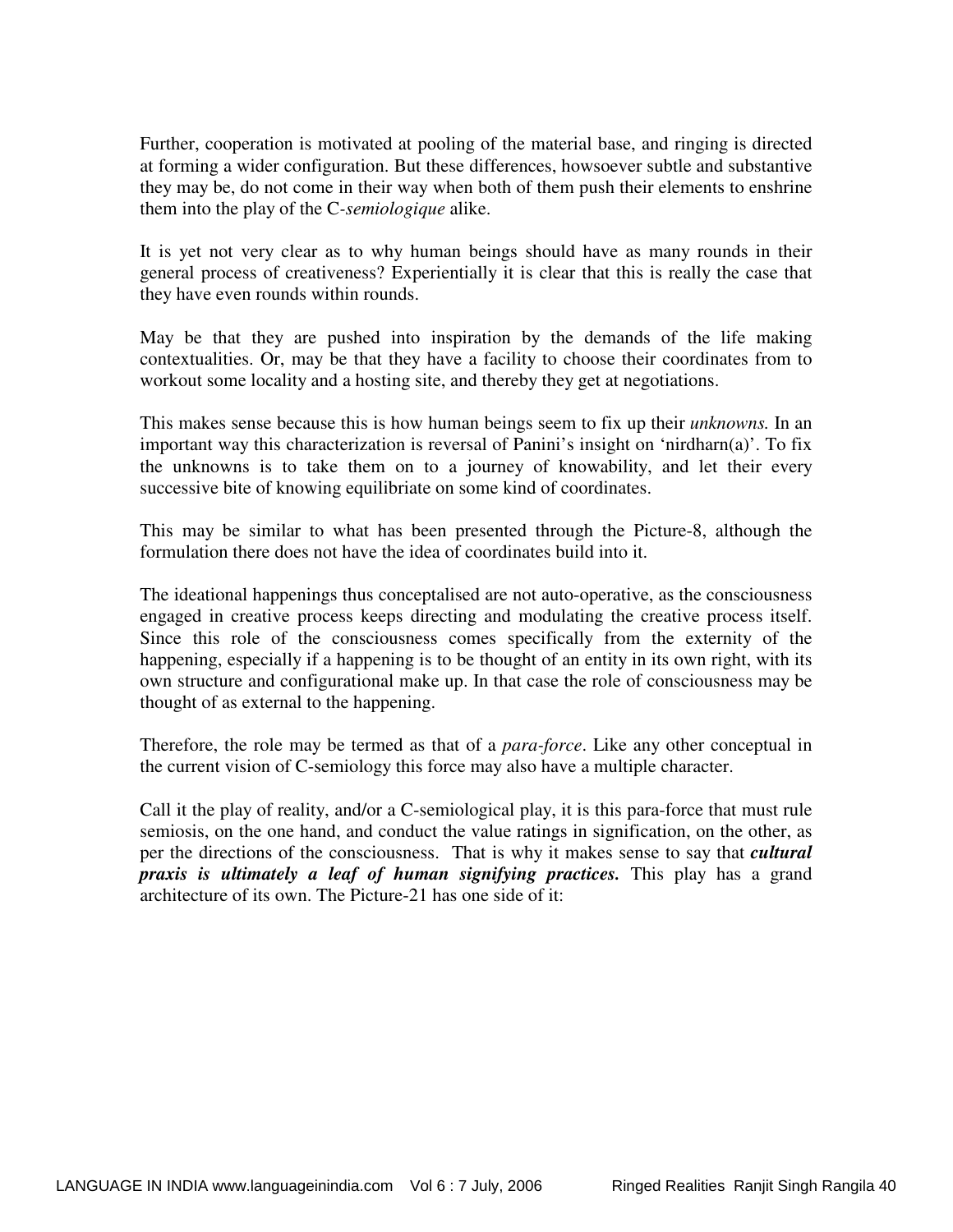Further, cooperation is motivated at pooling of the material base, and ringing is directed at forming a wider configuration. But these differences, howsoever subtle and substantive they may be, do not come in their way when both of them push their elements to enshrine them into the play of the C*-semiologique* alike.

It is yet not very clear as to why human beings should have as many rounds in their general process of creativeness? Experientially it is clear that this is really the case that they have even rounds within rounds.

May be that they are pushed into inspiration by the demands of the life making contextualities. Or, may be that they have a facility to choose their coordinates from to workout some locality and a hosting site, and thereby they get at negotiations.

This makes sense because this is how human beings seem to fix up their *unknowns.* In an important way this characterization is reversal of Panini's insight on 'nirdharn(a)'. To fix the unknowns is to take them on to a journey of knowability, and let their every successive bite of knowing equilibriate on some kind of coordinates.

This may be similar to what has been presented through the Picture-8, although the formulation there does not have the idea of coordinates build into it.

The ideational happenings thus conceptalised are not auto-operative, as the consciousness engaged in creative process keeps directing and modulating the creative process itself. Since this role of the consciousness comes specifically from the externity of the happening, especially if a happening is to be thought of an entity in its own right, with its own structure and configurational make up. In that case the role of consciousness may be thought of as external to the happening.

Therefore, the role may be termed as that of a *para-force*. Like any other conceptual in the current vision of C-semiology this force may also have a multiple character.

Call it the play of reality, and/or a C-semiological play, it is this para-force that must rule semiosis, on the one hand, and conduct the value ratings in signification, on the other, as per the directions of the consciousness. That is why it makes sense to say that *cultural praxis is ultimately a leaf of human signifying practices.* This play has a grand architecture of its own. The Picture-21 has one side of it: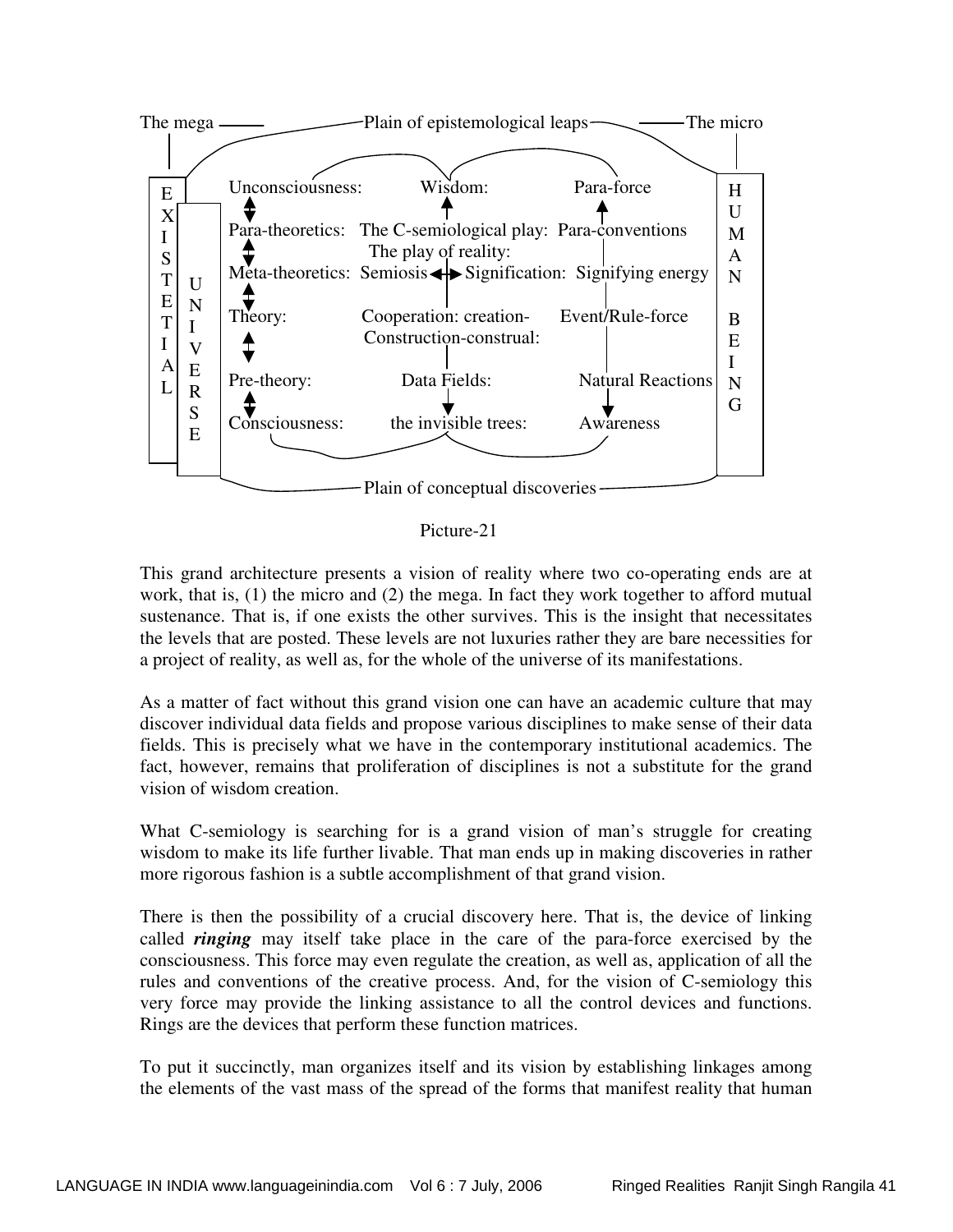

Picture-21

This grand architecture presents a vision of reality where two co-operating ends are at work, that is, (1) the micro and (2) the mega. In fact they work together to afford mutual sustenance. That is, if one exists the other survives. This is the insight that necessitates the levels that are posted. These levels are not luxuries rather they are bare necessities for a project of reality, as well as, for the whole of the universe of its manifestations.

As a matter of fact without this grand vision one can have an academic culture that may discover individual data fields and propose various disciplines to make sense of their data fields. This is precisely what we have in the contemporary institutional academics. The fact, however, remains that proliferation of disciplines is not a substitute for the grand vision of wisdom creation.

What C-semiology is searching for is a grand vision of man's struggle for creating wisdom to make its life further livable. That man ends up in making discoveries in rather more rigorous fashion is a subtle accomplishment of that grand vision.

There is then the possibility of a crucial discovery here. That is, the device of linking called *ringing* may itself take place in the care of the para-force exercised by the consciousness. This force may even regulate the creation, as well as, application of all the rules and conventions of the creative process. And, for the vision of C-semiology this very force may provide the linking assistance to all the control devices and functions. Rings are the devices that perform these function matrices.

To put it succinctly, man organizes itself and its vision by establishing linkages among the elements of the vast mass of the spread of the forms that manifest reality that human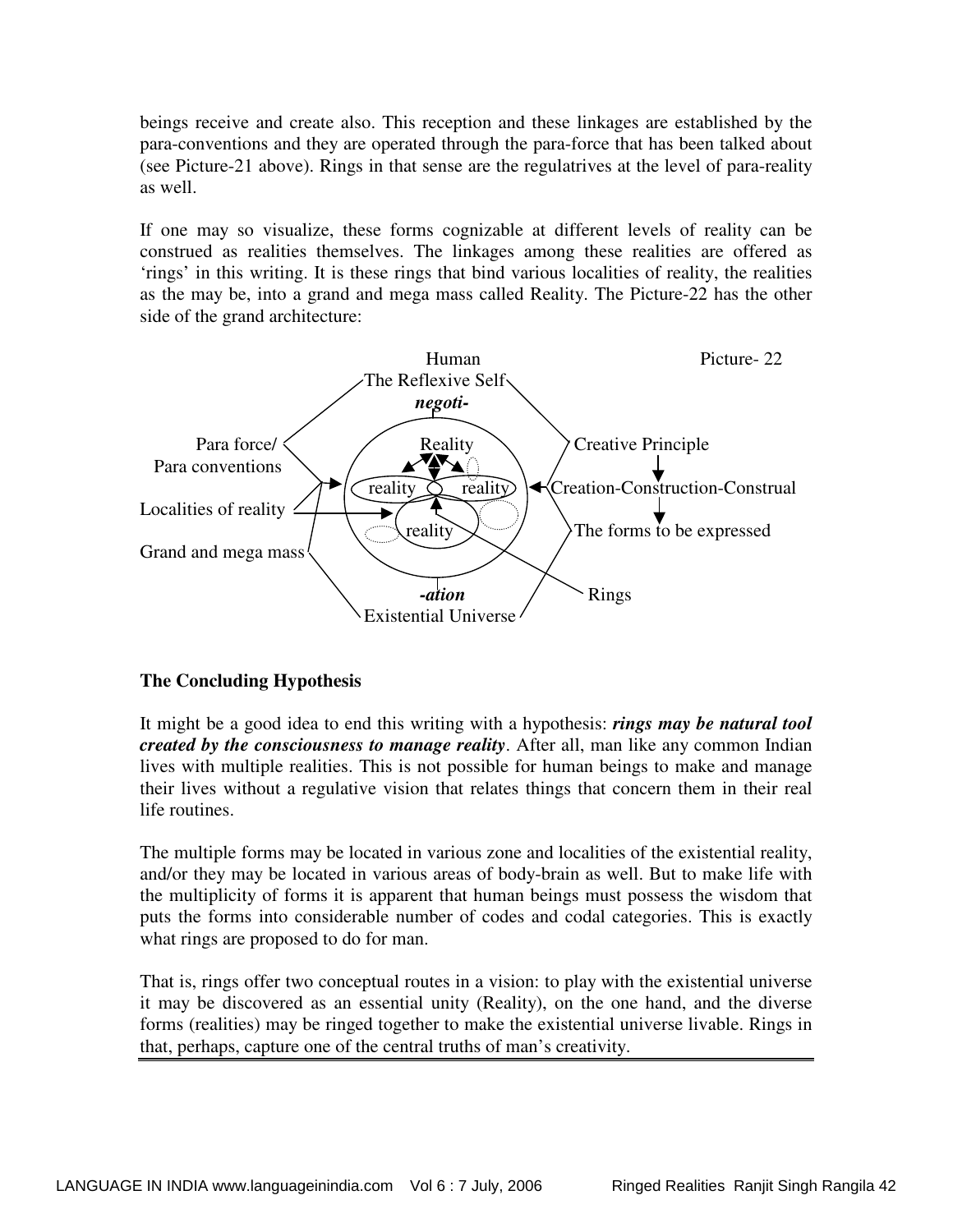beings receive and create also. This reception and these linkages are established by the para-conventions and they are operated through the para-force that has been talked about (see Picture-21 above). Rings in that sense are the regulatrives at the level of para-reality as well.

If one may so visualize, these forms cognizable at different levels of reality can be construed as realities themselves. The linkages among these realities are offered as 'rings' in this writing. It is these rings that bind various localities of reality, the realities as the may be, into a grand and mega mass called Reality. The Picture-22 has the other side of the grand architecture:



## **The Concluding Hypothesis**

It might be a good idea to end this writing with a hypothesis: *rings may be natural tool created by the consciousness to manage reality*. After all, man like any common Indian lives with multiple realities. This is not possible for human beings to make and manage their lives without a regulative vision that relates things that concern them in their real life routines.

The multiple forms may be located in various zone and localities of the existential reality, and/or they may be located in various areas of body-brain as well. But to make life with the multiplicity of forms it is apparent that human beings must possess the wisdom that puts the forms into considerable number of codes and codal categories. This is exactly what rings are proposed to do for man.

That is, rings offer two conceptual routes in a vision: to play with the existential universe it may be discovered as an essential unity (Reality), on the one hand, and the diverse forms (realities) may be ringed together to make the existential universe livable. Rings in that, perhaps, capture one of the central truths of man's creativity.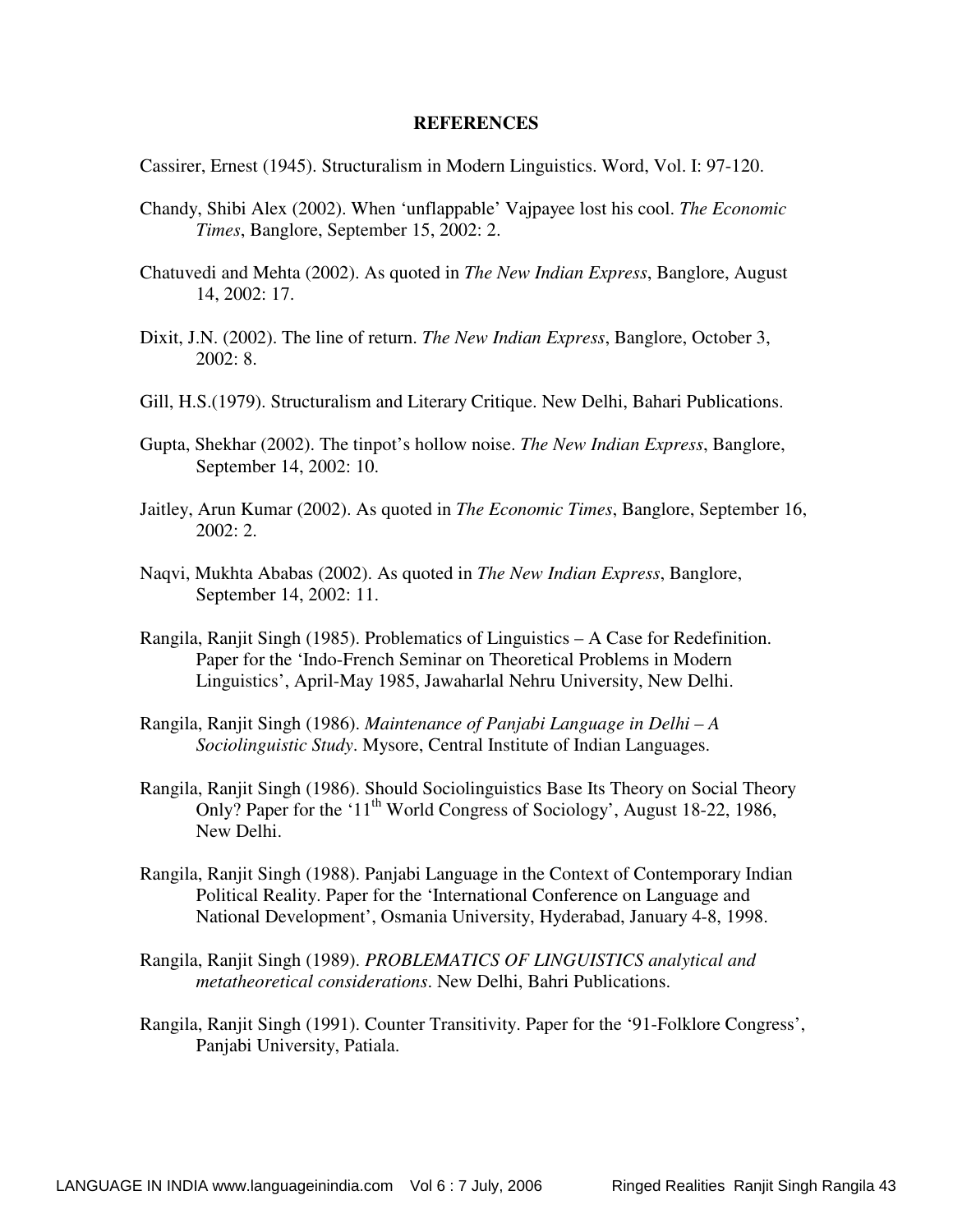#### **REFERENCES**

Cassirer, Ernest (1945). Structuralism in Modern Linguistics. Word, Vol. I: 97-120.

- Chandy, Shibi Alex (2002). When 'unflappable' Vajpayee lost his cool. *The Economic Times*, Banglore, September 15, 2002: 2.
- Chatuvedi and Mehta (2002). As quoted in *The New Indian Express*, Banglore, August 14, 2002: 17.
- Dixit, J.N. (2002). The line of return. *The New Indian Express*, Banglore, October 3, 2002: 8.
- Gill, H.S.(1979). Structuralism and Literary Critique. New Delhi, Bahari Publications.
- Gupta, Shekhar (2002). The tinpot's hollow noise. *The New Indian Express*, Banglore, September 14, 2002: 10.
- Jaitley, Arun Kumar (2002). As quoted in *The Economic Times*, Banglore, September 16,  $2002:2.$
- Naqvi, Mukhta Ababas (2002). As quoted in *The New Indian Express*, Banglore, September 14, 2002: 11.
- Rangila, Ranjit Singh (1985). Problematics of Linguistics A Case for Redefinition. Paper for the 'Indo-French Seminar on Theoretical Problems in Modern Linguistics', April-May 1985, Jawaharlal Nehru University, New Delhi.
- Rangila, Ranjit Singh (1986). *Maintenance of Panjabi Language in Delhi A Sociolinguistic Study*. Mysore, Central Institute of Indian Languages.
- Rangila, Ranjit Singh (1986). Should Sociolinguistics Base Its Theory on Social Theory Only? Paper for the '11<sup>th</sup> World Congress of Sociology', August 18-22, 1986, New Delhi.
- Rangila, Ranjit Singh (1988). Panjabi Language in the Context of Contemporary Indian Political Reality. Paper for the 'International Conference on Language and National Development', Osmania University, Hyderabad, January 4-8, 1998.
- Rangila, Ranjit Singh (1989). *PROBLEMATICS OF LINGUISTICS analytical and metatheoretical considerations*. New Delhi, Bahri Publications.
- Rangila, Ranjit Singh (1991). Counter Transitivity. Paper for the '91-Folklore Congress', Panjabi University, Patiala.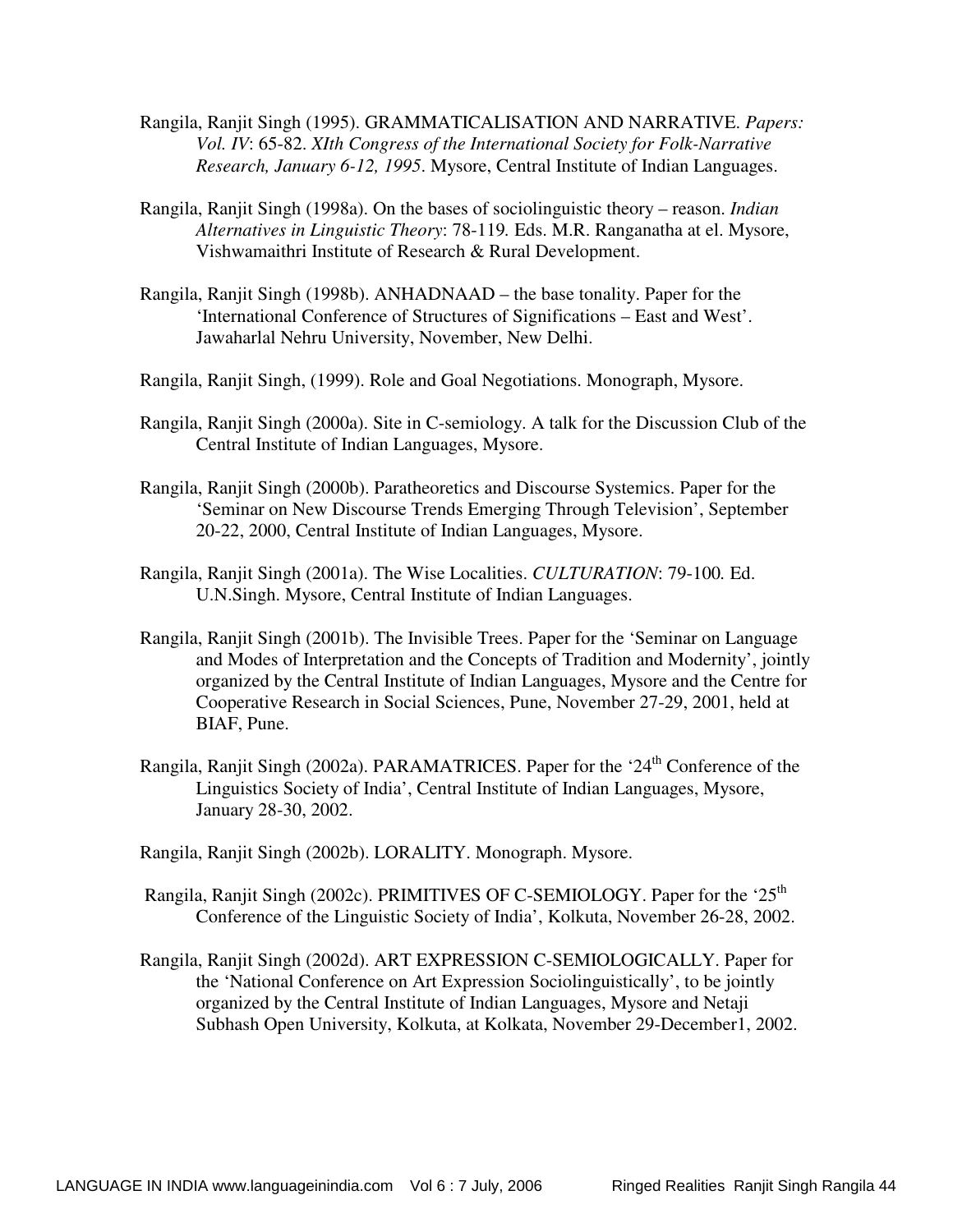- Rangila, Ranjit Singh (1995). GRAMMATICALISATION AND NARRATIVE. *Papers: Vol. IV*: 65-82. *XIth Congress of the International Society for Folk-Narrative Research, January 6-12, 1995*. Mysore, Central Institute of Indian Languages.
- Rangila, Ranjit Singh (1998a). On the bases of sociolinguistic theory reason. *Indian Alternatives in Linguistic Theory*: 78-119*.* Eds. M.R. Ranganatha at el. Mysore, Vishwamaithri Institute of Research & Rural Development.
- Rangila, Ranjit Singh (1998b). ANHADNAAD the base tonality. Paper for the 'International Conference of Structures of Significations – East and West'. Jawaharlal Nehru University, November, New Delhi.
- Rangila, Ranjit Singh, (1999). Role and Goal Negotiations. Monograph, Mysore.
- Rangila, Ranjit Singh (2000a). Site in C-semiology. A talk for the Discussion Club of the Central Institute of Indian Languages, Mysore.
- Rangila, Ranjit Singh (2000b). Paratheoretics and Discourse Systemics. Paper for the 'Seminar on New Discourse Trends Emerging Through Television', September 20-22, 2000, Central Institute of Indian Languages, Mysore.
- Rangila, Ranjit Singh (2001a). The Wise Localities. *CULTURATION*: 79-100*.* Ed. U.N.Singh. Mysore, Central Institute of Indian Languages.
- Rangila, Ranjit Singh (2001b). The Invisible Trees. Paper for the 'Seminar on Language and Modes of Interpretation and the Concepts of Tradition and Modernity', jointly organized by the Central Institute of Indian Languages, Mysore and the Centre for Cooperative Research in Social Sciences, Pune, November 27-29, 2001, held at BIAF, Pune.
- Rangila, Ranjit Singh (2002a). PARAMATRICES. Paper for the '24<sup>th</sup> Conference of the Linguistics Society of India', Central Institute of Indian Languages, Mysore, January 28-30, 2002.
- Rangila, Ranjit Singh (2002b). LORALITY. Monograph. Mysore.
- Rangila, Ranjit Singh (2002c). PRIMITIVES OF C-SEMIOLOGY. Paper for the '25<sup>th</sup> Conference of the Linguistic Society of India', Kolkuta, November 26-28, 2002.
- Rangila, Ranjit Singh (2002d). ART EXPRESSION C-SEMIOLOGICALLY. Paper for the 'National Conference on Art Expression Sociolinguistically', to be jointly organized by the Central Institute of Indian Languages, Mysore and Netaji Subhash Open University, Kolkuta, at Kolkata, November 29-December1, 2002.